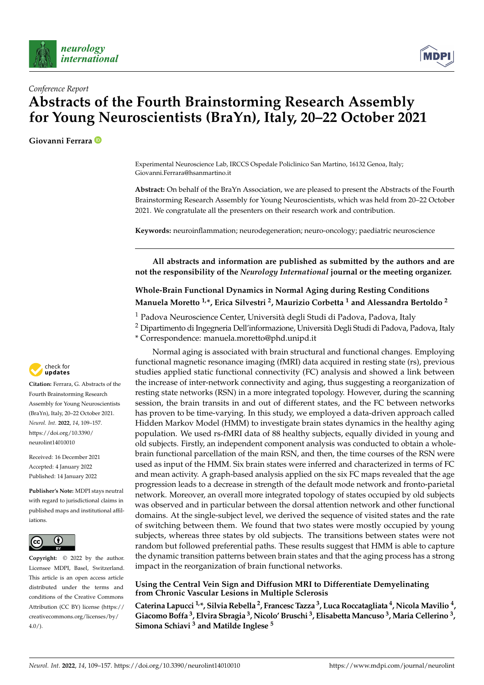



# *Conference Report* **Abstracts of the Fourth Brainstorming Research Assembly for Young Neuroscientists (BraYn), Italy, 20–22 October 2021**

**Giovanni Ferrara**

Experimental Neuroscience Lab, IRCCS Ospedale Policlinico San Martino, 16132 Genoa, Italy; Giovanni.Ferrara@hsanmartino.it

**Abstract:** On behalf of the BraYn Association, we are pleased to present the Abstracts of the Fourth Brainstorming Research Assembly for Young Neuroscientists, which was held from 20–22 October 2021. We congratulate all the presenters on their research work and contribution.

**Keywords:** neuroinflammation; neurodegeneration; neuro-oncology; paediatric neuroscience

**All abstracts and information are published as submitted by the authors and are not the responsibility of the** *Neurology International* **journal or the meeting organizer.**

# **Whole-Brain Functional Dynamics in Normal Aging during Resting Conditions Manuela Moretto 1,\*, Erica Silvestri <sup>2</sup> , Maurizio Corbetta <sup>1</sup> and Alessandra Bertoldo <sup>2</sup>**

<sup>1</sup> Padova Neuroscience Center, Università degli Studi di Padova, Padova, Italy

<sup>2</sup> Dipartimento di Ingegneria Dell'informazione, Università Degli Studi di Padova, Padova, Italy

\* Correspondence: manuela.moretto@phd.unipd.it

Normal aging is associated with brain structural and functional changes. Employing functional magnetic resonance imaging (fMRI) data acquired in resting state (rs), previous studies applied static functional connectivity (FC) analysis and showed a link between the increase of inter-network connectivity and aging, thus suggesting a reorganization of resting state networks (RSN) in a more integrated topology. However, during the scanning session, the brain transits in and out of different states, and the FC between networks has proven to be time-varying. In this study, we employed a data-driven approach called Hidden Markov Model (HMM) to investigate brain states dynamics in the healthy aging population. We used rs-fMRI data of 88 healthy subjects, equally divided in young and old subjects. Firstly, an independent component analysis was conducted to obtain a wholebrain functional parcellation of the main RSN, and then, the time courses of the RSN were used as input of the HMM. Six brain states were inferred and characterized in terms of FC and mean activity. A graph-based analysis applied on the six FC maps revealed that the age progression leads to a decrease in strength of the default mode network and fronto-parietal network. Moreover, an overall more integrated topology of states occupied by old subjects was observed and in particular between the dorsal attention network and other functional domains. At the single-subject level, we derived the sequence of visited states and the rate of switching between them. We found that two states were mostly occupied by young subjects, whereas three states by old subjects. The transitions between states were not random but followed preferential paths. These results suggest that HMM is able to capture the dynamic transition patterns between brain states and that the aging process has a strong impact in the reorganization of brain functional networks.

### **Using the Central Vein Sign and Diffusion MRI to Differentiate Demyelinating from Chronic Vascular Lesions in Multiple Sclerosis**

**Caterina Lapucci 1,\*, Silvia Rebella <sup>2</sup> , Francesc Tazza <sup>3</sup> , Luca Roccatagliata <sup>4</sup> , Nicola Mavilio <sup>4</sup> , Giacomo Boffa <sup>3</sup> , Elvira Sbragia <sup>3</sup> , Nicolo' Bruschi <sup>3</sup> , ElisabettaMancuso <sup>3</sup> , Maria Cellerino <sup>3</sup> , Simona Schiavi <sup>3</sup> and Matilde Inglese <sup>5</sup>**



**Citation:** Ferrara, G. Abstracts of the Fourth Brainstorming Research Assembly for Young Neuroscientists (BraYn), Italy, 20–22 October 2021. *Neurol. Int.* **2022**, *14*, 109–157. [https://doi.org/10.3390/](https://doi.org/10.3390/neurolint14010010) [neurolint14010010](https://doi.org/10.3390/neurolint14010010)

Received: 16 December 2021 Accepted: 4 January 2022 Published: 14 January 2022

**Publisher's Note:** MDPI stays neutral with regard to jurisdictional claims in published maps and institutional affiliations.



**Copyright:** © 2022 by the author. Licensee MDPI, Basel, Switzerland. This article is an open access article distributed under the terms and conditions of the Creative Commons Attribution (CC BY) license [\(https://](https://creativecommons.org/licenses/by/4.0/) [creativecommons.org/licenses/by/](https://creativecommons.org/licenses/by/4.0/)  $4.0/$ ).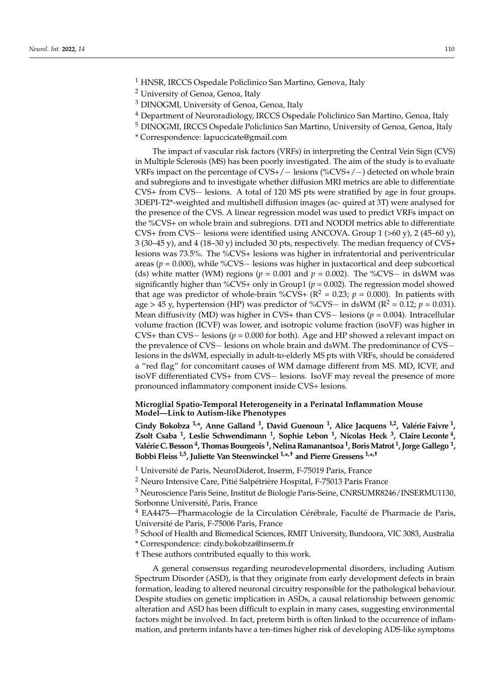<sup>1</sup> HNSR, IRCCS Ospedale Policlinico San Martino, Genova, Italy

- <sup>3</sup> DINOGMI, University of Genoa, Genoa, Italy
- <sup>4</sup> Department of Neuroradiology, IRCCS Ospedale Policlinico San Martino, Genoa, Italy
- <sup>5</sup> DINOGMI, IRCCS Ospedale Policlinico San Martino, University of Genoa, Genoa, Italy
- \* Correspondence: lapuccicate@gmail.com

The impact of vascular risk factors (VRFs) in interpreting the Central Vein Sign (CVS) in Multiple Sclerosis (MS) has been poorly investigated. The aim of the study is to evaluate VRFs impact on the percentage of CVS+/− lesions (%CVS+/−) detected on whole brain and subregions and to investigate whether diffusion MRI metrics are able to differentiate CVS+ from CVS− lesions. A total of 120 MS pts were stratified by age in four groups. 3DEPI-T2\*-weighted and multishell diffusion images (ac- quired at 3T) were analysed for the presence of the CVS. A linear regression model was used to predict VRFs impact on the %CVS+ on whole brain and subregions. DTI and NODDI metrics able to differentiate CVS+ from CVS− lesions were identified using ANCOVA. Group 1 (>60 y), 2 (45–60 y), 3 (30–45 y), and 4 (18–30 y) included 30 pts, respectively. The median frequency of CVS+ lesions was 73.5%. The %CVS+ lesions was higher in infratentorial and periventricular areas ( $p = 0.000$ ), while %CVS− lesions was higher in juxtacortical and deep subcortical (ds) white matter (WM) regions ( $p = 0.001$  and  $p = 0.002$ ). The %CVS− in dsWM was significantly higher than %CVS+ only in Group1 ( $p = 0.002$ ). The regression model showed that age was predictor of whole-brain %CVS+ ( $R^2 = 0.23$ ;  $p = 0.000$ ). In patients with age > 45 y, hypertension (HP) was predictor of %CVS– in dsWM ( $R^2$  = 0.12;  $p$  = 0.031). Mean diffusivity (MD) was higher in CVS+ than CVS− lesions (*p* = 0.004). Intracellular volume fraction (ICVF) was lower, and isotropic volume fraction (isoVF) was higher in CVS+ than CVS− lesions (*p* = 0.000 for both). Age and HP showed a relevant impact on the prevalence of CVS− lesions on whole brain and dsWM. The predominance of CVS− lesions in the dsWM, especially in adult-to-elderly MS pts with VRFs, should be considered a "red flag" for concomitant causes of WM damage different from MS. MD, ICVF, and isoVF differentiated CVS+ from CVS− lesions. IsoVF may reveal the presence of more pronounced inflammatory component inside CVS+ lesions.

#### **Microglial Spatio-Temporal Heterogeneity in a Perinatal Inflammation Mouse Model—Link to Autism-like Phenotypes**

**Cindy Bokobza 1,\*, Anne Galland <sup>1</sup> , David Guenoun <sup>1</sup> , Alice Jacquens 1,2, Valérie Faivre <sup>1</sup> , Zsolt Csaba <sup>1</sup> , Leslie Schwendimann <sup>1</sup> , Sophie Lebon <sup>1</sup> , Nicolas Heck <sup>3</sup> , Claire Leconte <sup>4</sup> , Valérie C. Besson<sup>4</sup> , Thomas Bourgeois <sup>1</sup> , Nelina Ramanantsoa <sup>1</sup> , BorisMatrot <sup>1</sup> , Jorge Gallego <sup>1</sup> , Bobbi Fleiss 1,5, Juliette Van Steenwinckel 1,\* ,† and Pierre Gressens 1,\* ,†**

<sup>1</sup> Université de Paris, NeuroDiderot, Inserm, F-75019 Paris, France

<sup>2</sup> Neuro Intensive Care, Pitié Salpétrière Hospital, F-75013 Paris France

<sup>3</sup> Neuroscience Paris Seine, Institut de Biologie Paris-Seine, CNRSUMR8246/INSERMU1130, Sorbonne Université, Paris, France

 $4$  EA4475—Pharmacologie de la Circulation Cérébrale, Faculté de Pharmacie de Paris, Université de Paris, F-75006 Paris, France

<sup>5</sup> School of Health and Biomedical Sciences, RMIT University, Bundoora, VIC 3083, Australia \* Correspondence: cindy.bokobza@inserm.fr

† These authors contributed equally to this work.

A general consensus regarding neurodevelopmental disorders, including Autism Spectrum Disorder (ASD), is that they originate from early development defects in brain formation, leading to altered neuronal circuitry responsible for the pathological behaviour. Despite studies on genetic implication in ASDs, a causal relationship between genomic alteration and ASD has been difficult to explain in many cases, suggesting environmental factors might be involved. In fact, preterm birth is often linked to the occurrence of inflammation, and preterm infants have a ten-times higher risk of developing ADS-like symptoms

<sup>2</sup> University of Genoa, Genoa, Italy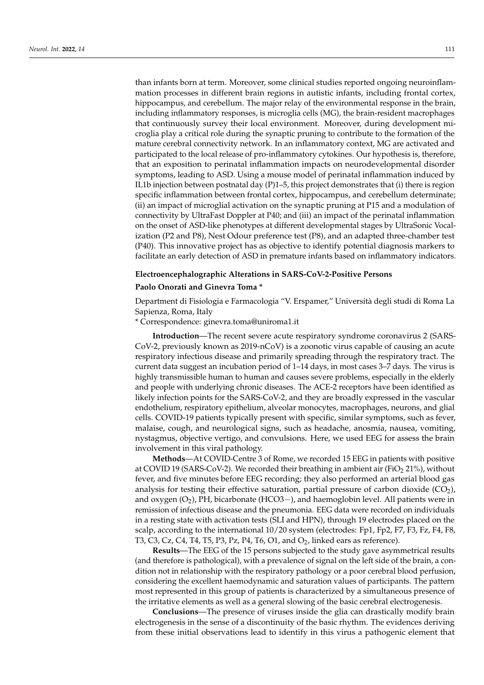than infants born at term. Moreover, some clinical studies reported ongoing neuroinflammation processes in different brain regions in autistic infants, including frontal cortex, hippocampus, and cerebellum. The major relay of the environmental response in the brain, including inflammatory responses, is microglia cells (MG), the brain-resident macrophages that continuously survey their local environment. Moreover, during development microglia play a critical role during the synaptic pruning to contribute to the formation of the mature cerebral connectivity network. In an inflammatory context, MG are activated and participated to the local release of pro-inflammatory cytokines. Our hypothesis is, therefore, that an exposition to perinatal inflammation impacts on neurodevelopmental disorder symptoms, leading to ASD. Using a mouse model of perinatal inflammation induced by IL1b injection between postnatal day  $(P)1-5$ , this project demonstrates that (i) there is region specific inflammation between frontal cortex, hippocampus, and cerebellum determinate; (ii) an impact of microglial activation on the synaptic pruning at P15 and a modulation of connectivity by UltraFast Doppler at P40; and (iii) an impact of the perinatal inflammation on the onset of ASD-like phenotypes at different developmental stages by UltraSonic Vocalization (P2 and P8), Nest Odour preference test (P8), and an adapted three-chamber test (P40). This innovative project has as objective to identify potential diagnosis markers to facilitate an early detection of ASD in premature infants based on inflammatory indicators.

#### **Electroencephalographic Alterations in SARS-CoV-2-Positive Persons**

#### **Paolo Onorati and Ginevra Toma \***

Department di Fisiologia e Farmacologia "V. Erspamer," Università degli studi di Roma La Sapienza, Roma, Italy

\* Correspondence: ginevra.toma@uniroma1.it

**Introduction**—The recent severe acute respiratory syndrome coronavirus 2 (SARS-CoV-2, previously known as 2019-nCoV) is a zoonotic virus capable of causing an acute respiratory infectious disease and primarily spreading through the respiratory tract. The current data suggest an incubation period of 1–14 days, in most cases 3–7 days. The virus is highly transmissible human to human and causes severe problems, especially in the elderly and people with underlying chronic diseases. The ACE-2 receptors have been identified as likely infection points for the SARS-CoV-2, and they are broadly expressed in the vascular endothelium, respiratory epithelium, alveolar monocytes, macrophages, neurons, and glial cells. COVID-19 patients typically present with specific, similar symptoms, such as fever, malaise, cough, and neurological signs, such as headache, anosmia, nausea, vomiting, nystagmus, objective vertigo, and convulsions. Here, we used EEG for assess the brain involvement in this viral pathology.

**Methods**—At COVID-Centre 3 of Rome, we recorded 15 EEG in patients with positive at COVID 19 (SARS-CoV-2). We recorded their breathing in ambient air (FiO<sub>2</sub> 21%), without fever, and five minutes before EEG recording; they also performed an arterial blood gas analysis for testing their effective saturation, partial pressure of carbon dioxide  $(CO<sub>2</sub>)$ , and oxygen  $(O_2)$ , PH, bicarbonate (HCO3−), and haemoglobin level. All patients were in remission of infectious disease and the pneumonia. EEG data were recorded on individuals in a resting state with activation tests (SLI and HPN), through 19 electrodes placed on the scalp, according to the international 10/20 system (electrodes: Fp1, Fp2, F7, F3, Fz, F4, F8, T3, C3, Cz, C4, T4, T5, P3, Pz, P4, T6, O1, and  $O<sub>2</sub>$ , linked ears as reference).

**Results**—The EEG of the 15 persons subjected to the study gave asymmetrical results (and therefore is pathological), with a prevalence of signal on the left side of the brain, a condition not in relationship with the respiratory pathology or a poor cerebral blood perfusion, considering the excellent haemodynamic and saturation values of participants. The pattern most represented in this group of patients is characterized by a simultaneous presence of the irritative elements as well as a general slowing of the basic cerebral electrogenesis.

**Conclusions**—The presence of viruses inside the glia can drastically modify brain electrogenesis in the sense of a discontinuity of the basic rhythm. The evidences deriving from these initial observations lead to identify in this virus a pathogenic element that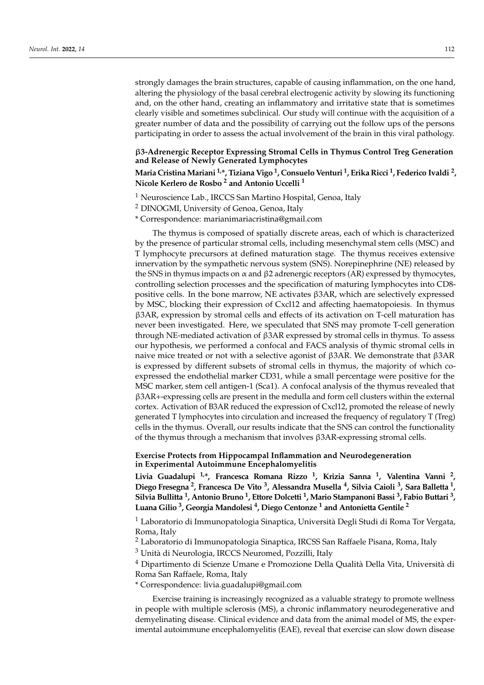strongly damages the brain structures, capable of causing inflammation, on the one hand, altering the physiology of the basal cerebral electrogenic activity by slowing its functioning and, on the other hand, creating an inflammatory and irritative state that is sometimes clearly visible and sometimes subclinical. Our study will continue with the acquisition of a greater number of data and the possibility of carrying out the follow ups of the persons participating in order to assess the actual involvement of the brain in this viral pathology.

#### β**3-Adrenergic Receptor Expressing Stromal Cells in Thymus Control Treg Generation and Release of Newly Generated Lymphocytes**

### **Maria CristinaMariani 1,\*, Tiziana Vigo <sup>1</sup> , Consuelo Venturi <sup>1</sup> , Erika Ricci <sup>1</sup> , Federico Ivaldi <sup>2</sup> , Nicole Kerlero de Rosbo <sup>2</sup> and Antonio Uccelli <sup>1</sup>**

<sup>1</sup> Neuroscience Lab., IRCCS San Martino Hospital, Genoa, Italy

<sup>2</sup> DINOGMI, University of Genoa, Genoa, Italy

\* Correspondence: marianimariacristina@gmail.com

The thymus is composed of spatially discrete areas, each of which is characterized by the presence of particular stromal cells, including mesenchymal stem cells (MSC) and T lymphocyte precursors at defined maturation stage. The thymus receives extensive innervation by the sympathetic nervous system (SNS). Norepinephrine (NE) released by the SNS in thymus impacts on  $\alpha$  and  $\beta$ 2 adrenergic receptors (AR) expressed by thymocytes, controlling selection processes and the specification of maturing lymphocytes into CD8 positive cells. In the bone marrow, NE activates β3AR, which are selectively expressed by MSC, blocking their expression of Cxcl12 and affecting haematopoiesis. In thymus β3AR, expression by stromal cells and effects of its activation on T-cell maturation has never been investigated. Here, we speculated that SNS may promote T-cell generation through NE-mediated activation of β3AR expressed by stromal cells in thymus. To assess our hypothesis, we performed a confocal and FACS analysis of thymic stromal cells in naive mice treated or not with a selective agonist of β3AR. We demonstrate that β3AR is expressed by different subsets of stromal cells in thymus, the majority of which coexpressed the endothelial marker CD31, while a small percentage were positive for the MSC marker, stem cell antigen-1 (Sca1). A confocal analysis of the thymus revealed that β3AR+-expressing cells are present in the medulla and form cell clusters within the external cortex. Activation of B3AR reduced the expression of Cxcl12, promoted the release of newly generated T lymphocytes into circulation and increased the frequency of regulatory T (Treg) cells in the thymus. Overall, our results indicate that the SNS can control the functionality of the thymus through a mechanism that involves β3AR-expressing stromal cells.

#### **Exercise Protects from Hippocampal Inflammation and Neurodegeneration in Experimental Autoimmune Encephalomyelitis**

**Livia Guadalupi 1,\*, Francesca Romana Rizzo <sup>1</sup> , Krizia Sanna <sup>1</sup> , Valentina Vanni <sup>2</sup> , Diego Fresegna <sup>2</sup> , Francesca De Vito <sup>3</sup> , Alessandra Musella <sup>4</sup> , Silvia Caioli <sup>3</sup> , Sara Balletta <sup>1</sup> , Silvia Bullitta <sup>1</sup> , Antonio Bruno <sup>1</sup> , Ettore Dolcetti <sup>1</sup> , Mario Stampanoni Bassi <sup>3</sup> , Fabio Buttari <sup>3</sup> , Luana Gilio <sup>3</sup> , Georgia Mandolesi <sup>4</sup> , Diego Centonze <sup>1</sup> and Antonietta Gentile <sup>2</sup>**

<sup>1</sup> Laboratorio di Immunopatologia Sinaptica, Università Degli Studi di Roma Tor Vergata, Roma, Italy

<sup>2</sup> Laboratorio di Immunopatologia Sinaptica, IRCSS San Raffaele Pisana, Roma, Italy

<sup>3</sup> Unità di Neurologia, IRCCS Neuromed, Pozzilli, Italy

<sup>4</sup> Dipartimento di Scienze Umane e Promozione Della Qualità Della Vita, Università di Roma San Raffaele, Roma, Italy

\* Correspondence: livia.guadalupi@gmail.com

Exercise training is increasingly recognized as a valuable strategy to promote wellness in people with multiple sclerosis (MS), a chronic inflammatory neurodegenerative and demyelinating disease. Clinical evidence and data from the animal model of MS, the experimental autoimmune encephalomyelitis (EAE), reveal that exercise can slow down disease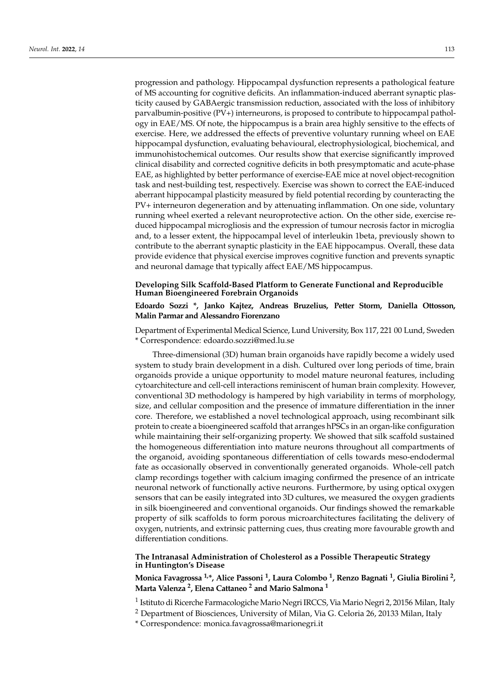progression and pathology. Hippocampal dysfunction represents a pathological feature of MS accounting for cognitive deficits. An inflammation-induced aberrant synaptic plasticity caused by GABAergic transmission reduction, associated with the loss of inhibitory parvalbumin-positive (PV+) interneurons, is proposed to contribute to hippocampal pathology in EAE/MS. Of note, the hippocampus is a brain area highly sensitive to the effects of exercise. Here, we addressed the effects of preventive voluntary running wheel on EAE hippocampal dysfunction, evaluating behavioural, electrophysiological, biochemical, and immunohistochemical outcomes. Our results show that exercise significantly improved clinical disability and corrected cognitive deficits in both presymptomatic and acute-phase EAE, as highlighted by better performance of exercise-EAE mice at novel object-recognition task and nest-building test, respectively. Exercise was shown to correct the EAE-induced aberrant hippocampal plasticity measured by field potential recording by counteracting the PV+ interneuron degeneration and by attenuating inflammation. On one side, voluntary running wheel exerted a relevant neuroprotective action. On the other side, exercise reduced hippocampal microgliosis and the expression of tumour necrosis factor in microglia and, to a lesser extent, the hippocampal level of interleukin 1beta, previously shown to contribute to the aberrant synaptic plasticity in the EAE hippocampus. Overall, these data provide evidence that physical exercise improves cognitive function and prevents synaptic and neuronal damage that typically affect EAE/MS hippocampus.

#### **Developing Silk Scaffold-Based Platform to Generate Functional and Reproducible Human Bioengineered Forebrain Organoids**

### **Edoardo Sozzi \*, Janko Kajtez, Andreas Bruzelius, Petter Storm, Daniella Ottosson, Malin Parmar and Alessandro Fiorenzano**

Department of Experimental Medical Science, Lund University, Box 117, 221 00 Lund, Sweden \* Correspondence: edoardo.sozzi@med.lu.se

Three-dimensional (3D) human brain organoids have rapidly become a widely used system to study brain development in a dish. Cultured over long periods of time, brain organoids provide a unique opportunity to model mature neuronal features, including cytoarchitecture and cell-cell interactions reminiscent of human brain complexity. However, conventional 3D methodology is hampered by high variability in terms of morphology, size, and cellular composition and the presence of immature differentiation in the inner core. Therefore, we established a novel technological approach, using recombinant silk protein to create a bioengineered scaffold that arranges hPSCs in an organ-like configuration while maintaining their self-organizing property. We showed that silk scaffold sustained the homogeneous differentiation into mature neurons throughout all compartments of the organoid, avoiding spontaneous differentiation of cells towards meso-endodermal fate as occasionally observed in conventionally generated organoids. Whole-cell patch clamp recordings together with calcium imaging confirmed the presence of an intricate neuronal network of functionally active neurons. Furthermore, by using optical oxygen sensors that can be easily integrated into 3D cultures, we measured the oxygen gradients in silk bioengineered and conventional organoids. Our findings showed the remarkable property of silk scaffolds to form porous microarchitectures facilitating the delivery of oxygen, nutrients, and extrinsic patterning cues, thus creating more favourable growth and differentiation conditions.

### **The Intranasal Administration of Cholesterol as a Possible Therapeutic Strategy in Huntington's Disease**

**Monica Favagrossa 1,\*, Alice Passoni <sup>1</sup> , Laura Colombo <sup>1</sup> , Renzo Bagnati <sup>1</sup> , Giulia Birolini <sup>2</sup> , Marta Valenza <sup>2</sup> , Elena Cattaneo <sup>2</sup> and Mario Salmona <sup>1</sup>**

<sup>1</sup> Istituto di Ricerche Farmacologiche Mario Negri IRCCS, Via Mario Negri 2, 20156 Milan, Italy

<sup>2</sup> Department of Biosciences, University of Milan, Via G. Celoria 26, 20133 Milan, Italy

\* Correspondence: monica.favagrossa@marionegri.it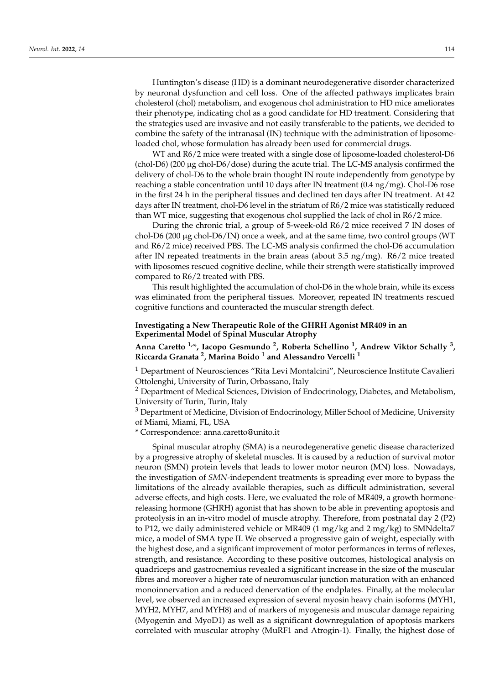Huntington's disease (HD) is a dominant neurodegenerative disorder characterized by neuronal dysfunction and cell loss. One of the affected pathways implicates brain cholesterol (chol) metabolism, and exogenous chol administration to HD mice ameliorates their phenotype, indicating chol as a good candidate for HD treatment. Considering that the strategies used are invasive and not easily transferable to the patients, we decided to combine the safety of the intranasal (IN) technique with the administration of liposomeloaded chol, whose formulation has already been used for commercial drugs.

WT and R6/2 mice were treated with a single dose of liposome-loaded cholesterol-D6 (chol-D6) (200 µg chol-D6/dose) during the acute trial. The LC-MS analysis confirmed the delivery of chol-D6 to the whole brain thought IN route independently from genotype by reaching a stable concentration until 10 days after IN treatment (0.4 ng/mg). Chol-D6 rose in the first 24 h in the peripheral tissues and declined ten days after IN treatment. At 42 days after IN treatment, chol-D6 level in the striatum of R6/2 mice was statistically reduced than WT mice, suggesting that exogenous chol supplied the lack of chol in R6/2 mice.

During the chronic trial, a group of 5-week-old R6/2 mice received 7 IN doses of chol-D6 (200  $\mu$ g chol-D6/IN) once a week, and at the same time, two control groups (WT and R6/2 mice) received PBS. The LC-MS analysis confirmed the chol-D6 accumulation after IN repeated treatments in the brain areas (about 3.5  $\frac{ng}{mg}$ ). R6/2 mice treated with liposomes rescued cognitive decline, while their strength were statistically improved compared to R6/2 treated with PBS.

This result highlighted the accumulation of chol-D6 in the whole brain, while its excess was eliminated from the peripheral tissues. Moreover, repeated IN treatments rescued cognitive functions and counteracted the muscular strength defect.

#### **Investigating a New Therapeutic Role of the GHRH Agonist MR409 in an Experimental Model of Spinal Muscular Atrophy**

**Anna Caretto 1,\*, Iacopo Gesmundo <sup>2</sup> , Roberta Schellino <sup>1</sup> , Andrew Viktor Schally <sup>3</sup> , Riccarda Granata <sup>2</sup> , Marina Boido <sup>1</sup> and Alessandro Vercelli <sup>1</sup>**

<sup>1</sup> Department of Neurosciences "Rita Levi Montalcini", Neuroscience Institute Cavalieri Ottolenghi, University of Turin, Orbassano, Italy

<sup>2</sup> Department of Medical Sciences, Division of Endocrinology, Diabetes, and Metabolism, University of Turin, Turin, Italy

<sup>3</sup> Department of Medicine, Division of Endocrinology, Miller School of Medicine, University of Miami, Miami, FL, USA

\* Correspondence: anna.caretto@unito.it

Spinal muscular atrophy (SMA) is a neurodegenerative genetic disease characterized by a progressive atrophy of skeletal muscles. It is caused by a reduction of survival motor neuron (SMN) protein levels that leads to lower motor neuron (MN) loss. Nowadays, the investigation of *SMN*-independent treatments is spreading ever more to bypass the limitations of the already available therapies, such as difficult administration, several adverse effects, and high costs. Here, we evaluated the role of MR409, a growth hormonereleasing hormone (GHRH) agonist that has shown to be able in preventing apoptosis and proteolysis in an in-vitro model of muscle atrophy. Therefore, from postnatal day 2 (P2) to P12, we daily administered vehicle or MR409 (1 mg/kg and 2 mg/kg) to SMNdelta7 mice, a model of SMA type II. We observed a progressive gain of weight, especially with the highest dose, and a significant improvement of motor performances in terms of reflexes, strength, and resistance. According to these positive outcomes, histological analysis on quadriceps and gastrocnemius revealed a significant increase in the size of the muscular fibres and moreover a higher rate of neuromuscular junction maturation with an enhanced monoinnervation and a reduced denervation of the endplates. Finally, at the molecular level, we observed an increased expression of several myosin heavy chain isoforms (MYH1, MYH2, MYH7, and MYH8) and of markers of myogenesis and muscular damage repairing (Myogenin and MyoD1) as well as a significant downregulation of apoptosis markers correlated with muscular atrophy (MuRF1 and Atrogin-1). Finally, the highest dose of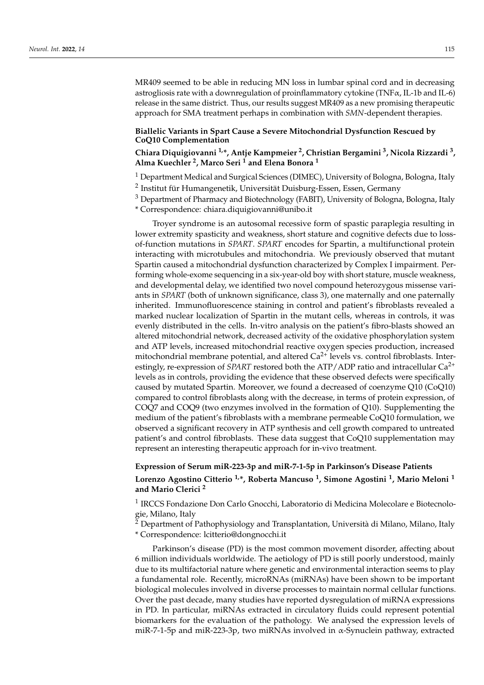MR409 seemed to be able in reducing MN loss in lumbar spinal cord and in decreasing astrogliosis rate with a downregulation of proinflammatory cytokine (TNFα, IL-1b and IL-6) release in the same district. Thus, our results suggest MR409 as a new promising therapeutic approach for SMA treatment perhaps in combination with *SMN*-dependent therapies.

#### **Biallelic Variants in Spart Cause a Severe Mitochondrial Dysfunction Rescued by CoQ10 Complementation**

# **Chiara Diquigiovanni 1,\*, Antje Kampmeier <sup>2</sup> , Christian Bergamini <sup>3</sup> , Nicola Rizzardi <sup>3</sup> , Alma Kuechler <sup>2</sup> , Marco Seri <sup>1</sup> and Elena Bonora <sup>1</sup>**

- <sup>1</sup> Department Medical and Surgical Sciences (DIMEC), University of Bologna, Bologna, Italy
- <sup>2</sup> Institut für Humangenetik, Universität Duisburg-Essen, Essen, Germany
- <sup>3</sup> Department of Pharmacy and Biotechnology (FABIT), University of Bologna, Bologna, Italy

\* Correspondence: chiara.diquigiovanni@unibo.it

Troyer syndrome is an autosomal recessive form of spastic paraplegia resulting in lower extremity spasticity and weakness, short stature and cognitive defects due to lossof-function mutations in *SPART*. *SPART* encodes for Spartin, a multifunctional protein interacting with microtubules and mitochondria. We previously observed that mutant Spartin caused a mitochondrial dysfunction characterized by Complex I impairment. Performing whole-exome sequencing in a six-year-old boy with short stature, muscle weakness, and developmental delay, we identified two novel compound heterozygous missense variants in *SPART* (both of unknown significance, class 3), one maternally and one paternally inherited. Immunofluorescence staining in control and patient's fibroblasts revealed a marked nuclear localization of Spartin in the mutant cells, whereas in controls, it was evenly distributed in the cells. In-vitro analysis on the patient's fibro-blasts showed an altered mitochondrial network, decreased activity of the oxidative phosphorylation system and ATP levels, increased mitochondrial reactive oxygen species production, increased mitochondrial membrane potential, and altered  $Ca<sup>2+</sup>$  levels vs. control fibroblasts. Interestingly, re-expression of *SPART* restored both the  $ATP/ADP$  ratio and intracellular  $Ca^{2+}$ levels as in controls, providing the evidence that these observed defects were specifically caused by mutated Spartin. Moreover, we found a decreased of coenzyme Q10 (CoQ10) compared to control fibroblasts along with the decrease, in terms of protein expression, of COQ7 and COQ9 (two enzymes involved in the formation of Q10). Supplementing the medium of the patient's fibroblasts with a membrane permeable CoQ10 formulation, we observed a significant recovery in ATP synthesis and cell growth compared to untreated patient's and control fibroblasts. These data suggest that CoQ10 supplementation may represent an interesting therapeutic approach for in-vivo treatment.

# **Expression of Serum miR-223-3p and miR-7-1-5p in Parkinson's Disease Patients Lorenzo Agostino Citterio 1,\*, Roberta Mancuso <sup>1</sup> , Simone Agostini <sup>1</sup> , Mario Meloni <sup>1</sup> and Mario Clerici <sup>2</sup>**

<sup>1</sup> IRCCS Fondazione Don Carlo Gnocchi, Laboratorio di Medicina Molecolare e Biotecnologie, Milano, Italy

 $\frac{3}{2}$  Department of Pathophysiology and Transplantation, Università di Milano, Milano, Italy \* Correspondence: lcitterio@dongnocchi.it

Parkinson's disease (PD) is the most common movement disorder, affecting about 6 million individuals worldwide. The aetiology of PD is still poorly understood, mainly due to its multifactorial nature where genetic and environmental interaction seems to play a fundamental role. Recently, microRNAs (miRNAs) have been shown to be important biological molecules involved in diverse processes to maintain normal cellular functions. Over the past decade, many studies have reported dysregulation of miRNA expressions in PD. In particular, miRNAs extracted in circulatory fluids could represent potential biomarkers for the evaluation of the pathology. We analysed the expression levels of miR-7-1-5p and miR-223-3p, two miRNAs involved in α-Synuclein pathway, extracted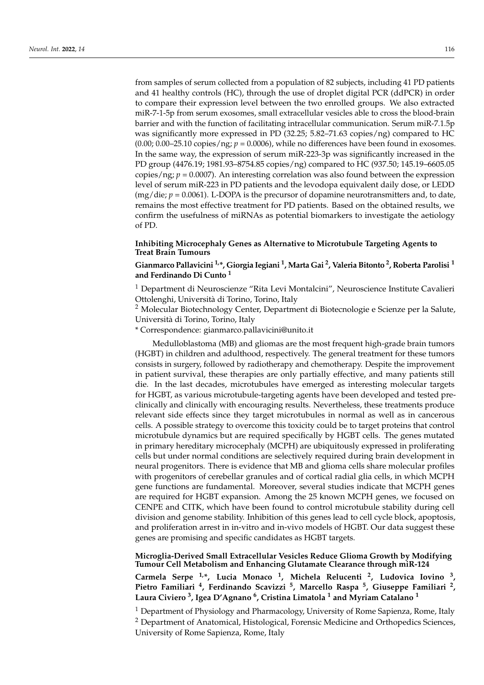from samples of serum collected from a population of 82 subjects, including 41 PD patients and 41 healthy controls (HC), through the use of droplet digital PCR (ddPCR) in order to compare their expression level between the two enrolled groups. We also extracted miR-7-1-5p from serum exosomes, small extracellular vesicles able to cross the blood-brain barrier and with the function of facilitating intracellular communication. Serum miR-7.1.5p was significantly more expressed in PD (32.25; 5.82–71.63 copies/ng) compared to HC  $(0.00; 0.00-25.10 \text{ copies}/\text{ng}; p = 0.0006)$ , while no differences have been found in exosomes. In the same way, the expression of serum miR-223-3p was significantly increased in the PD group (4476.19; 1981.93–8754.85 copies/ng) compared to HC (937.50; 145.19–6605.05 copies/ng;  $p = 0.0007$ ). An interesting correlation was also found between the expression level of serum miR-223 in PD patients and the levodopa equivalent daily dose, or LEDD (mg/die; *p* = 0.0061). L-DOPA is the precursor of dopamine neurotransmitters and, to date, remains the most effective treatment for PD patients. Based on the obtained results, we confirm the usefulness of miRNAs as potential biomarkers to investigate the aetiology of PD.

### **Inhibiting Microcephaly Genes as Alternative to Microtubule Targeting Agents to Treat Brain Tumours**

# **Gianmarco Pallavicini 1,\*, Giorgia Iegiani <sup>1</sup> , Marta Gai <sup>2</sup> , Valeria Bitonto <sup>2</sup> , Roberta Parolisi <sup>1</sup> and Ferdinando Di Cunto <sup>1</sup>**

<sup>1</sup> Department di Neuroscienze "Rita Levi Montalcini", Neuroscience Institute Cavalieri Ottolenghi, Università di Torino, Torino, Italy

<sup>2</sup> Molecular Biotechnology Center, Department di Biotecnologie e Scienze per la Salute, Università di Torino, Torino, Italy

\* Correspondence: gianmarco.pallavicini@unito.it

Medulloblastoma (MB) and gliomas are the most frequent high-grade brain tumors (HGBT) in children and adulthood, respectively. The general treatment for these tumors consists in surgery, followed by radiotherapy and chemotherapy. Despite the improvement in patient survival, these therapies are only partially effective, and many patients still die. In the last decades, microtubules have emerged as interesting molecular targets for HGBT, as various microtubule-targeting agents have been developed and tested preclinically and clinically with encouraging results. Nevertheless, these treatments produce relevant side effects since they target microtubules in normal as well as in cancerous cells. A possible strategy to overcome this toxicity could be to target proteins that control microtubule dynamics but are required specifically by HGBT cells. The genes mutated in primary hereditary microcephaly (MCPH) are ubiquitously expressed in proliferating cells but under normal conditions are selectively required during brain development in neural progenitors. There is evidence that MB and glioma cells share molecular profiles with progenitors of cerebellar granules and of cortical radial glia cells, in which MCPH gene functions are fundamental. Moreover, several studies indicate that MCPH genes are required for HGBT expansion. Among the 25 known MCPH genes, we focused on CENPE and CITK, which have been found to control microtubule stability during cell division and genome stability. Inhibition of this genes lead to cell cycle block, apoptosis, and proliferation arrest in in-vitro and in-vivo models of HGBT. Our data suggest these genes are promising and specific candidates as HGBT targets.

#### **Microglia-Derived Small Extracellular Vesicles Reduce Glioma Growth by Modifying Tumour Cell Metabolism and Enhancing Glutamate Clearance through miR-124**

**Carmela Serpe 1,\*, Lucia Monaco <sup>1</sup> , Michela Relucenti <sup>2</sup> , Ludovica Iovino <sup>3</sup> , Pietro Familiari <sup>4</sup> , Ferdinando Scavizzi <sup>5</sup> , Marcello Raspa <sup>5</sup> , Giuseppe Familiari <sup>2</sup> , Laura Civiero <sup>3</sup> , Igea D'Agnano <sup>6</sup> , Cristina Limatola <sup>1</sup> and Myriam Catalano <sup>1</sup>**

 $<sup>1</sup>$  Department of Physiology and Pharmacology, University of Rome Sapienza, Rome, Italy</sup> <sup>2</sup> Department of Anatomical, Histological, Forensic Medicine and Orthopedics Sciences, University of Rome Sapienza, Rome, Italy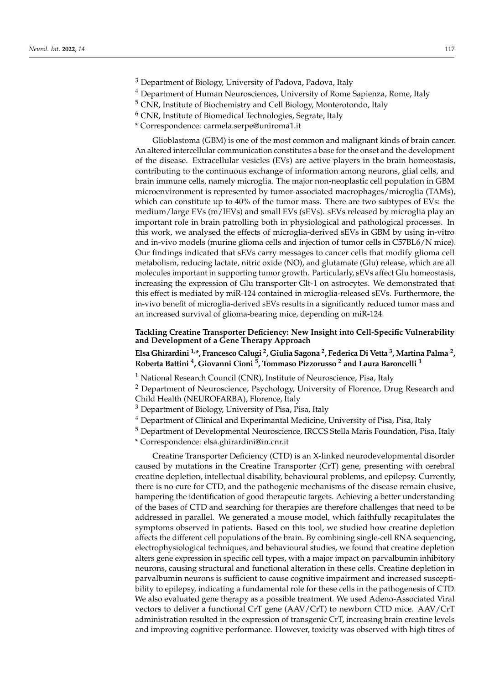- <sup>3</sup> Department of Biology, University of Padova, Padova, Italy
- <sup>4</sup> Department of Human Neurosciences, University of Rome Sapienza, Rome, Italy
- <sup>5</sup> CNR, Institute of Biochemistry and Cell Biology, Monterotondo, Italy
- $6$  CNR, Institute of Biomedical Technologies, Segrate, Italy
- \* Correspondence: carmela.serpe@uniroma1.it

Glioblastoma (GBM) is one of the most common and malignant kinds of brain cancer. An altered intercellular communication constitutes a base for the onset and the development of the disease. Extracellular vesicles (EVs) are active players in the brain homeostasis, contributing to the continuous exchange of information among neurons, glial cells, and brain immune cells, namely microglia. The major non-neoplastic cell population in GBM microenvironment is represented by tumor-associated macrophages/microglia (TAMs), which can constitute up to 40% of the tumor mass. There are two subtypes of EVs: the medium/large EVs (m/lEVs) and small EVs (sEVs). sEVs released by microglia play an important role in brain patrolling both in physiological and pathological processes. In this work, we analysed the effects of microglia-derived sEVs in GBM by using in-vitro and in-vivo models (murine glioma cells and injection of tumor cells in C57BL6/N mice). Our findings indicated that sEVs carry messages to cancer cells that modify glioma cell metabolism, reducing lactate, nitric oxide (NO), and glutamate (Glu) release, which are all molecules important in supporting tumor growth. Particularly, sEVs affect Glu homeostasis, increasing the expression of Glu transporter Glt-1 on astrocytes. We demonstrated that this effect is mediated by miR-124 contained in microglia-released sEVs. Furthermore, the in-vivo benefit of microglia-derived sEVs results in a significantly reduced tumor mass and an increased survival of glioma-bearing mice, depending on miR-124.

**Tackling Creatine Transporter Deficiency: New Insight into Cell-Specific Vulnerability and Development of a Gene Therapy Approach**

**Elsa Ghirardini 1,\*, Francesco Calugi <sup>2</sup> , Giulia Sagona <sup>2</sup> , Federica Di Vetta <sup>3</sup> , Martina Palma <sup>2</sup> , Roberta Battini <sup>4</sup> , Giovanni Cioni <sup>5</sup> , Tommaso Pizzorusso <sup>2</sup> and Laura Baroncelli <sup>1</sup>**

<sup>1</sup> National Research Council (CNR), Institute of Neuroscience, Pisa, Italy

<sup>2</sup> Department of Neuroscience, Psychology, University of Florence, Drug Research and Child Health (NEUROFARBA), Florence, Italy

<sup>3</sup> Department of Biology, University of Pisa, Pisa, Italy

<sup>4</sup> Department of Clinical and Experimantal Medicine, University of Pisa, Pisa, Italy

<sup>5</sup> Department of Developmental Neuroscience, IRCCS Stella Maris Foundation, Pisa, Italy

\* Correspondence: elsa.ghirardini@in.cnr.it

Creatine Transporter Deficiency (CTD) is an X-linked neurodevelopmental disorder caused by mutations in the Creatine Transporter (CrT) gene, presenting with cerebral creatine depletion, intellectual disability, behavioural problems, and epilepsy. Currently, there is no cure for CTD, and the pathogenic mechanisms of the disease remain elusive, hampering the identification of good therapeutic targets. Achieving a better understanding of the bases of CTD and searching for therapies are therefore challenges that need to be addressed in parallel. We generated a mouse model, which faithfully recapitulates the symptoms observed in patients. Based on this tool, we studied how creatine depletion affects the different cell populations of the brain. By combining single-cell RNA sequencing, electrophysiological techniques, and behavioural studies, we found that creatine depletion alters gene expression in specific cell types, with a major impact on parvalbumin inhibitory neurons, causing structural and functional alteration in these cells. Creatine depletion in parvalbumin neurons is sufficient to cause cognitive impairment and increased susceptibility to epilepsy, indicating a fundamental role for these cells in the pathogenesis of CTD. We also evaluated gene therapy as a possible treatment. We used Adeno-Associated Viral vectors to deliver a functional CrT gene (AAV/CrT) to newborn CTD mice. AAV/CrT administration resulted in the expression of transgenic CrT, increasing brain creatine levels and improving cognitive performance. However, toxicity was observed with high titres of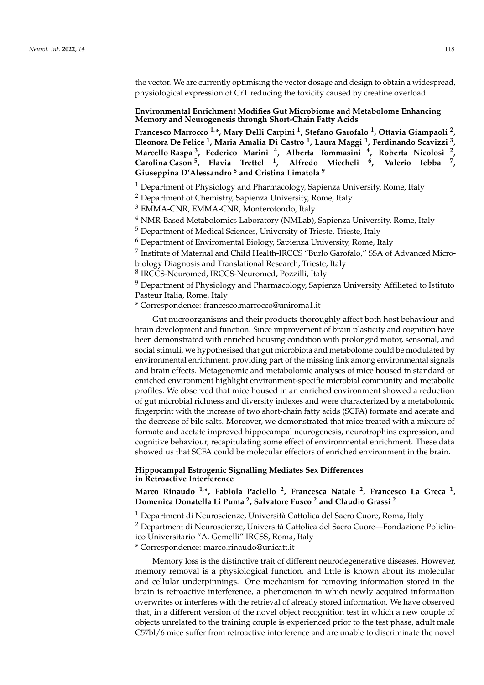the vector. We are currently optimising the vector dosage and design to obtain a widespread, physiological expression of CrT reducing the toxicity caused by creatine overload.

### **Environmental Enrichment Modifies Gut Microbiome and Metabolome Enhancing Memory and Neurogenesis through Short-Chain Fatty Acids**

**Francesco Marrocco 1,\*, Mary Delli Carpini <sup>1</sup> , Stefano Garofalo <sup>1</sup> , Ottavia Giampaoli <sup>2</sup> , Eleonora De Felice <sup>1</sup> , Maria Amalia Di Castro <sup>1</sup> , Laura Maggi <sup>1</sup> , Ferdinando Scavizzi <sup>3</sup> , Marcello Raspa <sup>3</sup> , Federico Marini <sup>4</sup> , Alberta Tommasini <sup>4</sup> , Roberta Nicolosi <sup>2</sup> , Carolina Cason <sup>5</sup> , Flavia Trettel <sup>1</sup> , Alfredo Miccheli <sup>6</sup> , Valerio Iebba <sup>7</sup> , Giuseppina D'Alessandro <sup>8</sup> and Cristina Limatola <sup>9</sup>**

<sup>1</sup> Department of Physiology and Pharmacology, Sapienza University, Rome, Italy

<sup>2</sup> Department of Chemistry, Sapienza University, Rome, Italy

<sup>3</sup> EMMA-CNR, EMMA-CNR, Monterotondo, Italy

<sup>4</sup> NMR-Based Metabolomics Laboratory (NMLab), Sapienza University, Rome, Italy

<sup>5</sup> Department of Medical Sciences, University of Trieste, Trieste, Italy

<sup>6</sup> Department of Enviromental Biology, Sapienza University, Rome, Italy

<sup>7</sup> Institute of Maternal and Child Health-IRCCS "Burlo Garofalo," SSA of Advanced Microbiology Diagnosis and Translational Research, Trieste, Italy

8 IRCCS-Neuromed, IRCCS-Neuromed, Pozzilli, Italy

<sup>9</sup> Department of Physiology and Pharmacology, Sapienza University Affilieted to Istituto Pasteur Italia, Rome, Italy

\* Correspondence: francesco.marrocco@uniroma1.it

Gut microorganisms and their products thoroughly affect both host behaviour and brain development and function. Since improvement of brain plasticity and cognition have been demonstrated with enriched housing condition with prolonged motor, sensorial, and social stimuli, we hypothesised that gut microbiota and metabolome could be modulated by environmental enrichment, providing part of the missing link among environmental signals and brain effects. Metagenomic and metabolomic analyses of mice housed in standard or enriched environment highlight environment-specific microbial community and metabolic profiles. We observed that mice housed in an enriched environment showed a reduction of gut microbial richness and diversity indexes and were characterized by a metabolomic fingerprint with the increase of two short-chain fatty acids (SCFA) formate and acetate and the decrease of bile salts. Moreover, we demonstrated that mice treated with a mixture of formate and acetate improved hippocampal neurogenesis, neurotrophins expression, and cognitive behaviour, recapitulating some effect of environmental enrichment. These data showed us that SCFA could be molecular effectors of enriched environment in the brain.

**Hippocampal Estrogenic Signalling Mediates Sex Differences in Retroactive Interference**

**Marco Rinaudo 1,\*, Fabiola Paciello <sup>2</sup> , Francesca Natale <sup>2</sup> , Francesco La Greca <sup>1</sup> , Domenica Donatella Li Puma <sup>2</sup> , Salvatore Fusco <sup>2</sup> and Claudio Grassi <sup>2</sup>**

<sup>1</sup> Department di Neuroscienze, Università Cattolica del Sacro Cuore, Roma, Italy

<sup>2</sup> Department di Neuroscienze, Università Cattolica del Sacro Cuore—Fondazione Policlinico Universitario "A. Gemelli" IRCSS, Roma, Italy

\* Correspondence: marco.rinaudo@unicatt.it

Memory loss is the distinctive trait of different neurodegenerative diseases. However, memory removal is a physiological function, and little is known about its molecular and cellular underpinnings. One mechanism for removing information stored in the brain is retroactive interference, a phenomenon in which newly acquired information overwrites or interferes with the retrieval of already stored information. We have observed that, in a different version of the novel object recognition test in which a new couple of objects unrelated to the training couple is experienced prior to the test phase, adult male C57bl/6 mice suffer from retroactive interference and are unable to discriminate the novel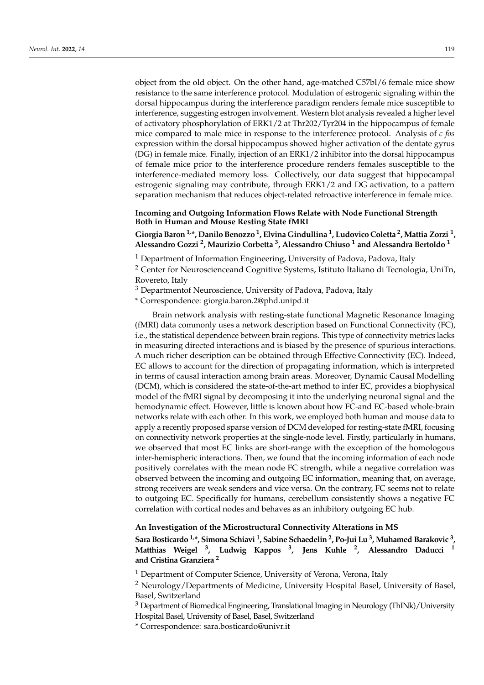object from the old object. On the other hand, age-matched C57bl/6 female mice show resistance to the same interference protocol. Modulation of estrogenic signaling within the dorsal hippocampus during the interference paradigm renders female mice susceptible to interference, suggesting estrogen involvement. Western blot analysis revealed a higher level of activatory phosphorylation of ERK1/2 at Thr202/Tyr204 in the hippocampus of female mice compared to male mice in response to the interference protocol. Analysis of *c-fos* expression within the dorsal hippocampus showed higher activation of the dentate gyrus (DG) in female mice. Finally, injection of an ERK1/2 inhibitor into the dorsal hippocampus of female mice prior to the interference procedure renders females susceptible to the interference-mediated memory loss. Collectively, our data suggest that hippocampal estrogenic signaling may contribute, through ERK1/2 and DG activation, to a pattern separation mechanism that reduces object-related retroactive interference in female mice.

### **Incoming and Outgoing Information Flows Relate with Node Functional Strength Both in Human and Mouse Resting State fMRI**

**Giorgia Baron 1,\*, Danilo Benozzo <sup>1</sup> , Elvina Gindullina <sup>1</sup> , Ludovico Coletta <sup>2</sup> , Mattia Zorzi <sup>1</sup> , Alessandro Gozzi <sup>2</sup> , Maurizio Corbetta <sup>3</sup> , Alessandro Chiuso <sup>1</sup> and Alessandra Bertoldo <sup>1</sup>**

<sup>1</sup> Department of Information Engineering, University of Padova, Padova, Italy

<sup>2</sup> Center for Neuroscienceand Cognitive Systems, Istituto Italiano di Tecnologia, UniTn, Rovereto, Italy

<sup>3</sup> Departmentof Neuroscience, University of Padova, Padova, Italy

\* Correspondence: giorgia.baron.2@phd.unipd.it

Brain network analysis with resting-state functional Magnetic Resonance Imaging (fMRI) data commonly uses a network description based on Functional Connectivity (FC), i.e., the statistical dependence between brain regions. This type of connectivity metrics lacks in measuring directed interactions and is biased by the presence of spurious interactions. A much richer description can be obtained through Effective Connectivity (EC). Indeed, EC allows to account for the direction of propagating information, which is interpreted in terms of causal interaction among brain areas. Moreover, Dynamic Causal Modelling (DCM), which is considered the state-of-the-art method to infer EC, provides a biophysical model of the fMRI signal by decomposing it into the underlying neuronal signal and the hemodynamic effect. However, little is known about how FC-and EC-based whole-brain networks relate with each other. In this work, we employed both human and mouse data to apply a recently proposed sparse version of DCM developed for resting-state fMRI, focusing on connectivity network properties at the single-node level. Firstly, particularly in humans, we observed that most EC links are short-range with the exception of the homologous inter-hemispheric interactions. Then, we found that the incoming information of each node positively correlates with the mean node FC strength, while a negative correlation was observed between the incoming and outgoing EC information, meaning that, on average, strong receivers are weak senders and vice versa. On the contrary, FC seems not to relate to outgoing EC. Specifically for humans, cerebellum consistently shows a negative FC correlation with cortical nodes and behaves as an inhibitory outgoing EC hub.

#### **An Investigation of the Microstructural Connectivity Alterations in MS**

**Sara Bosticardo 1,\*, Simona Schiavi <sup>1</sup> , Sabine Schaedelin <sup>2</sup> , Po-Jui Lu <sup>3</sup> , Muhamed Barakovic <sup>3</sup> , Matthias Weigel <sup>3</sup> , Ludwig Kappos <sup>3</sup> , Jens Kuhle <sup>2</sup> , Alessandro Daducci <sup>1</sup> and Cristina Granziera <sup>2</sup>**

<sup>1</sup> Department of Computer Science, University of Verona, Verona, Italy

<sup>2</sup> Neurology/Departments of Medicine, University Hospital Basel, University of Basel, Basel, Switzerland

<sup>3</sup> Department of Biomedical Engineering, Translational Imaging in Neurology (ThINk)/University Hospital Basel, University of Basel, Basel, Switzerland

\* Correspondence: sara.bosticardo@univr.it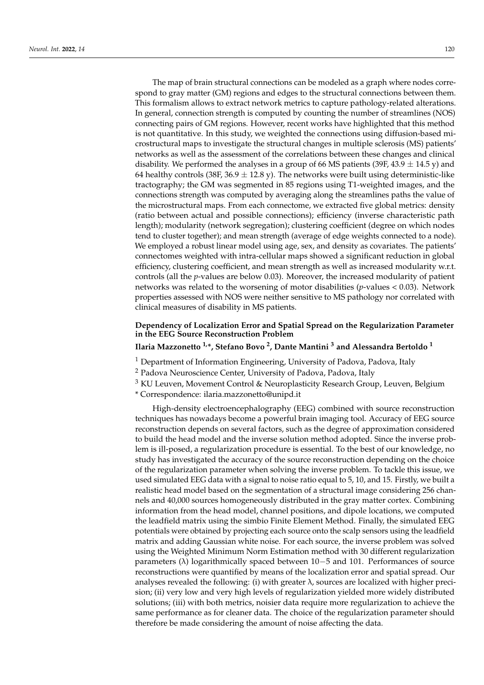The map of brain structural connections can be modeled as a graph where nodes correspond to gray matter (GM) regions and edges to the structural connections between them. This formalism allows to extract network metrics to capture pathology-related alterations. In general, connection strength is computed by counting the number of streamlines (NOS) connecting pairs of GM regions. However, recent works have highlighted that this method is not quantitative. In this study, we weighted the connections using diffusion-based microstructural maps to investigate the structural changes in multiple sclerosis (MS) patients' networks as well as the assessment of the correlations between these changes and clinical disability. We performed the analyses in a group of 66 MS patients (39F, 43.9  $\pm$  14.5 y) and 64 healthy controls (38F, 36.9  $\pm$  12.8 y). The networks were built using deterministic-like tractography; the GM was segmented in 85 regions using T1-weighted images, and the connections strength was computed by averaging along the streamlines paths the value of the microstructural maps. From each connectome, we extracted five global metrics: density (ratio between actual and possible connections); efficiency (inverse characteristic path length); modularity (network segregation); clustering coefficient (degree on which nodes tend to cluster together); and mean strength (average of edge weights connected to a node). We employed a robust linear model using age, sex, and density as covariates. The patients' connectomes weighted with intra-cellular maps showed a significant reduction in global efficiency, clustering coefficient, and mean strength as well as increased modularity w.r.t. controls (all the *p*-values are below 0.03). Moreover, the increased modularity of patient networks was related to the worsening of motor disabilities (*p*-values < 0.03). Network properties assessed with NOS were neither sensitive to MS pathology nor correlated with clinical measures of disability in MS patients.

### **Dependency of Localization Error and Spatial Spread on the Regularization Parameter in the EEG Source Reconstruction Problem**

### **Ilaria Mazzonetto 1,\*, Stefano Bovo <sup>2</sup> , Dante Mantini <sup>3</sup> and Alessandra Bertoldo <sup>1</sup>**

<sup>1</sup> Department of Information Engineering, University of Padova, Padova, Italy

<sup>2</sup> Padova Neuroscience Center, University of Padova, Padova, Italy

<sup>3</sup> KU Leuven, Movement Control & Neuroplasticity Research Group, Leuven, Belgium

\* Correspondence: ilaria.mazzonetto@unipd.it

High-density electroencephalography (EEG) combined with source reconstruction techniques has nowadays become a powerful brain imaging tool. Accuracy of EEG source reconstruction depends on several factors, such as the degree of approximation considered to build the head model and the inverse solution method adopted. Since the inverse problem is ill-posed, a regularization procedure is essential. To the best of our knowledge, no study has investigated the accuracy of the source reconstruction depending on the choice of the regularization parameter when solving the inverse problem. To tackle this issue, we used simulated EEG data with a signal to noise ratio equal to 5, 10, and 15. Firstly, we built a realistic head model based on the segmentation of a structural image considering 256 channels and 40,000 sources homogeneously distributed in the gray matter cortex. Combining information from the head model, channel positions, and dipole locations, we computed the leadfield matrix using the simbio Finite Element Method. Finally, the simulated EEG potentials were obtained by projecting each source onto the scalp sensors using the leadfield matrix and adding Gaussian white noise. For each source, the inverse problem was solved using the Weighted Minimum Norm Estimation method with 30 different regularization parameters (λ) logarithmically spaced between 10−5 and 101. Performances of source reconstructions were quantified by means of the localization error and spatial spread. Our analyses revealed the following: (i) with greater  $\lambda$ , sources are localized with higher precision; (ii) very low and very high levels of regularization yielded more widely distributed solutions; (iii) with both metrics, noisier data require more regularization to achieve the same performance as for cleaner data. The choice of the regularization parameter should therefore be made considering the amount of noise affecting the data.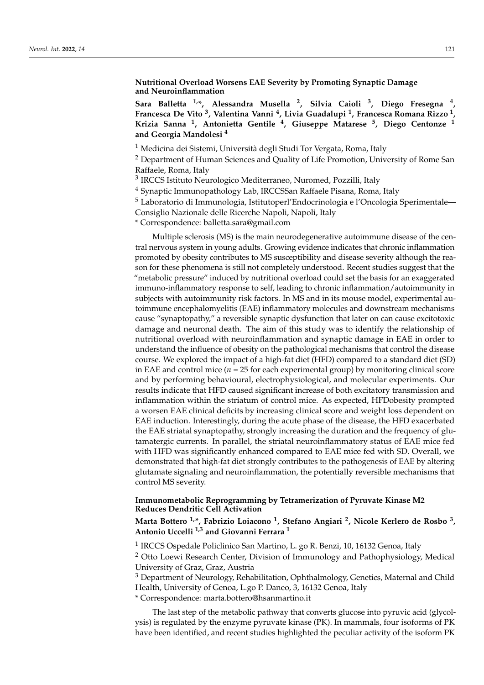### **Nutritional Overload Worsens EAE Severity by Promoting Synaptic Damage and Neuroinflammation**

**Sara Balletta 1,\*, Alessandra Musella <sup>2</sup> , Silvia Caioli <sup>3</sup> , Diego Fresegna <sup>4</sup> , Francesca De Vito <sup>3</sup> , Valentina Vanni <sup>4</sup> , Livia Guadalupi <sup>1</sup> , Francesca Romana Rizzo <sup>1</sup> , Krizia Sanna <sup>1</sup> , Antonietta Gentile <sup>4</sup> , Giuseppe Matarese <sup>5</sup> , Diego Centonze <sup>1</sup> and Georgia Mandolesi <sup>4</sup>**

<sup>1</sup> Medicina dei Sistemi, Università degli Studi Tor Vergata, Roma, Italy

<sup>2</sup> Department of Human Sciences and Quality of Life Promotion, University of Rome San Raffaele, Roma, Italy

<sup>3</sup> IRCCS Istituto Neurologico Mediterraneo, Nuromed, Pozzilli, Italy

<sup>4</sup> Synaptic Immunopathology Lab, IRCCSSan Raffaele Pisana, Roma, Italy

<sup>5</sup> Laboratorio di Immunologia, Istitutoperl'Endocrinologia e l'Oncologia Sperimentale—

Consiglio Nazionale delle Ricerche Napoli, Napoli, Italy

\* Correspondence: balletta.sara@gmail.com

Multiple sclerosis (MS) is the main neurodegenerative autoimmune disease of the central nervous system in young adults. Growing evidence indicates that chronic inflammation promoted by obesity contributes to MS susceptibility and disease severity although the reason for these phenomena is still not completely understood. Recent studies suggest that the "metabolic pressure" induced by nutritional overload could set the basis for an exaggerated immuno-inflammatory response to self, leading to chronic inflammation/autoimmunity in subjects with autoimmunity risk factors. In MS and in its mouse model, experimental autoimmune encephalomyelitis (EAE) inflammatory molecules and downstream mechanisms cause "synaptopathy," a reversible synaptic dysfunction that later on can cause excitotoxic damage and neuronal death. The aim of this study was to identify the relationship of nutritional overload with neuroinflammation and synaptic damage in EAE in order to understand the influence of obesity on the pathological mechanisms that control the disease course. We explored the impact of a high-fat diet (HFD) compared to a standard diet (SD) in EAE and control mice ( $n = 25$  for each experimental group) by monitoring clinical score and by performing behavioural, electrophysiological, and molecular experiments. Our results indicate that HFD caused significant increase of both excitatory transmission and inflammation within the striatum of control mice. As expected, HFDobesity prompted a worsen EAE clinical deficits by increasing clinical score and weight loss dependent on EAE induction. Interestingly, during the acute phase of the disease, the HFD exacerbated the EAE striatal synaptopathy, strongly increasing the duration and the frequency of glutamatergic currents. In parallel, the striatal neuroinflammatory status of EAE mice fed with HFD was significantly enhanced compared to EAE mice fed with SD. Overall, we demonstrated that high-fat diet strongly contributes to the pathogenesis of EAE by altering glutamate signaling and neuroinflammation, the potentially reversible mechanisms that control MS severity.

#### **Immunometabolic Reprogramming by Tetramerization of Pyruvate Kinase M2 Reduces Dendritic Cell Activation**

**Marta Bottero 1,\*, Fabrizio Loiacono <sup>1</sup> , Stefano Angiari <sup>2</sup> , Nicole Kerlero de Rosbo <sup>3</sup> , Antonio Uccelli 1,3 and Giovanni Ferrara <sup>1</sup>**

<sup>1</sup> IRCCS Ospedale Policlinico San Martino, L. go R. Benzi, 10, 16132 Genoa, Italy

<sup>2</sup> Otto Loewi Research Center, Division of Immunology and Pathophysiology, Medical University of Graz, Graz, Austria

 $3$  Department of Neurology, Rehabilitation, Ophthalmology, Genetics, Maternal and Child Health, University of Genoa, L.go P. Daneo, 3, 16132 Genoa, Italy

\* Correspondence: marta.bottero@hsanmartino.it

The last step of the metabolic pathway that converts glucose into pyruvic acid (glycolysis) is regulated by the enzyme pyruvate kinase (PK). In mammals, four isoforms of PK have been identified, and recent studies highlighted the peculiar activity of the isoform PK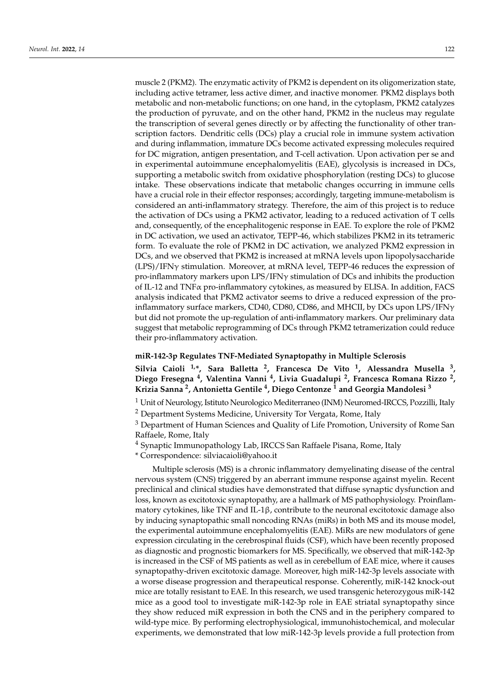muscle 2 (PKM2). The enzymatic activity of PKM2 is dependent on its oligomerization state, including active tetramer, less active dimer, and inactive monomer. PKM2 displays both metabolic and non-metabolic functions; on one hand, in the cytoplasm, PKM2 catalyzes the production of pyruvate, and on the other hand, PKM2 in the nucleus may regulate the transcription of several genes directly or by affecting the functionality of other transcription factors. Dendritic cells (DCs) play a crucial role in immune system activation and during inflammation, immature DCs become activated expressing molecules required for DC migration, antigen presentation, and T-cell activation. Upon activation per se and in experimental autoimmune encephalomyelitis (EAE), glycolysis is increased in DCs, supporting a metabolic switch from oxidative phosphorylation (resting DCs) to glucose intake. These observations indicate that metabolic changes occurring in immune cells have a crucial role in their effector responses; accordingly, targeting immune-metabolism is considered an anti-inflammatory strategy. Therefore, the aim of this project is to reduce the activation of DCs using a PKM2 activator, leading to a reduced activation of T cells and, consequently, of the encephalitogenic response in EAE. To explore the role of PKM2 in DC activation, we used an activator, TEPP-46, which stabilizes PKM2 in its tetrameric form. To evaluate the role of PKM2 in DC activation, we analyzed PKM2 expression in DCs, and we observed that PKM2 is increased at mRNA levels upon lipopolysaccharide  $(LPS)/IFN<sub>Y</sub>$  stimulation. Moreover, at mRNA level, TEPP-46 reduces the expression of pro-inflammatory markers upon LPS/IFNγ stimulation of DCs and inhibits the production of IL-12 and  $TNF\alpha$  pro-inflammatory cytokines, as measured by ELISA. In addition, FACS analysis indicated that PKM2 activator seems to drive a reduced expression of the proinflammatory surface markers, CD40, CD80, CD86, and MHCII, by DCs upon LPS/IFN $\gamma$ but did not promote the up-regulation of anti-inflammatory markers. Our preliminary data suggest that metabolic reprogramming of DCs through PKM2 tetramerization could reduce their pro-inflammatory activation.

#### **miR-142-3p Regulates TNF-Mediated Synaptopathy in Multiple Sclerosis**

**Silvia Caioli 1,\*, Sara Balletta <sup>2</sup> , Francesca De Vito <sup>1</sup> , Alessandra Musella <sup>3</sup> , Diego Fresegna <sup>4</sup> , Valentina Vanni <sup>4</sup> , Livia Guadalupi <sup>2</sup> , Francesca Romana Rizzo <sup>2</sup> , Krizia Sanna <sup>2</sup> , Antonietta Gentile <sup>4</sup> , Diego Centonze <sup>1</sup> and Georgia Mandolesi <sup>3</sup>**

<sup>1</sup> Unit of Neurology, Istituto Neurologico Mediterraneo (INM) Neuromed-IRCCS, Pozzilli, Italy

<sup>2</sup> Department Systems Medicine, University Tor Vergata, Rome, Italy

<sup>3</sup> Department of Human Sciences and Quality of Life Promotion, University of Rome San Raffaele, Rome, Italy

<sup>4</sup> Synaptic Immunopathology Lab, IRCCS San Raffaele Pisana, Rome, Italy

\* Correspondence: silviacaioli@yahoo.it

Multiple sclerosis (MS) is a chronic inflammatory demyelinating disease of the central nervous system (CNS) triggered by an aberrant immune response against myelin. Recent preclinical and clinical studies have demonstrated that diffuse synaptic dysfunction and loss, known as excitotoxic synaptopathy, are a hallmark of MS pathophysiology. Proinflammatory cytokines, like TNF and IL-1 $\beta$ , contribute to the neuronal excitotoxic damage also by inducing synaptopathic small noncoding RNAs (miRs) in both MS and its mouse model, the experimental autoimmune encephalomyelitis (EAE). MiRs are new modulators of gene expression circulating in the cerebrospinal fluids (CSF), which have been recently proposed as diagnostic and prognostic biomarkers for MS. Specifically, we observed that miR-142-3p is increased in the CSF of MS patients as well as in cerebellum of EAE mice, where it causes synaptopathy-driven excitotoxic damage. Moreover, high miR-142-3p levels associate with a worse disease progression and therapeutical response. Coherently, miR-142 knock-out mice are totally resistant to EAE. In this research, we used transgenic heterozygous miR-142 mice as a good tool to investigate miR-142-3p role in EAE striatal synaptopathy since they show reduced miR expression in both the CNS and in the periphery compared to wild-type mice. By performing electrophysiological, immunohistochemical, and molecular experiments, we demonstrated that low miR-142-3p levels provide a full protection from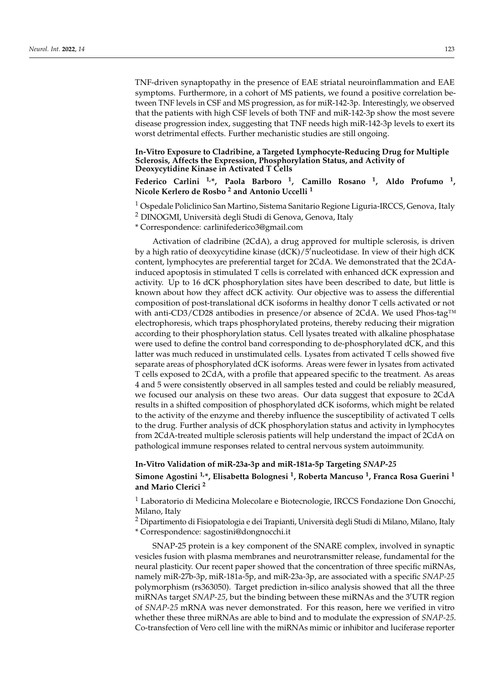TNF-driven synaptopathy in the presence of EAE striatal neuroinflammation and EAE symptoms. Furthermore, in a cohort of MS patients, we found a positive correlation between TNF levels in CSF and MS progression, as for miR-142-3p. Interestingly, we observed that the patients with high CSF levels of both TNF and miR-142-3p show the most severe disease progression index, suggesting that TNF needs high miR-142-3p levels to exert its worst detrimental effects. Further mechanistic studies are still ongoing.

**In-Vitro Exposure to Cladribine, a Targeted Lymphocyte-Reducing Drug for Multiple Sclerosis, Affects the Expression, Phosphorylation Status, and Activity of Deoxycytidine Kinase in Activated T Cells**

**Federico Carlini 1,\*, Paola Barboro <sup>1</sup> , Camillo Rosano <sup>1</sup> , Aldo Profumo <sup>1</sup> , Nicole Kerlero de Rosbo <sup>2</sup> and Antonio Uccelli <sup>1</sup>**

<sup>1</sup> Ospedale Policlinico San Martino, Sistema Sanitario Regione Liguria-IRCCS, Genova, Italy

<sup>2</sup> DINOGMI, Università degli Studi di Genova, Genova, Italy

\* Correspondence: carlinifederico3@gmail.com

Activation of cladribine (2CdA), a drug approved for multiple sclerosis, is driven by a high ratio of deoxycytidine kinase (dCK)/5'nucleotidase. In view of their high dCK content, lymphocytes are preferential target for 2CdA. We demonstrated that the 2CdAinduced apoptosis in stimulated T cells is correlated with enhanced dCK expression and activity. Up to 16 dCK phosphorylation sites have been described to date, but little is known about how they affect dCK activity. Our objective was to assess the differential composition of post-translational dCK isoforms in healthy donor T cells activated or not with anti-CD3/CD28 antibodies in presence/or absence of 2CdA. We used Phos-tag™ electrophoresis, which traps phosphorylated proteins, thereby reducing their migration according to their phosphorylation status. Cell lysates treated with alkaline phosphatase were used to define the control band corresponding to de-phosphorylated dCK, and this latter was much reduced in unstimulated cells. Lysates from activated T cells showed five separate areas of phosphorylated dCK isoforms. Areas were fewer in lysates from activated T cells exposed to 2CdA, with a profile that appeared specific to the treatment. As areas 4 and 5 were consistently observed in all samples tested and could be reliably measured, we focused our analysis on these two areas. Our data suggest that exposure to 2CdA results in a shifted composition of phosphorylated dCK isoforms, which might be related to the activity of the enzyme and thereby influence the susceptibility of activated T cells to the drug. Further analysis of dCK phosphorylation status and activity in lymphocytes from 2CdA-treated multiple sclerosis patients will help understand the impact of 2CdA on pathological immune responses related to central nervous system autoimmunity.

#### **In-Vitro Validation of miR-23a-3p and miR-181a-5p Targeting** *SNAP-25*

### **Simone Agostini 1,\*, Elisabetta Bolognesi <sup>1</sup> , Roberta Mancuso <sup>1</sup> , Franca Rosa Guerini <sup>1</sup> and Mario Clerici <sup>2</sup>**

<sup>1</sup> Laboratorio di Medicina Molecolare e Biotecnologie, IRCCS Fondazione Don Gnocchi, Milano, Italy

<sup>2</sup> Dipartimento di Fisiopatologia e dei Trapianti, Università degli Studi di Milano, Milano, Italy

\* Correspondence: sagostini@dongnocchi.it

SNAP-25 protein is a key component of the SNARE complex, involved in synaptic vesicles fusion with plasma membranes and neurotransmitter release, fundamental for the neural plasticity. Our recent paper showed that the concentration of three specific miRNAs, namely miR-27b-3p, miR-181a-5p, and miR-23a-3p, are associated with a specific *SNAP-25* polymorphism (rs363050). Target prediction in-silico analysis showed that all the three miRNAs target *SNAP-25*, but the binding between these miRNAs and the 3<sup>'</sup>UTR region of *SNAP-25* mRNA was never demonstrated. For this reason, here we verified in vitro whether these three miRNAs are able to bind and to modulate the expression of *SNAP-25*. Co-transfection of Vero cell line with the miRNAs mimic or inhibitor and luciferase reporter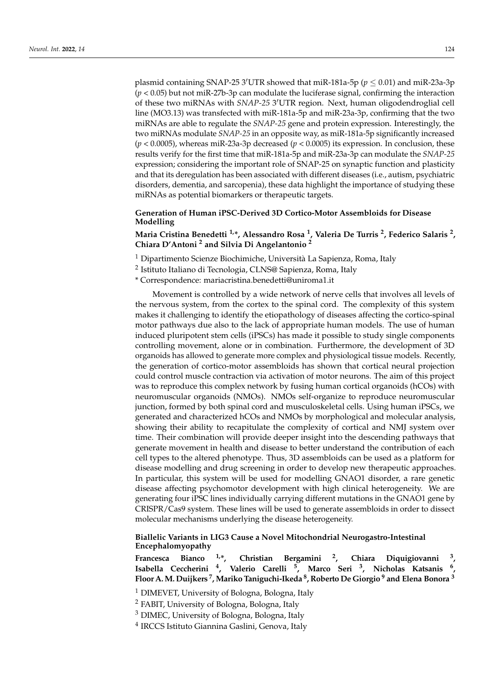plasmid containing SNAP-25 3<sup>'</sup>UTR showed that miR-181a-5p ( $p \le 0.01$ ) and miR-23a-3p (*p* < 0.05) but not miR-27b-3p can modulate the luciferase signal, confirming the interaction of these two miRNAs with *SNAP-25 3'UTR* region. Next, human oligodendroglial cell line (MO3.13) was transfected with miR-181a-5p and miR-23a-3p, confirming that the two miRNAs are able to regulate the *SNAP-25* gene and protein expression. Interestingly, the two miRNAs modulate *SNAP-25* in an opposite way, as miR-181a-5p significantly increased (*p* < 0.0005), whereas miR-23a-3p decreased (*p* < 0.0005) its expression. In conclusion, these results verify for the first time that miR-181a-5p and miR-23a-3p can modulate the *SNAP-25* expression; considering the important role of SNAP-25 on synaptic function and plasticity and that its deregulation has been associated with different diseases (i.e., autism, psychiatric disorders, dementia, and sarcopenia), these data highlight the importance of studying these miRNAs as potential biomarkers or therapeutic targets.

### **Generation of Human iPSC-Derived 3D Cortico-Motor Assembloids for Disease Modelling**

**Maria Cristina Benedetti 1,\*, Alessandro Rosa <sup>1</sup> , Valeria De Turris <sup>2</sup> , Federico Salaris <sup>2</sup> , Chiara D'Antoni <sup>2</sup> and Silvia Di Angelantonio <sup>2</sup>**

<sup>1</sup> Dipartimento Scienze Biochimiche, Università La Sapienza, Roma, Italy

<sup>2</sup> Istituto Italiano di Tecnologia, CLNS@ Sapienza, Roma, Italy

\* Correspondence: mariacristina.benedetti@uniroma1.it

Movement is controlled by a wide network of nerve cells that involves all levels of the nervous system, from the cortex to the spinal cord. The complexity of this system makes it challenging to identify the etiopathology of diseases affecting the cortico-spinal motor pathways due also to the lack of appropriate human models. The use of human induced pluripotent stem cells (iPSCs) has made it possible to study single components controlling movement, alone or in combination. Furthermore, the development of 3D organoids has allowed to generate more complex and physiological tissue models. Recently, the generation of cortico-motor assembloids has shown that cortical neural projection could control muscle contraction via activation of motor neurons. The aim of this project was to reproduce this complex network by fusing human cortical organoids (hCOs) with neuromuscular organoids (NMOs). NMOs self-organize to reproduce neuromuscular junction, formed by both spinal cord and musculoskeletal cells. Using human iPSCs, we generated and characterized hCOs and NMOs by morphological and molecular analysis, showing their ability to recapitulate the complexity of cortical and NMJ system over time. Their combination will provide deeper insight into the descending pathways that generate movement in health and disease to better understand the contribution of each cell types to the altered phenotype. Thus, 3D assembloids can be used as a platform for disease modelling and drug screening in order to develop new therapeutic approaches. In particular, this system will be used for modelling GNAO1 disorder, a rare genetic disease affecting psychomotor development with high clinical heterogeneity. We are generating four iPSC lines individually carrying different mutations in the GNAO1 gene by CRISPR/Cas9 system. These lines will be used to generate assembloids in order to dissect molecular mechanisms underlying the disease heterogeneity.

#### **Biallelic Variants in LIG3 Cause a Novel Mitochondrial Neurogastro-Intestinal Encephalomyopathy**

**Francesca Bianco 1,\*, Christian Bergamini <sup>2</sup> , Chiara Diquigiovanni <sup>3</sup> , Isabella Ceccherini <sup>4</sup> , Valerio Carelli <sup>5</sup> , Marco Seri <sup>3</sup> , Nicholas Katsanis <sup>6</sup> , Floor A.M. Duijkers <sup>7</sup> , Mariko Taniguchi-Ikeda <sup>8</sup> , Roberto De Giorgio <sup>9</sup> and Elena Bonora <sup>3</sup>**

<sup>1</sup> DIMEVET, University of Bologna, Bologna, Italy

<sup>2</sup> FABIT, University of Bologna, Bologna, Italy

<sup>3</sup> DIMEC, University of Bologna, Bologna, Italy

<sup>4</sup> IRCCS Istituto Giannina Gaslini, Genova, Italy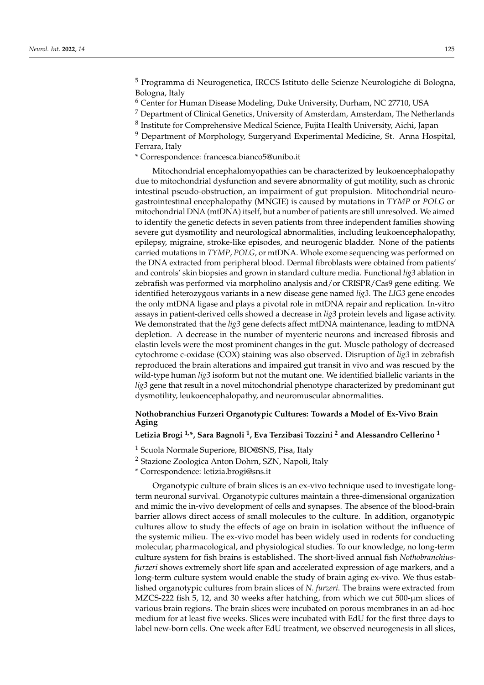<sup>5</sup> Programma di Neurogenetica, IRCCS Istituto delle Scienze Neurologiche di Bologna, Bologna, Italy

<sup>6</sup> Center for Human Disease Modeling, Duke University, Durham, NC 27710, USA

 $<sup>7</sup>$  Department of Clinical Genetics, University of Amsterdam, Amsterdam, The Netherlands</sup>

 $^8$  Institute for Comprehensive Medical Science, Fujita Health University, Aichi, Japan

<sup>9</sup> Department of Morphology, Surgeryand Experimental Medicine, St. Anna Hospital, Ferrara, Italy

\* Correspondence: francesca.bianco5@unibo.it

Mitochondrial encephalomyopathies can be characterized by leukoencephalopathy due to mitochondrial dysfunction and severe abnormality of gut motility, such as chronic intestinal pseudo-obstruction, an impairment of gut propulsion. Mitochondrial neurogastrointestinal encephalopathy (MNGIE) is caused by mutations in *TYMP* or *POLG* or mitochondrial DNA (mtDNA) itself, but a number of patients are still unresolved. We aimed to identify the genetic defects in seven patients from three independent families showing severe gut dysmotility and neurological abnormalities, including leukoencephalopathy, epilepsy, migraine, stroke-like episodes, and neurogenic bladder. None of the patients carried mutations in *TYMP*, *POLG,* or mtDNA. Whole exome sequencing was performed on the DNA extracted from peripheral blood. Dermal fibroblasts were obtained from patients' and controls' skin biopsies and grown in standard culture media. Functional *lig3* ablation in zebrafish was performed via morpholino analysis and/or CRISPR/Cas9 gene editing. We identified heterozygous variants in a new disease gene named *lig3*. The *LIG3* gene encodes the only mtDNA ligase and plays a pivotal role in mtDNA repair and replication. In-vitro assays in patient-derived cells showed a decrease in *lig3* protein levels and ligase activity. We demonstrated that the *lig3* gene defects affect mtDNA maintenance, leading to mtDNA depletion. A decrease in the number of myenteric neurons and increased fibrosis and elastin levels were the most prominent changes in the gut. Muscle pathology of decreased cytochrome c-oxidase (COX) staining was also observed. Disruption of *lig3* in zebrafish reproduced the brain alterations and impaired gut transit in vivo and was rescued by the wild-type human *lig3* isoform but not the mutant one. We identified biallelic variants in the *lig3* gene that result in a novel mitochondrial phenotype characterized by predominant gut dysmotility, leukoencephalopathy, and neuromuscular abnormalities.

### **Nothobranchius Furzeri Organotypic Cultures: Towards a Model of Ex-Vivo Brain Aging**

### **Letizia Brogi 1,\*, Sara Bagnoli <sup>1</sup> , Eva Terzibasi Tozzini <sup>2</sup> and Alessandro Cellerino <sup>1</sup>**

<sup>1</sup> Scuola Normale Superiore, BIO@SNS, Pisa, Italy

<sup>2</sup> Stazione Zoologica Anton Dohrn, SZN, Napoli, Italy

\* Correspondence: letizia.brogi@sns.it

Organotypic culture of brain slices is an ex-vivo technique used to investigate longterm neuronal survival. Organotypic cultures maintain a three-dimensional organization and mimic the in-vivo development of cells and synapses. The absence of the blood-brain barrier allows direct access of small molecules to the culture. In addition, organotypic cultures allow to study the effects of age on brain in isolation without the influence of the systemic milieu. The ex-vivo model has been widely used in rodents for conducting molecular, pharmacological, and physiological studies. To our knowledge, no long-term culture system for fish brains is established. The short-lived annual fish *Nothobranchiusfurzeri* shows extremely short life span and accelerated expression of age markers, and a long-term culture system would enable the study of brain aging ex-vivo. We thus established organotypic cultures from brain slices of *N. furzeri*. The brains were extracted from MZCS-222 fish 5, 12, and 30 weeks after hatching, from which we cut 500-µm slices of various brain regions. The brain slices were incubated on porous membranes in an ad-hoc medium for at least five weeks. Slices were incubated with EdU for the first three days to label new-born cells. One week after EdU treatment, we observed neurogenesis in all slices,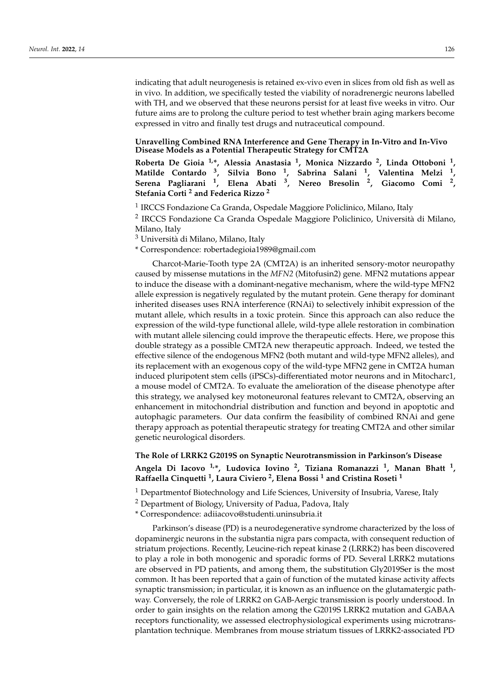indicating that adult neurogenesis is retained ex-vivo even in slices from old fish as well as in vivo. In addition, we specifically tested the viability of noradrenergic neurons labelled with TH, and we observed that these neurons persist for at least five weeks in vitro. Our future aims are to prolong the culture period to test whether brain aging markers become expressed in vitro and finally test drugs and nutraceutical compound.

#### **Unravelling Combined RNA Interference and Gene Therapy in In-Vitro and In-Vivo Disease Models as a Potential Therapeutic Strategy for CMT2A**

**Roberta De Gioia 1,\*, Alessia Anastasia <sup>1</sup> , Monica Nizzardo <sup>2</sup> , Linda Ottoboni <sup>1</sup> , Matilde Contardo <sup>3</sup> , Silvia Bono <sup>1</sup> , Sabrina Salani <sup>1</sup> , Valentina Melzi <sup>1</sup> , Serena Pagliarani <sup>1</sup> , Elena Abati <sup>3</sup> , Nereo Bresolin <sup>2</sup> , Giacomo Comi <sup>2</sup> , Stefania Corti <sup>2</sup> and Federica Rizzo <sup>2</sup>**

<sup>1</sup> IRCCS Fondazione Ca Granda, Ospedale Maggiore Policlinico, Milano, Italy

<sup>2</sup> IRCCS Fondazione Ca Granda Ospedale Maggiore Policlinico, Università di Milano, Milano, Italy

<sup>3</sup> Università di Milano, Milano, Italy

\* Correspondence: robertadegioia1989@gmail.com

Charcot-Marie-Tooth type 2A (CMT2A) is an inherited sensory-motor neuropathy caused by missense mutations in the *MFN2* (Mitofusin2) gene. MFN2 mutations appear to induce the disease with a dominant-negative mechanism, where the wild-type MFN2 allele expression is negatively regulated by the mutant protein. Gene therapy for dominant inherited diseases uses RNA interference (RNAi) to selectively inhibit expression of the mutant allele, which results in a toxic protein. Since this approach can also reduce the expression of the wild-type functional allele, wild-type allele restoration in combination with mutant allele silencing could improve the therapeutic effects. Here, we propose this double strategy as a possible CMT2A new therapeutic approach. Indeed, we tested the effective silence of the endogenous MFN2 (both mutant and wild-type MFN2 alleles), and its replacement with an exogenous copy of the wild-type MFN2 gene in CMT2A human induced pluripotent stem cells (iPSCs)-differentiated motor neurons and in Mitocharc1, a mouse model of CMT2A. To evaluate the amelioration of the disease phenotype after this strategy, we analysed key motoneuronal features relevant to CMT2A, observing an enhancement in mitochondrial distribution and function and beyond in apoptotic and autophagic parameters. Our data confirm the feasibility of combined RNAi and gene therapy approach as potential therapeutic strategy for treating CMT2A and other similar genetic neurological disorders.

#### **The Role of LRRK2 G2019S on Synaptic Neurotransmission in Parkinson's Disease**

# **Angela Di Iacovo 1,\*, Ludovica Iovino <sup>2</sup> , Tiziana Romanazzi <sup>1</sup> , Manan Bhatt <sup>1</sup> , Raffaella Cinquetti <sup>1</sup> , Laura Civiero <sup>2</sup> , Elena Bossi <sup>1</sup> and Cristina Roseti <sup>1</sup>**

 $1$  Departmentof Biotechnology and Life Sciences, University of Insubria, Varese, Italy

<sup>2</sup> Department of Biology, University of Padua, Padova, Italy

\* Correspondence: adiiacovo@studenti.uninsubria.it

Parkinson's disease (PD) is a neurodegenerative syndrome characterized by the loss of dopaminergic neurons in the substantia nigra pars compacta, with consequent reduction of striatum projections. Recently, Leucine-rich repeat kinase 2 (LRRK2) has been discovered to play a role in both monogenic and sporadic forms of PD. Several LRRK2 mutations are observed in PD patients, and among them, the substitution Gly2019Ser is the most common. It has been reported that a gain of function of the mutated kinase activity affects synaptic transmission; in particular, it is known as an influence on the glutamatergic pathway. Conversely, the role of LRRK2 on GAB-Aergic transmission is poorly understood. In order to gain insights on the relation among the G2019S LRRK2 mutation and GABAA receptors functionality, we assessed electrophysiological experiments using microtransplantation technique. Membranes from mouse striatum tissues of LRRK2-associated PD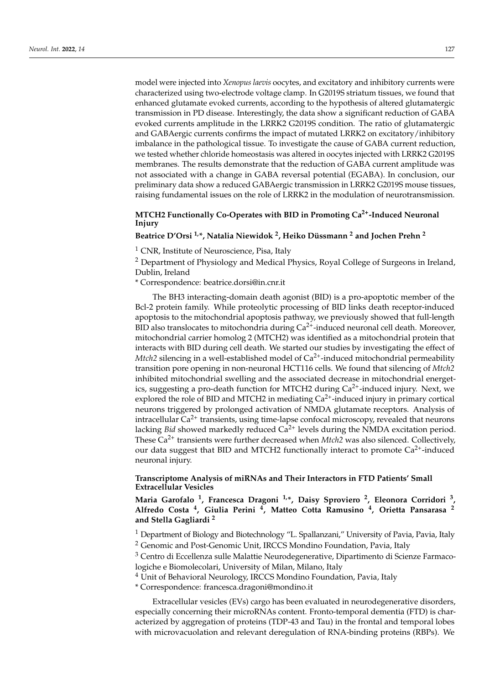model were injected into *Xenopus laevis* oocytes, and excitatory and inhibitory currents were characterized using two-electrode voltage clamp. In G2019S striatum tissues, we found that enhanced glutamate evoked currents, according to the hypothesis of altered glutamatergic transmission in PD disease. Interestingly, the data show a significant reduction of GABA evoked currents amplitude in the LRRK2 G2019S condition. The ratio of glutamatergic and GABAergic currents confirms the impact of mutated LRRK2 on excitatory/inhibitory imbalance in the pathological tissue. To investigate the cause of GABA current reduction, we tested whether chloride homeostasis was altered in oocytes injected with LRRK2 G2019S membranes. The results demonstrate that the reduction of GABA current amplitude was not associated with a change in GABA reversal potential (EGABA). In conclusion, our preliminary data show a reduced GABAergic transmission in LRRK2 G2019S mouse tissues, raising fundamental issues on the role of LRRK2 in the modulation of neurotransmission.

# **MTCH2 Functionally Co-Operates with BID in Promoting Ca2+-Induced Neuronal Injury**

### **Beatrice D'Orsi 1,\*, Natalia Niewidok <sup>2</sup> , Heiko Düssmann <sup>2</sup> and Jochen Prehn <sup>2</sup>**

<sup>1</sup> CNR, Institute of Neuroscience, Pisa, Italy

<sup>2</sup> Department of Physiology and Medical Physics, Royal College of Surgeons in Ireland, Dublin, Ireland

\* Correspondence: beatrice.dorsi@in.cnr.it

The BH3 interacting-domain death agonist (BID) is a pro-apoptotic member of the Bcl-2 protein family. While proteolytic processing of BID links death receptor-induced apoptosis to the mitochondrial apoptosis pathway, we previously showed that full-length BID also translocates to mitochondria during  $Ca^{2+}$ -induced neuronal cell death. Moreover, mitochondrial carrier homolog 2 (MTCH2) was identified as a mitochondrial protein that interacts with BID during cell death. We started our studies by investigating the effect of *Mtch2* silencing in a well-established model of  $Ca<sup>2+</sup>$ -induced mitochondrial permeability transition pore opening in non-neuronal HCT116 cells. We found that silencing of *Mtch2* inhibited mitochondrial swelling and the associated decrease in mitochondrial energetics, suggesting a pro-death function for MTCH2 during  $Ca<sup>2+</sup>$ -induced injury. Next, we explored the role of BID and MTCH2 in mediating  $Ca<sup>2+</sup>$ -induced injury in primary cortical neurons triggered by prolonged activation of NMDA glutamate receptors. Analysis of intracellular  $Ca^{2+}$  transients, using time-lapse confocal microscopy, revealed that neurons lacking *Bid* showed markedly reduced  $Ca^{2+}$  levels during the NMDA excitation period. These Ca<sup>2+</sup> transients were further decreased when *Mtch*2 was also silenced. Collectively, our data suggest that BID and MTCH2 functionally interact to promote  $Ca^{2+}$ -induced neuronal injury.

### **Transcriptome Analysis of miRNAs and Their Interactors in FTD Patients' Small Extracellular Vesicles**

**Maria Garofalo <sup>1</sup> , Francesca Dragoni 1,\*, Daisy Sproviero <sup>2</sup> , Eleonora Corridori <sup>3</sup> , Alfredo Costa <sup>4</sup> , Giulia Perini <sup>4</sup> , Matteo Cotta Ramusino <sup>4</sup> , Orietta Pansarasa <sup>2</sup> and Stella Gagliardi <sup>2</sup>**

<sup>1</sup> Department of Biology and Biotechnology "L. Spallanzani," University of Pavia, Pavia, Italy <sup>2</sup> Genomic and Post-Genomic Unit, IRCCS Mondino Foundation, Pavia, Italy

<sup>3</sup> Centro di Eccellenza sulle Malattie Neurodegenerative, Dipartimento di Scienze Farmacologiche e Biomolecolari, University of Milan, Milano, Italy

<sup>4</sup> Unit of Behavioral Neurology, IRCCS Mondino Foundation, Pavia, Italy

\* Correspondence: francesca.dragoni@mondino.it

Extracellular vesicles (EVs) cargo has been evaluated in neurodegenerative disorders, especially concerning their microRNAs content. Fronto-temporal dementia (FTD) is characterized by aggregation of proteins (TDP-43 and Tau) in the frontal and temporal lobes with microvacuolation and relevant deregulation of RNA-binding proteins (RBPs). We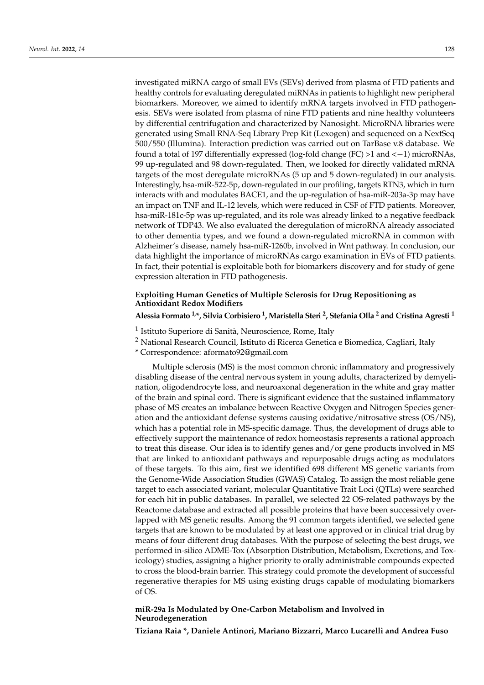investigated miRNA cargo of small EVs (SEVs) derived from plasma of FTD patients and healthy controls for evaluating deregulated miRNAs in patients to highlight new peripheral biomarkers. Moreover, we aimed to identify mRNA targets involved in FTD pathogenesis. SEVs were isolated from plasma of nine FTD patients and nine healthy volunteers by differential centrifugation and characterized by Nanosight. MicroRNA libraries were generated using Small RNA-Seq Library Prep Kit (Lexogen) and sequenced on a NextSeq 500/550 (Illumina). Interaction prediction was carried out on TarBase v.8 database. We found a total of 197 differentially expressed (log-fold change (FC) >1 and <−1) microRNAs, 99 up-regulated and 98 down-regulated. Then, we looked for directly validated mRNA targets of the most deregulate microRNAs (5 up and 5 down-regulated) in our analysis. Interestingly, hsa-miR-522-5p, down-regulated in our profiling, targets RTN3, which in turn interacts with and modulates BACE1, and the up-regulation of hsa-miR-203a-3p may have an impact on TNF and IL-12 levels, which were reduced in CSF of FTD patients. Moreover, hsa-miR-181c-5p was up-regulated, and its role was already linked to a negative feedback network of TDP43. We also evaluated the deregulation of microRNA already associated to other dementia types, and we found a down-regulated microRNA in common with Alzheimer's disease, namely hsa-miR-1260b, involved in Wnt pathway. In conclusion, our data highlight the importance of microRNAs cargo examination in EVs of FTD patients. In fact, their potential is exploitable both for biomarkers discovery and for study of gene expression alteration in FTD pathogenesis.

#### **Exploiting Human Genetics of Multiple Sclerosis for Drug Repositioning as Antioxidant Redox Modifiers**

**Alessia Formato 1,\*, Silvia Corbisiero <sup>1</sup> , Maristella Steri <sup>2</sup> , Stefania Olla <sup>2</sup> and Cristina Agresti <sup>1</sup>**

- <sup>1</sup> Istituto Superiore di Sanità, Neuroscience, Rome, Italy
- <sup>2</sup> National Research Council, Istituto di Ricerca Genetica e Biomedica, Cagliari, Italy

\* Correspondence: aformato92@gmail.com

Multiple sclerosis (MS) is the most common chronic inflammatory and progressively disabling disease of the central nervous system in young adults, characterized by demyelination, oligodendrocyte loss, and neuroaxonal degeneration in the white and gray matter of the brain and spinal cord. There is significant evidence that the sustained inflammatory phase of MS creates an imbalance between Reactive Oxygen and Nitrogen Species generation and the antioxidant defense systems causing oxidative/nitrosative stress (OS/NS), which has a potential role in MS-specific damage. Thus, the development of drugs able to effectively support the maintenance of redox homeostasis represents a rational approach to treat this disease. Our idea is to identify genes and/or gene products involved in MS that are linked to antioxidant pathways and repurposable drugs acting as modulators of these targets. To this aim, first we identified 698 different MS genetic variants from the Genome-Wide Association Studies (GWAS) Catalog. To assign the most reliable gene target to each associated variant, molecular Quantitative Trait Loci (QTLs) were searched for each hit in public databases. In parallel, we selected 22 OS-related pathways by the Reactome database and extracted all possible proteins that have been successively overlapped with MS genetic results. Among the 91 common targets identified, we selected gene targets that are known to be modulated by at least one approved or in clinical trial drug by means of four different drug databases. With the purpose of selecting the best drugs, we performed in-silico ADME-Tox (Absorption Distribution, Metabolism, Excretions, and Toxicology) studies, assigning a higher priority to orally administrable compounds expected to cross the blood-brain barrier. This strategy could promote the development of successful regenerative therapies for MS using existing drugs capable of modulating biomarkers of OS.

#### **miR-29a Is Modulated by One-Carbon Metabolism and Involved in Neurodegeneration**

**Tiziana Raia \*, Daniele Antinori, Mariano Bizzarri, Marco Lucarelli and Andrea Fuso**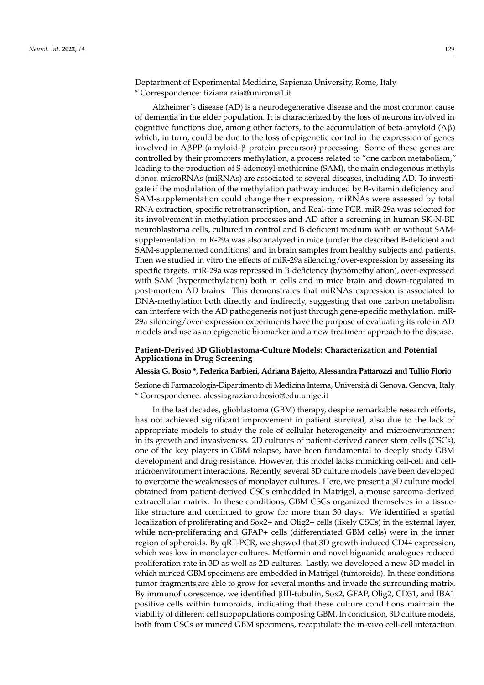Deptartment of Experimental Medicine, Sapienza University, Rome, Italy \* Correspondence: tiziana.raia@uniroma1.it

Alzheimer's disease (AD) is a neurodegenerative disease and the most common cause of dementia in the elder population. It is characterized by the loss of neurons involved in cognitive functions due, among other factors, to the accumulation of beta-amyloid  $(A\beta)$ which, in turn, could be due to the loss of epigenetic control in the expression of genes involved in AβPP (amyloid-β protein precursor) processing. Some of these genes are controlled by their promoters methylation, a process related to "one carbon metabolism," leading to the production of S-adenosyl-methionine (SAM), the main endogenous methyls donor. microRNAs (miRNAs) are associated to several diseases, including AD. To investigate if the modulation of the methylation pathway induced by B-vitamin deficiency and SAM-supplementation could change their expression, miRNAs were assessed by total RNA extraction, specific retrotranscription, and Real-time PCR. miR-29a was selected for its involvement in methylation processes and AD after a screening in human SK-N-BE neuroblastoma cells, cultured in control and B-deficient medium with or without SAMsupplementation. miR-29a was also analyzed in mice (under the described B-deficient and SAM-supplemented conditions) and in brain samples from healthy subjects and patients. Then we studied in vitro the effects of miR-29a silencing/over-expression by assessing its specific targets. miR-29a was repressed in B-deficiency (hypomethylation), over-expressed with SAM (hypermethylation) both in cells and in mice brain and down-regulated in post-mortem AD brains. This demonstrates that miRNAs expression is associated to DNA-methylation both directly and indirectly, suggesting that one carbon metabolism can interfere with the AD pathogenesis not just through gene-specific methylation. miR-29a silencing/over-expression experiments have the purpose of evaluating its role in AD models and use as an epigenetic biomarker and a new treatment approach to the disease.

### **Patient-Derived 3D Glioblastoma-Culture Models: Characterization and Potential Applications in Drug Screening**

#### **Alessia G. Bosio \*, Federica Barbieri, Adriana Bajetto, Alessandra Pattarozzi and Tullio Florio**

Sezione di Farmacologia-Dipartimento di Medicina Interna, Università di Genova, Genova, Italy \* Correspondence: alessiagraziana.bosio@edu.unige.it

In the last decades, glioblastoma (GBM) therapy, despite remarkable research efforts, has not achieved significant improvement in patient survival, also due to the lack of appropriate models to study the role of cellular heterogeneity and microenvironment in its growth and invasiveness. 2D cultures of patient-derived cancer stem cells (CSCs), one of the key players in GBM relapse, have been fundamental to deeply study GBM development and drug resistance. However, this model lacks mimicking cell-cell and cellmicroenvironment interactions. Recently, several 3D culture models have been developed to overcome the weaknesses of monolayer cultures. Here, we present a 3D culture model obtained from patient-derived CSCs embedded in Matrigel, a mouse sarcoma-derived extracellular matrix. In these conditions, GBM CSCs organized themselves in a tissuelike structure and continued to grow for more than 30 days. We identified a spatial localization of proliferating and Sox2+ and Olig2+ cells (likely CSCs) in the external layer, while non-proliferating and GFAP+ cells (differentiated GBM cells) were in the inner region of spheroids. By qRT-PCR, we showed that 3D growth induced CD44 expression, which was low in monolayer cultures. Metformin and novel biguanide analogues reduced proliferation rate in 3D as well as 2D cultures. Lastly, we developed a new 3D model in which minced GBM specimens are embedded in Matrigel (tumoroids). In these conditions tumor fragments are able to grow for several months and invade the surrounding matrix. By immunofluorescence, we identified βIII-tubulin, Sox2, GFAP, Olig2, CD31, and IBA1 positive cells within tumoroids, indicating that these culture conditions maintain the viability of different cell subpopulations composing GBM. In conclusion, 3D culture models, both from CSCs or minced GBM specimens, recapitulate the in-vivo cell-cell interaction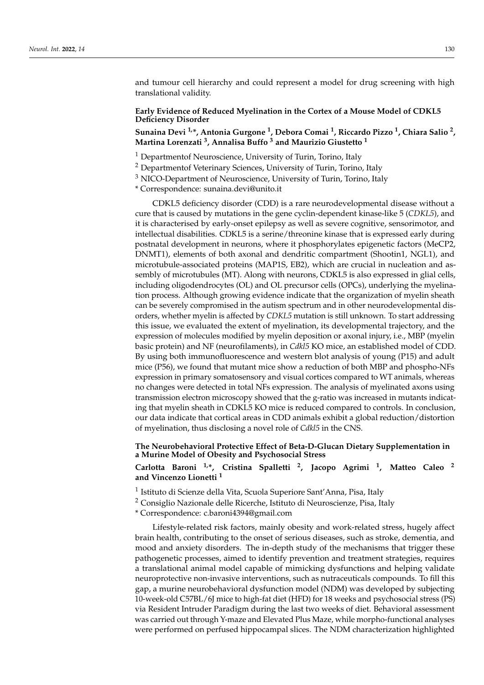and tumour cell hierarchy and could represent a model for drug screening with high translational validity.

### **Early Evidence of Reduced Myelination in the Cortex of a Mouse Model of CDKL5 Deficiency Disorder**

**Sunaina Devi 1,\*, Antonia Gurgone <sup>1</sup> , Debora Comai <sup>1</sup> , Riccardo Pizzo <sup>1</sup> , Chiara Salio <sup>2</sup> , Martina Lorenzati <sup>3</sup> , Annalisa Buffo <sup>3</sup> and Maurizio Giustetto <sup>1</sup>**

 $1$  Departmentof Neuroscience, University of Turin, Torino, Italy

<sup>2</sup> Departmentof Veterinary Sciences, University of Turin, Torino, Italy

 $3$  NICO-Department of Neuroscience, University of Turin, Torino, Italy

\* Correspondence: sunaina.devi@unito.it

CDKL5 deficiency disorder (CDD) is a rare neurodevelopmental disease without a cure that is caused by mutations in the gene cyclin-dependent kinase-like 5 (*CDKL5*), and it is characterised by early-onset epilepsy as well as severe cognitive, sensorimotor, and intellectual disabilities. CDKL5 is a serine/threonine kinase that is expressed early during postnatal development in neurons, where it phosphorylates epigenetic factors (MeCP2, DNMT1), elements of both axonal and dendritic compartment (Shootin1, NGL1), and microtubule-associated proteins (MAP1S, EB2), which are crucial in nucleation and assembly of microtubules (MT). Along with neurons, CDKL5 is also expressed in glial cells, including oligodendrocytes (OL) and OL precursor cells (OPCs), underlying the myelination process. Although growing evidence indicate that the organization of myelin sheath can be severely compromised in the autism spectrum and in other neurodevelopmental disorders, whether myelin is affected by *CDKL5* mutation is still unknown. To start addressing this issue, we evaluated the extent of myelination, its developmental trajectory, and the expression of molecules modified by myelin deposition or axonal injury, i.e., MBP (myelin basic protein) and NF (neurofilaments), in *Cdkl5* KO mice, an established model of CDD. By using both immunofluorescence and western blot analysis of young (P15) and adult mice (P56), we found that mutant mice show a reduction of both MBP and phospho-NFs expression in primary somatosensory and visual cortices compared to WT animals, whereas no changes were detected in total NFs expression. The analysis of myelinated axons using transmission electron microscopy showed that the g-ratio was increased in mutants indicating that myelin sheath in CDKL5 KO mice is reduced compared to controls. In conclusion, our data indicate that cortical areas in CDD animals exhibit a global reduction/distortion of myelination, thus disclosing a novel role of *Cdkl5* in the CNS.

### **The Neurobehavioral Protective Effect of Beta-D-Glucan Dietary Supplementation in a Murine Model of Obesity and Psychosocial Stress**

# **Carlotta Baroni 1,\*, Cristina Spalletti <sup>2</sup> , Jacopo Agrimi <sup>1</sup> , Matteo Caleo <sup>2</sup> and Vincenzo Lionetti <sup>1</sup>**

<sup>1</sup> Istituto di Scienze della Vita, Scuola Superiore Sant'Anna, Pisa, Italy

<sup>2</sup> Consiglio Nazionale delle Ricerche, Istituto di Neuroscienze, Pisa, Italy

\* Correspondence: c.baroni4394@gmail.com

Lifestyle-related risk factors, mainly obesity and work-related stress, hugely affect brain health, contributing to the onset of serious diseases, such as stroke, dementia, and mood and anxiety disorders. The in-depth study of the mechanisms that trigger these pathogenetic processes, aimed to identify prevention and treatment strategies, requires a translational animal model capable of mimicking dysfunctions and helping validate neuroprotective non-invasive interventions, such as nutraceuticals compounds. To fill this gap, a murine neurobehavioral dysfunction model (NDM) was developed by subjecting 10-week-old C57BL/6J mice to high-fat diet (HFD) for 18 weeks and psychosocial stress (PS) via Resident Intruder Paradigm during the last two weeks of diet. Behavioral assessment was carried out through Y-maze and Elevated Plus Maze, while morpho-functional analyses were performed on perfused hippocampal slices. The NDM characterization highlighted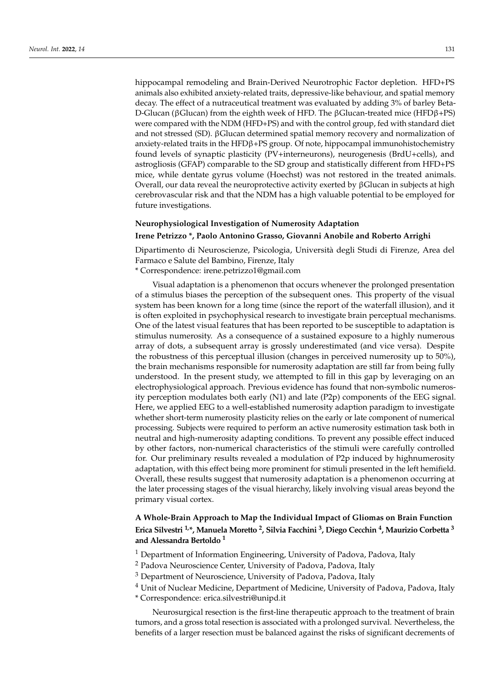hippocampal remodeling and Brain-Derived Neurotrophic Factor depletion. HFD+PS animals also exhibited anxiety-related traits, depressive-like behaviour, and spatial memory decay. The effect of a nutraceutical treatment was evaluated by adding 3% of barley Beta-D-Glucan (βGlucan) from the eighth week of HFD. The βGlucan-treated mice (HFDβ+PS) were compared with the NDM (HFD+PS) and with the control group, fed with standard diet and not stressed (SD). βGlucan determined spatial memory recovery and normalization of anxiety-related traits in the HFD $\beta$ +PS group. Of note, hippocampal immunohistochemistry found levels of synaptic plasticity (PV+interneurons), neurogenesis (BrdU+cells), and astrogliosis (GFAP) comparable to the SD group and statistically different from HFD+PS mice, while dentate gyrus volume (Hoechst) was not restored in the treated animals. Overall, our data reveal the neuroprotective activity exerted by βGlucan in subjects at high cerebrovascular risk and that the NDM has a high valuable potential to be employed for future investigations.

# **Neurophysiological Investigation of Numerosity Adaptation Irene Petrizzo \*, Paolo Antonino Grasso, Giovanni Anobile and Roberto Arrighi**

Dipartimento di Neuroscienze, Psicologia, Università degli Studi di Firenze, Area del Farmaco e Salute del Bambino, Firenze, Italy

\* Correspondence: irene.petrizzo1@gmail.com

Visual adaptation is a phenomenon that occurs whenever the prolonged presentation of a stimulus biases the perception of the subsequent ones. This property of the visual system has been known for a long time (since the report of the waterfall illusion), and it is often exploited in psychophysical research to investigate brain perceptual mechanisms. One of the latest visual features that has been reported to be susceptible to adaptation is stimulus numerosity. As a consequence of a sustained exposure to a highly numerous array of dots, a subsequent array is grossly underestimated (and vice versa). Despite the robustness of this perceptual illusion (changes in perceived numerosity up to 50%), the brain mechanisms responsible for numerosity adaptation are still far from being fully understood. In the present study, we attempted to fill in this gap by leveraging on an electrophysiological approach. Previous evidence has found that non-symbolic numerosity perception modulates both early (N1) and late (P2p) components of the EEG signal. Here, we applied EEG to a well-established numerosity adaption paradigm to investigate whether short-term numerosity plasticity relies on the early or late component of numerical processing. Subjects were required to perform an active numerosity estimation task both in neutral and high-numerosity adapting conditions. To prevent any possible effect induced by other factors, non-numerical characteristics of the stimuli were carefully controlled for. Our preliminary results revealed a modulation of P2p induced by highnumerosity adaptation, with this effect being more prominent for stimuli presented in the left hemifield. Overall, these results suggest that numerosity adaptation is a phenomenon occurring at the later processing stages of the visual hierarchy, likely involving visual areas beyond the primary visual cortex.

# **A Whole-Brain Approach to Map the Individual Impact of Gliomas on Brain Function Erica Silvestri 1,\*, Manuela Moretto <sup>2</sup> , Silvia Facchini <sup>3</sup> , Diego Cecchin <sup>4</sup> , Maurizio Corbetta <sup>3</sup> and Alessandra Bertoldo <sup>1</sup>**

 $1$  Department of Information Engineering, University of Padova, Padova, Italy

- <sup>2</sup> Padova Neuroscience Center, University of Padova, Padova, Italy
- <sup>3</sup> Department of Neuroscience, University of Padova, Padova, Italy
- <sup>4</sup> Unit of Nuclear Medicine, Department of Medicine, University of Padova, Padova, Italy
- \* Correspondence: erica.silvestri@unipd.it

Neurosurgical resection is the first-line therapeutic approach to the treatment of brain tumors, and a gross total resection is associated with a prolonged survival. Nevertheless, the benefits of a larger resection must be balanced against the risks of significant decrements of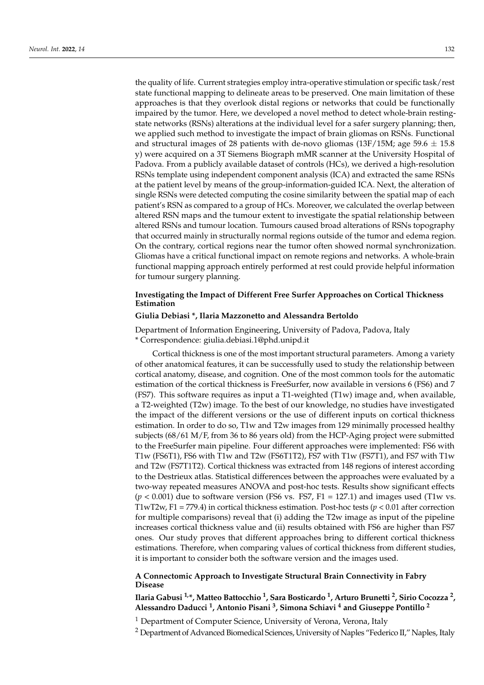the quality of life. Current strategies employ intra-operative stimulation or specific task/rest state functional mapping to delineate areas to be preserved. One main limitation of these approaches is that they overlook distal regions or networks that could be functionally impaired by the tumor. Here, we developed a novel method to detect whole-brain restingstate networks (RSNs) alterations at the individual level for a safer surgery planning; then, we applied such method to investigate the impact of brain gliomas on RSNs. Functional and structural images of 28 patients with de-novo gliomas (13F/15M; age 59.6  $\pm$  15.8 y) were acquired on a 3T Siemens Biograph mMR scanner at the University Hospital of Padova. From a publicly available dataset of controls (HCs), we derived a high-resolution RSNs template using independent component analysis (ICA) and extracted the same RSNs at the patient level by means of the group-information-guided ICA. Next, the alteration of single RSNs were detected computing the cosine similarity between the spatial map of each patient's RSN as compared to a group of HCs. Moreover, we calculated the overlap between altered RSN maps and the tumour extent to investigate the spatial relationship between altered RSNs and tumour location. Tumours caused broad alterations of RSNs topography that occurred mainly in structurally normal regions outside of the tumor and edema region. On the contrary, cortical regions near the tumor often showed normal synchronization. Gliomas have a critical functional impact on remote regions and networks. A whole-brain functional mapping approach entirely performed at rest could provide helpful information for tumour surgery planning.

### **Investigating the Impact of Different Free Surfer Approaches on Cortical Thickness Estimation**

#### **Giulia Debiasi \*, Ilaria Mazzonetto and Alessandra Bertoldo**

Department of Information Engineering, University of Padova, Padova, Italy \* Correspondence: giulia.debiasi.1@phd.unipd.it

Cortical thickness is one of the most important structural parameters. Among a variety of other anatomical features, it can be successfully used to study the relationship between cortical anatomy, disease, and cognition. One of the most common tools for the automatic estimation of the cortical thickness is FreeSurfer, now available in versions 6 (FS6) and 7 (FS7). This software requires as input a T1-weighted (T1w) image and, when available, a T2-weighted (T2w) image. To the best of our knowledge, no studies have investigated the impact of the different versions or the use of different inputs on cortical thickness estimation. In order to do so, T1w and T2w images from 129 minimally processed healthy subjects (68/61 M/F, from 36 to 86 years old) from the HCP-Aging project were submitted to the FreeSurfer main pipeline. Four different approaches were implemented: FS6 with T1w (FS6T1), FS6 with T1w and T2w (FS6T1T2), FS7 with T1w (FS7T1), and FS7 with T1w and T2w (FS7T1T2). Cortical thickness was extracted from 148 regions of interest according to the Destrieux atlas. Statistical differences between the approaches were evaluated by a two-way repeated measures ANOVA and post-hoc tests. Results show significant effects  $(p < 0.001)$  due to software version (FS6 vs. FS7, F1 = 127.1) and images used (T1w vs. T1wT2w, F1 = 779.4) in cortical thickness estimation. Post-hoc tests (*p* < 0.01 after correction for multiple comparisons) reveal that (i) adding the T2w image as input of the pipeline increases cortical thickness value and (ii) results obtained with FS6 are higher than FS7 ones. Our study proves that different approaches bring to different cortical thickness estimations. Therefore, when comparing values of cortical thickness from different studies, it is important to consider both the software version and the images used.

### **A Connectomic Approach to Investigate Structural Brain Connectivity in Fabry Disease**

**Ilaria Gabusi 1,\*, Matteo Battocchio <sup>1</sup> , Sara Bosticardo <sup>1</sup> , Arturo Brunetti <sup>2</sup> , Sirio Cocozza <sup>2</sup> , Alessandro Daducci <sup>1</sup> , Antonio Pisani <sup>3</sup> , Simona Schiavi <sup>4</sup> and Giuseppe Pontillo <sup>2</sup>**

<sup>1</sup> Department of Computer Science, University of Verona, Verona, Italy

<sup>2</sup> Department of Advanced Biomedical Sciences, University of Naples "Federico II," Naples, Italy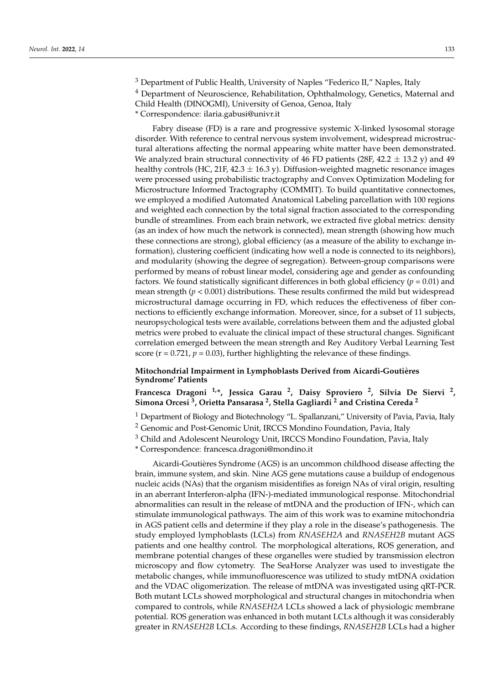$3$  Department of Public Health, University of Naples "Federico II," Naples, Italy <sup>4</sup> Department of Neuroscience, Rehabilitation, Ophthalmology, Genetics, Maternal and Child Health (DINOGMI), University of Genoa, Genoa, Italy \* Correspondence: ilaria.gabusi@univr.it

Fabry disease (FD) is a rare and progressive systemic X-linked lysosomal storage disorder. With reference to central nervous system involvement, widespread microstructural alterations affecting the normal appearing white matter have been demonstrated. We analyzed brain structural connectivity of 46 FD patients (28F, 42.2  $\pm$  13.2 y) and 49 healthy controls (HC, 21F, 42.3  $\pm$  16.3 y). Diffusion-weighted magnetic resonance images were processed using probabilistic tractography and Convex Optimization Modeling for Microstructure Informed Tractography (COMMIT). To build quantitative connectomes, we employed a modified Automated Anatomical Labeling parcellation with 100 regions and weighted each connection by the total signal fraction associated to the corresponding bundle of streamlines. From each brain network, we extracted five global metrics: density (as an index of how much the network is connected), mean strength (showing how much these connections are strong), global efficiency (as a measure of the ability to exchange information), clustering coefficient (indicating how well a node is connected to its neighbors), and modularity (showing the degree of segregation). Between-group comparisons were performed by means of robust linear model, considering age and gender as confounding factors. We found statistically significant differences in both global efficiency ( $p = 0.01$ ) and mean strength (*p* < 0.001) distributions. These results confirmed the mild but widespread microstructural damage occurring in FD, which reduces the effectiveness of fiber connections to efficiently exchange information. Moreover, since, for a subset of 11 subjects, neuropsychological tests were available, correlations between them and the adjusted global metrics were probed to evaluate the clinical impact of these structural changes. Significant correlation emerged between the mean strength and Rey Auditory Verbal Learning Test score ( $r = 0.721$ ,  $p = 0.03$ ), further highlighting the relevance of these findings.

### **Mitochondrial Impairment in Lymphoblasts Derived from Aicardi-Goutières Syndrome' Patients**

**Francesca Dragoni 1,\*, Jessica Garau <sup>2</sup> , Daisy Sproviero <sup>2</sup> , Silvia De Siervi <sup>2</sup> , Simona Orcesi <sup>3</sup> , Orietta Pansarasa <sup>2</sup> , Stella Gagliardi <sup>2</sup> and Cristina Cereda <sup>2</sup>**

<sup>1</sup> Department of Biology and Biotechnology "L. Spallanzani," University of Pavia, Pavia, Italy

<sup>2</sup> Genomic and Post-Genomic Unit, IRCCS Mondino Foundation, Pavia, Italy

<sup>3</sup> Child and Adolescent Neurology Unit, IRCCS Mondino Foundation, Pavia, Italy

\* Correspondence: francesca.dragoni@mondino.it

Aicardi-Goutières Syndrome (AGS) is an uncommon childhood disease affecting the brain, immune system, and skin. Nine AGS gene mutations cause a buildup of endogenous nucleic acids (NAs) that the organism misidentifies as foreign NAs of viral origin, resulting in an aberrant Interferon-alpha (IFN-)-mediated immunological response. Mitochondrial abnormalities can result in the release of mtDNA and the production of IFN-, which can stimulate immunological pathways. The aim of this work was to examine mitochondria in AGS patient cells and determine if they play a role in the disease's pathogenesis. The study employed lymphoblasts (LCLs) from *RNASEH2A* and *RNASEH2B* mutant AGS patients and one healthy control. The morphological alterations, ROS generation, and membrane potential changes of these organelles were studied by transmission electron microscopy and flow cytometry. The SeaHorse Analyzer was used to investigate the metabolic changes, while immunofluorescence was utilized to study mtDNA oxidation and the VDAC oligomerization. The release of mtDNA was investigated using qRT-PCR. Both mutant LCLs showed morphological and structural changes in mitochondria when compared to controls, while *RNASEH2A* LCLs showed a lack of physiologic membrane potential. ROS generation was enhanced in both mutant LCLs although it was considerably greater in *RNASEH2B* LCLs. According to these findings, *RNASEH2B* LCLs had a higher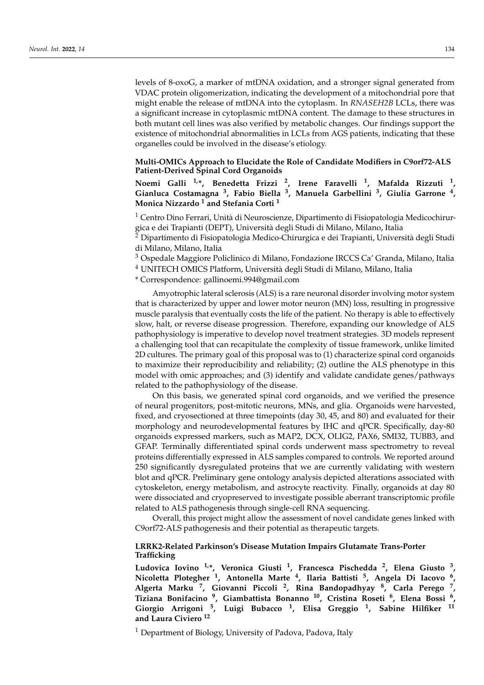levels of 8-oxoG, a marker of mtDNA oxidation, and a stronger signal generated from VDAC protein oligomerization, indicating the development of a mitochondrial pore that might enable the release of mtDNA into the cytoplasm. In *RNASEH2B* LCLs, there was a significant increase in cytoplasmic mtDNA content. The damage to these structures in both mutant cell lines was also verified by metabolic changes. Our findings support the existence of mitochondrial abnormalities in LCLs from AGS patients, indicating that these organelles could be involved in the disease's etiology.

**Multi-OMICs Approach to Elucidate the Role of Candidate Modifiers in C9orf72-ALS Patient-Derived Spinal Cord Organoids**

**Noemi Galli 1,\*, Benedetta Frizzi <sup>2</sup> , Irene Faravelli <sup>1</sup> , Mafalda Rizzuti <sup>1</sup> , Gianluca Costamagna <sup>3</sup> , Fabio Biella <sup>3</sup> , Manuela Garbellini <sup>3</sup> , Giulia Garrone <sup>4</sup> , Monica Nizzardo <sup>1</sup> and Stefania Corti <sup>1</sup>**

<sup>1</sup> Centro Dino Ferrari, Unità di Neuroscienze, Dipartimento di Fisiopatologia Medicochirurgica e dei Trapianti (DEPT), Università degli Studi di Milano, Milano, Italia

 $^2$  Dipartimento di Fisiopatologia Medico-Chirurgica e dei Trapianti, Università degli Studi di Milano, Milano, Italia

<sup>3</sup> Ospedale Maggiore Policlinico di Milano, Fondazione IRCCS Ca' Granda, Milano, Italia

<sup>4</sup> UNITECH OMICS Platform, Università degli Studi di Milano, Milano, Italia

\* Correspondence: gallinoemi.994@gmail.com

Amyotrophic lateral sclerosis (ALS) is a rare neuronal disorder involving motor system that is characterized by upper and lower motor neuron (MN) loss, resulting in progressive muscle paralysis that eventually costs the life of the patient. No therapy is able to effectively slow, halt, or reverse disease progression. Therefore, expanding our knowledge of ALS pathophysiology is imperative to develop novel treatment strategies. 3D models represent a challenging tool that can recapitulate the complexity of tissue framework, unlike limited 2D cultures. The primary goal of this proposal was to (1) characterize spinal cord organoids to maximize their reproducibility and reliability; (2) outline the ALS phenotype in this model with omic approaches; and (3) identify and validate candidate genes/pathways related to the pathophysiology of the disease.

On this basis, we generated spinal cord organoids, and we verified the presence of neural progenitors, post-mitotic neurons, MNs, and glia. Organoids were harvested, fixed, and cryosectioned at three timepoints (day 30, 45, and 80) and evaluated for their morphology and neurodevelopmental features by IHC and qPCR. Specifically, day-80 organoids expressed markers, such as MAP2, DCX, OLIG2, PAX6, SMI32, TUBB3, and GFAP. Terminally differentiated spinal cords underwent mass spectrometry to reveal proteins differentially expressed in ALS samples compared to controls. We reported around 250 significantly dysregulated proteins that we are currently validating with western blot and qPCR. Preliminary gene ontology analysis depicted alterations associated with cytoskeleton, energy metabolism, and astrocyte reactivity. Finally, organoids at day 80 were dissociated and cryopreserved to investigate possible aberrant transcriptomic profile related to ALS pathogenesis through single-cell RNA sequencing.

Overall, this project might allow the assessment of novel candidate genes linked with C9orf72-ALS pathogenesis and their potential as therapeutic targets.

### **LRRK2-Related Parkinson's Disease Mutation Impairs Glutamate Trans-Porter Trafficking**

**Ludovica Iovino 1,\*, Veronica Giusti <sup>1</sup> , Francesca Pischedda <sup>2</sup> , Elena Giusto <sup>3</sup> , Nicoletta Plotegher <sup>1</sup> , Antonella Marte <sup>4</sup> , Ilaria Battisti <sup>5</sup> , Angela Di Iacovo <sup>6</sup> , Algerta Marku <sup>7</sup> , Giovanni Piccoli <sup>2</sup> , Rina Bandopadhyay <sup>8</sup> , Carla Perego <sup>7</sup> , Tiziana Bonifacino <sup>9</sup> , Giambattista Bonanno <sup>10</sup>, Cristina Roseti <sup>6</sup> , Elena Bossi <sup>6</sup> , Giorgio Arrigoni <sup>5</sup> , Luigi Bubacco <sup>1</sup> , Elisa Greggio <sup>1</sup> , Sabine Hilfiker <sup>11</sup> and Laura Civiero <sup>12</sup>**

 $1$  Department of Biology, University of Padova, Padova, Italy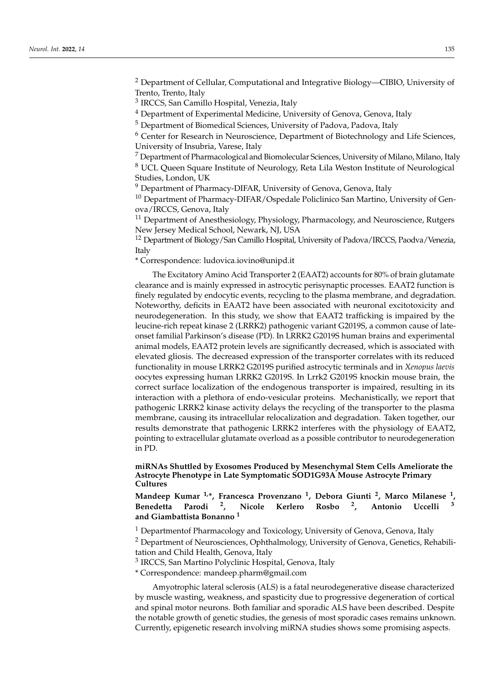<sup>2</sup> Department of Cellular, Computational and Integrative Biology—CIBIO, University of Trento, Trento, Italy

<sup>3</sup> IRCCS, San Camillo Hospital, Venezia, Italy

 $4$  Department of Experimental Medicine, University of Genova, Genova, Italy

<sup>5</sup> Department of Biomedical Sciences, University of Padova, Padova, Italy

<sup>6</sup> Center for Research in Neuroscience, Department of Biotechnology and Life Sciences, University of Insubria, Varese, Italy

 $<sup>7</sup>$  Department of Pharmacological and Biomolecular Sciences, University of Milano, Milano, Italy</sup>

<sup>8</sup> UCL Queen Square Institute of Neurology, Reta Lila Weston Institute of Neurological Studies, London, UK

<sup>9</sup> Department of Pharmacy-DIFAR, University of Genova, Genova, Italy

<sup>10</sup> Department of Pharmacy-DIFAR/Ospedale Policlinico San Martino, University of Genova/IRCCS, Genova, Italy

<sup>11</sup> Department of Anesthesiology, Physiology, Pharmacology, and Neuroscience, Rutgers New Jersey Medical School, Newark, NJ, USA

<sup>12</sup> Department of Biology/San Camillo Hospital, University of Padova/IRCCS, Paodva/Venezia, Italy

\* Correspondence: ludovica.iovino@unipd.it

The Excitatory Amino Acid Transporter 2 (EAAT2) accounts for 80% of brain glutamate clearance and is mainly expressed in astrocytic perisynaptic processes. EAAT2 function is finely regulated by endocytic events, recycling to the plasma membrane, and degradation. Noteworthy, deficits in EAAT2 have been associated with neuronal excitotoxicity and neurodegeneration. In this study, we show that EAAT2 trafficking is impaired by the leucine-rich repeat kinase 2 (LRRK2) pathogenic variant G2019S, a common cause of lateonset familial Parkinson's disease (PD). In LRRK2 G2019S human brains and experimental animal models, EAAT2 protein levels are significantly decreased, which is associated with elevated gliosis. The decreased expression of the transporter correlates with its reduced functionality in mouse LRRK2 G2019S purified astrocytic terminals and in *Xenopus laevis* oocytes expressing human LRRK2 G2019S. In Lrrk2 G2019S knockin mouse brain, the correct surface localization of the endogenous transporter is impaired, resulting in its interaction with a plethora of endo-vesicular proteins. Mechanistically, we report that pathogenic LRRK2 kinase activity delays the recycling of the transporter to the plasma membrane, causing its intracellular relocalization and degradation. Taken together, our results demonstrate that pathogenic LRRK2 interferes with the physiology of EAAT2, pointing to extracellular glutamate overload as a possible contributor to neurodegeneration in PD.

**miRNAs Shuttled by Exosomes Produced by Mesenchymal Stem Cells Ameliorate the Astrocyte Phenotype in Late Symptomatic SOD1G93A Mouse Astrocyte Primary Cultures**

**Mandeep Kumar 1,\*, Francesca Provenzano <sup>1</sup> , Debora Giunti <sup>2</sup> , Marco Milanese <sup>1</sup> , Benedetta Parodi <sup>2</sup> , Nicole Kerlero Rosbo <sup>2</sup> , Antonio Uccelli <sup>3</sup> and Giambattista Bonanno <sup>1</sup>**

<sup>1</sup> Departmentof Pharmacology and Toxicology, University of Genova, Genova, Italy

<sup>2</sup> Department of Neurosciences, Ophthalmology, University of Genova, Genetics, Rehabilitation and Child Health, Genova, Italy

<sup>3</sup> IRCCS, San Martino Polyclinic Hospital, Genova, Italy

\* Correspondence: mandeep.pharm@gmail.com

Amyotrophic lateral sclerosis (ALS) is a fatal neurodegenerative disease characterized by muscle wasting, weakness, and spasticity due to progressive degeneration of cortical and spinal motor neurons. Both familiar and sporadic ALS have been described. Despite the notable growth of genetic studies, the genesis of most sporadic cases remains unknown. Currently, epigenetic research involving miRNA studies shows some promising aspects.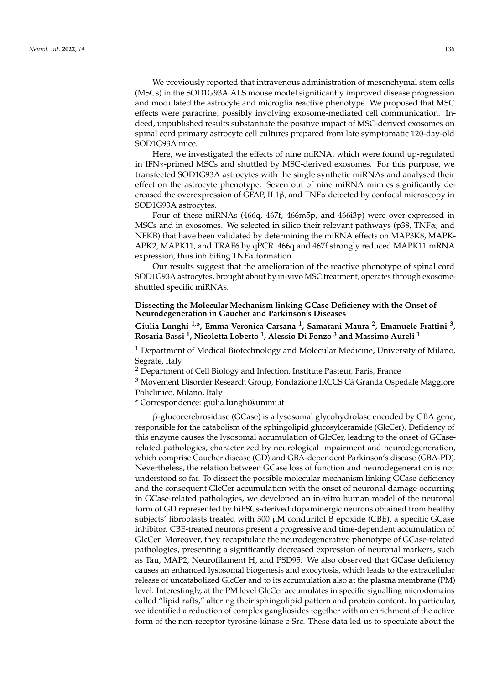We previously reported that intravenous administration of mesenchymal stem cells (MSCs) in the SOD1G93A ALS mouse model significantly improved disease progression and modulated the astrocyte and microglia reactive phenotype. We proposed that MSC effects were paracrine, possibly involving exosome-mediated cell communication. Indeed, unpublished results substantiate the positive impact of MSC-derived exosomes on spinal cord primary astrocyte cell cultures prepared from late symptomatic 120-day-old SOD1G93A mice.

Here, we investigated the effects of nine miRNA, which were found up-regulated in IFN<sub>s</sub>-primed MSCs and shuttled by MSC-derived exosomes. For this purpose, we transfected SOD1G93A astrocytes with the single synthetic miRNAs and analysed their effect on the astrocyte phenotype. Seven out of nine miRNA mimics significantly decreased the overexpression of GFAP, IL1 $\beta$ , and TNF $\alpha$  detected by confocal microscopy in SOD1G93A astrocytes.

Four of these miRNAs (466q, 467f, 466m5p, and 466i3p) were over-expressed in MSCs and in exosomes. We selected in silico their relevant pathways ( $p38$ , TNF $\alpha$ , and NFKB) that have been validated by determining the miRNA effects on MAP3K8, MAPK-APK2, MAPK11, and TRAF6 by qPCR. 466q and 467f strongly reduced MAPK11 mRNA expression, thus inhibiting  $TNF\alpha$  formation.

Our results suggest that the amelioration of the reactive phenotype of spinal cord SOD1G93A astrocytes, brought about by in-vivo MSC treatment, operates through exosomeshuttled specific miRNAs.

#### **Dissecting the Molecular Mechanism linking GCase Deficiency with the Onset of Neurodegeneration in Gaucher and Parkinson's Diseases**

**Giulia Lunghi 1,\*, Emma Veronica Carsana <sup>1</sup> , Samarani Maura <sup>2</sup> , Emanuele Frattini <sup>3</sup> , Rosaria Bassi <sup>1</sup> , Nicoletta Loberto <sup>1</sup> , Alessio Di Fonzo <sup>3</sup> and Massimo Aureli <sup>1</sup>**

<sup>1</sup> Department of Medical Biotechnology and Molecular Medicine, University of Milano, Segrate, Italy

<sup>2</sup> Department of Cell Biology and Infection, Institute Pasteur, Paris, France

<sup>3</sup> Movement Disorder Research Group, Fondazione IRCCS Cà Granda Ospedale Maggiore Policlinico, Milano, Italy

\* Correspondence: giulia.lunghi@unimi.it

β-glucocerebrosidase (GCase) is a lysosomal glycohydrolase encoded by GBA gene, responsible for the catabolism of the sphingolipid glucosylceramide (GlcCer). Deficiency of this enzyme causes the lysosomal accumulation of GlcCer, leading to the onset of GCaserelated pathologies, characterized by neurological impairment and neurodegeneration, which comprise Gaucher disease (GD) and GBA-dependent Parkinson's disease (GBA-PD). Nevertheless, the relation between GCase loss of function and neurodegeneration is not understood so far. To dissect the possible molecular mechanism linking GCase deficiency and the consequent GlcCer accumulation with the onset of neuronal damage occurring in GCase-related pathologies, we developed an in-vitro human model of the neuronal form of GD represented by hiPSCs-derived dopaminergic neurons obtained from healthy subjects' fibroblasts treated with 500 µM conduritol B epoxide (CBE), a specific GCase inhibitor. CBE-treated neurons present a progressive and time-dependent accumulation of GlcCer. Moreover, they recapitulate the neurodegenerative phenotype of GCase-related pathologies, presenting a significantly decreased expression of neuronal markers, such as Tau, MAP2, Neurofilament H, and PSD95. We also observed that GCase deficiency causes an enhanced lysosomal biogenesis and exocytosis, which leads to the extracellular release of uncatabolized GlcCer and to its accumulation also at the plasma membrane (PM) level. Interestingly, at the PM level GlcCer accumulates in specific signalling microdomains called "lipid rafts," altering their sphingolipid pattern and protein content. In particular, we identified a reduction of complex gangliosides together with an enrichment of the active form of the non-receptor tyrosine-kinase c-Src. These data led us to speculate about the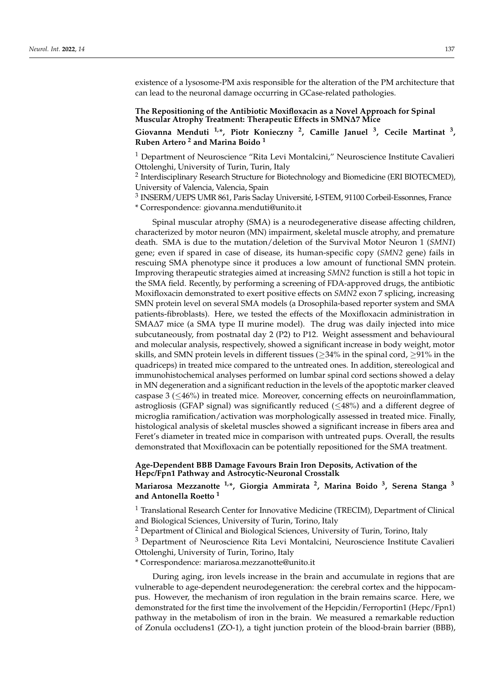existence of a lysosome-PM axis responsible for the alteration of the PM architecture that can lead to the neuronal damage occurring in GCase-related pathologies.

### **The Repositioning of the Antibiotic Moxifloxacin as a Novel Approach for Spinal Muscular Atrophy Treatment: Therapeutic Effects in SMN∆7 Mice**

**Giovanna Menduti 1,\*, Piotr Konieczny <sup>2</sup> , Camille Januel <sup>3</sup> , Cecile Martinat <sup>3</sup> , Ruben Artero <sup>2</sup> and Marina Boido <sup>1</sup>**

<sup>1</sup> Department of Neuroscience "Rita Levi Montalcini," Neuroscience Institute Cavalieri Ottolenghi, University of Turin, Turin, Italy

<sup>2</sup> Interdisciplinary Research Structure for Biotechnology and Biomedicine (ERI BIOTECMED), University of Valencia, Valencia, Spain

<sup>3</sup> INSERM/UEPS UMR 861, Paris Saclay Université, I-STEM, 91100 Corbeil-Essonnes, France \* Correspondence: giovanna.menduti@unito.it

Spinal muscular atrophy (SMA) is a neurodegenerative disease affecting children, characterized by motor neuron (MN) impairment, skeletal muscle atrophy, and premature death. SMA is due to the mutation/deletion of the Survival Motor Neuron 1 (*SMN1*) gene; even if spared in case of disease, its human-specific copy (*SMN2* gene) fails in rescuing SMA phenotype since it produces a low amount of functional SMN protein. Improving therapeutic strategies aimed at increasing *SMN2* function is still a hot topic in the SMA field. Recently, by performing a screening of FDA-approved drugs, the antibiotic Moxifloxacin demonstrated to exert positive effects on *SMN2* exon 7 splicing, increasing SMN protein level on several SMA models (a Drosophila-based reporter system and SMA patients-fibroblasts). Here, we tested the effects of the Moxifloxacin administration in SMA∆7 mice (a SMA type II murine model). The drug was daily injected into mice subcutaneously, from postnatal day 2 (P2) to P12. Weight assessment and behavioural and molecular analysis, respectively, showed a significant increase in body weight, motor skills, and SMN protein levels in different tissues ( $\geq$ 34% in the spinal cord,  $\geq$ 91% in the quadriceps) in treated mice compared to the untreated ones. In addition, stereological and immunohistochemical analyses performed on lumbar spinal cord sections showed a delay in MN degeneration and a significant reduction in the levels of the apoptotic marker cleaved caspase 3 (≤46%) in treated mice. Moreover, concerning effects on neuroinflammation, astrogliosis (GFAP signal) was significantly reduced ( $\leq$ 48%) and a different degree of microglia ramification/activation was morphologically assessed in treated mice. Finally, histological analysis of skeletal muscles showed a significant increase in fibers area and Feret's diameter in treated mice in comparison with untreated pups. Overall, the results demonstrated that Moxifloxacin can be potentially repositioned for the SMA treatment.

#### **Age-Dependent BBB Damage Favours Brain Iron Deposits, Activation of the Hepc/Fpn1 Pathway and Astrocytic-Neuronal Crosstalk**

### **Mariarosa Mezzanotte 1,\*, Giorgia Ammirata <sup>2</sup> , Marina Boido <sup>3</sup> , Serena Stanga <sup>3</sup> and Antonella Roetto <sup>1</sup>**

<sup>1</sup> Translational Research Center for Innovative Medicine (TRECIM), Department of Clinical and Biological Sciences, University of Turin, Torino, Italy

<sup>2</sup> Department of Clinical and Biological Sciences, University of Turin, Torino, Italy

<sup>3</sup> Department of Neuroscience Rita Levi Montalcini, Neuroscience Institute Cavalieri Ottolenghi, University of Turin, Torino, Italy

\* Correspondence: mariarosa.mezzanotte@unito.it

During aging, iron levels increase in the brain and accumulate in regions that are vulnerable to age-dependent neurodegeneration: the cerebral cortex and the hippocampus. However, the mechanism of iron regulation in the brain remains scarce. Here, we demonstrated for the first time the involvement of the Hepcidin/Ferroportin1 (Hepc/Fpn1) pathway in the metabolism of iron in the brain. We measured a remarkable reduction of Zonula occludens1 (ZO-1), a tight junction protein of the blood-brain barrier (BBB),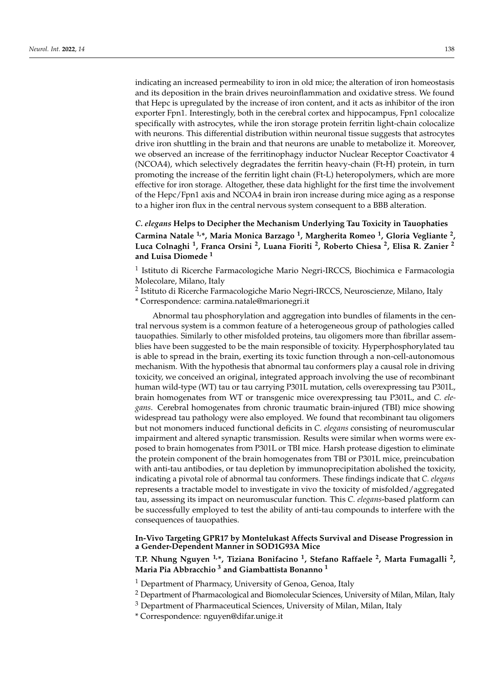indicating an increased permeability to iron in old mice; the alteration of iron homeostasis and its deposition in the brain drives neuroinflammation and oxidative stress. We found that Hepc is upregulated by the increase of iron content, and it acts as inhibitor of the iron exporter Fpn1. Interestingly, both in the cerebral cortex and hippocampus, Fpn1 colocalize specifically with astrocytes, while the iron storage protein ferritin light-chain colocalize with neurons. This differential distribution within neuronal tissue suggests that astrocytes drive iron shuttling in the brain and that neurons are unable to metabolize it. Moreover, we observed an increase of the ferritinophagy inductor Nuclear Receptor Coactivator 4 (NCOA4), which selectively degradates the ferritin heavy-chain (Ft-H) protein, in turn promoting the increase of the ferritin light chain (Ft-L) heteropolymers, which are more effective for iron storage. Altogether, these data highlight for the first time the involvement of the Hepc/Fpn1 axis and NCOA4 in brain iron increase during mice aging as a response to a higher iron flux in the central nervous system consequent to a BBB alteration.

*C. elegans* **Helps to Decipher the Mechanism Underlying Tau Toxicity in Tauophaties Carmina Natale 1,\*, Maria Monica Barzago <sup>1</sup> , Margherita Romeo <sup>1</sup> , Gloria Vegliante <sup>2</sup> , Luca Colnaghi <sup>1</sup> , Franca Orsini <sup>2</sup> , Luana Fioriti <sup>2</sup> , Roberto Chiesa <sup>2</sup> , Elisa R. Zanier <sup>2</sup> and Luisa Diomede <sup>1</sup>**

<sup>1</sup> Istituto di Ricerche Farmacologiche Mario Negri-IRCCS, Biochimica e Farmacologia Molecolare, Milano, Italy

<sup>2</sup> Istituto di Ricerche Farmacologiche Mario Negri-IRCCS, Neuroscienze, Milano, Italy

\* Correspondence: carmina.natale@marionegri.it

Abnormal tau phosphorylation and aggregation into bundles of filaments in the central nervous system is a common feature of a heterogeneous group of pathologies called tauopathies. Similarly to other misfolded proteins, tau oligomers more than fibrillar assemblies have been suggested to be the main responsible of toxicity. Hyperphosphorylated tau is able to spread in the brain, exerting its toxic function through a non-cell-autonomous mechanism. With the hypothesis that abnormal tau conformers play a causal role in driving toxicity, we conceived an original, integrated approach involving the use of recombinant human wild-type (WT) tau or tau carrying P301L mutation, cells overexpressing tau P301L, brain homogenates from WT or transgenic mice overexpressing tau P301L, and *C. elegans*. Cerebral homogenates from chronic traumatic brain-injured (TBI) mice showing widespread tau pathology were also employed. We found that recombinant tau oligomers but not monomers induced functional deficits in *C. elegans* consisting of neuromuscular impairment and altered synaptic transmission. Results were similar when worms were exposed to brain homogenates from P301L or TBI mice. Harsh protease digestion to eliminate the protein component of the brain homogenates from TBI or P301L mice, preincubation with anti-tau antibodies, or tau depletion by immunoprecipitation abolished the toxicity, indicating a pivotal role of abnormal tau conformers. These findings indicate that *C. elegans* represents a tractable model to investigate in vivo the toxicity of misfolded/aggregated tau, assessing its impact on neuromuscular function. This *C. elegans*-based platform can be successfully employed to test the ability of anti-tau compounds to interfere with the consequences of tauopathies.

### **In-Vivo Targeting GPR17 by Montelukast Affects Survival and Disease Progression in a Gender-Dependent Manner in SOD1G93A Mice**

**T.P. Nhung Nguyen 1,\*, Tiziana Bonifacino <sup>1</sup> , Stefano Raffaele <sup>2</sup> , Marta Fumagalli <sup>2</sup> , Maria Pia Abbracchio <sup>3</sup> and Giambattista Bonanno <sup>1</sup>**

 $1$  Department of Pharmacy, University of Genoa, Genoa, Italy

- <sup>2</sup> Department of Pharmacological and Biomolecular Sciences, University of Milan, Milan, Italy
- $3$  Department of Pharmaceutical Sciences, University of Milan, Milan, Italy

\* Correspondence: nguyen@difar.unige.it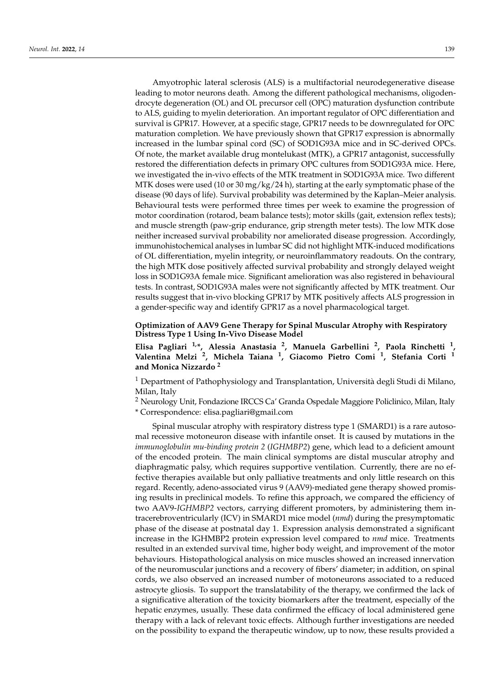Amyotrophic lateral sclerosis (ALS) is a multifactorial neurodegenerative disease leading to motor neurons death. Among the different pathological mechanisms, oligodendrocyte degeneration (OL) and OL precursor cell (OPC) maturation dysfunction contribute to ALS, guiding to myelin deterioration. An important regulator of OPC differentiation and survival is GPR17. However, at a specific stage, GPR17 needs to be downregulated for OPC maturation completion. We have previously shown that GPR17 expression is abnormally increased in the lumbar spinal cord (SC) of SOD1G93A mice and in SC-derived OPCs. Of note, the market available drug montelukast (MTK), a GPR17 antagonist, successfully restored the differentiation defects in primary OPC cultures from SOD1G93A mice. Here, we investigated the in-vivo effects of the MTK treatment in SOD1G93A mice. Two different MTK doses were used (10 or 30 mg/kg/24 h), starting at the early symptomatic phase of the disease (90 days of life). Survival probability was determined by the Kaplan–Meier analysis. Behavioural tests were performed three times per week to examine the progression of motor coordination (rotarod, beam balance tests); motor skills (gait, extension reflex tests); and muscle strength (paw-grip endurance, grip strength meter tests). The low MTK dose neither increased survival probability nor ameliorated disease progression. Accordingly, immunohistochemical analyses in lumbar SC did not highlight MTK-induced modifications of OL differentiation, myelin integrity, or neuroinflammatory readouts. On the contrary, the high MTK dose positively affected survival probability and strongly delayed weight loss in SOD1G93A female mice. Significant amelioration was also registered in behavioural tests. In contrast, SOD1G93A males were not significantly affected by MTK treatment. Our results suggest that in-vivo blocking GPR17 by MTK positively affects ALS progression in a gender-specific way and identify GPR17 as a novel pharmacological target.

### **Optimization of AAV9 Gene Therapy for Spinal Muscular Atrophy with Respiratory Distress Type 1 Using In-Vivo Disease Model**

**Elisa Pagliari 1,\*, Alessia Anastasia <sup>2</sup> , Manuela Garbellini <sup>2</sup> , Paola Rinchetti <sup>1</sup> , Valentina Melzi <sup>2</sup> , Michela Taiana <sup>1</sup> , Giacomo Pietro Comi <sup>1</sup> , Stefania Corti <sup>1</sup> and Monica Nizzardo <sup>2</sup>**

<sup>1</sup> Department of Pathophysiology and Transplantation, Università degli Studi di Milano, Milan, Italy

<sup>2</sup> Neurology Unit, Fondazione IRCCS Ca' Granda Ospedale Maggiore Policlinico, Milan, Italy \* Correspondence: elisa.pagliari@gmail.com

Spinal muscular atrophy with respiratory distress type 1 (SMARD1) is a rare autosomal recessive motoneuron disease with infantile onset. It is caused by mutations in the *immunoglobulin mu-binding protein 2* (*IGHMBP2*) gene, which lead to a deficient amount of the encoded protein. The main clinical symptoms are distal muscular atrophy and diaphragmatic palsy, which requires supportive ventilation. Currently, there are no effective therapies available but only palliative treatments and only little research on this regard. Recently, adeno-associated virus 9 (AAV9)-mediated gene therapy showed promising results in preclinical models. To refine this approach, we compared the efficiency of two AAV9-*IGHMBP2* vectors, carrying different promoters, by administering them intracerebroventricularly (ICV) in SMARD1 mice model (*nmd*) during the presymptomatic phase of the disease at postnatal day 1. Expression analysis demonstrated a significant increase in the IGHMBP2 protein expression level compared to *nmd* mice. Treatments resulted in an extended survival time, higher body weight, and improvement of the motor behaviours. Histopathological analysis on mice muscles showed an increased innervation of the neuromuscular junctions and a recovery of fibers' diameter; in addition, on spinal cords, we also observed an increased number of motoneurons associated to a reduced astrocyte gliosis. To support the translatability of the therapy, we confirmed the lack of a significative alteration of the toxicity biomarkers after the treatment, especially of the hepatic enzymes, usually. These data confirmed the efficacy of local administered gene therapy with a lack of relevant toxic effects. Although further investigations are needed on the possibility to expand the therapeutic window, up to now, these results provided a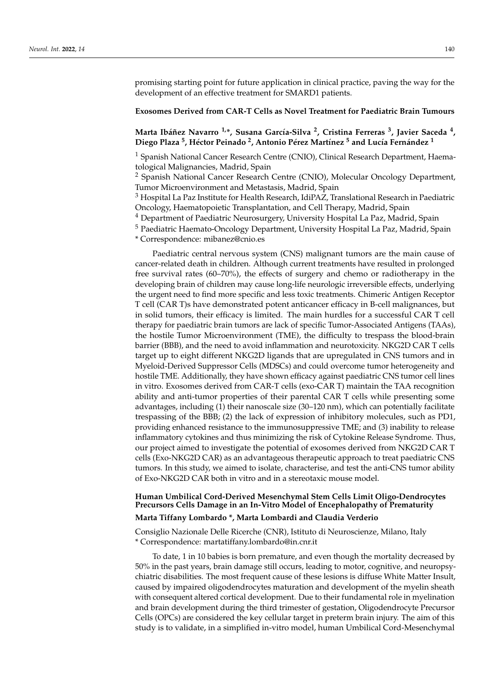promising starting point for future application in clinical practice, paving the way for the development of an effective treatment for SMARD1 patients.

#### **Exosomes Derived from CAR-T Cells as Novel Treatment for Paediatric Brain Tumours**

**Marta Ibáñez Navarro 1,\*, Susana García-Silva <sup>2</sup> , Cristina Ferreras <sup>3</sup> , Javier Saceda <sup>4</sup> , Diego Plaza <sup>5</sup> , Héctor Peinado <sup>2</sup> , Antonio Pérez Martínez <sup>5</sup> and Lucía Fernández <sup>1</sup>**

<sup>1</sup> Spanish National Cancer Research Centre (CNIO), Clinical Research Department, Haematological Malignancies, Madrid, Spain

<sup>2</sup> Spanish National Cancer Research Centre (CNIO), Molecular Oncology Department, Tumor Microenvironment and Metastasis, Madrid, Spain

<sup>3</sup> Hospital La Paz Institute for Health Research, IdiPAZ, Translational Research in Paediatric Oncology, Haematopoietic Transplantation, and Cell Therapy, Madrid, Spain

<sup>4</sup> Department of Paediatric Neurosurgery, University Hospital La Paz, Madrid, Spain

<sup>5</sup> Paediatric Haemato-Oncology Department, University Hospital La Paz, Madrid, Spain

\* Correspondence: mibanez@cnio.es

Paediatric central nervous system (CNS) malignant tumors are the main cause of cancer-related death in children. Although current treatments have resulted in prolonged free survival rates (60–70%), the effects of surgery and chemo or radiotherapy in the developing brain of children may cause long-life neurologic irreversible effects, underlying the urgent need to find more specific and less toxic treatments. Chimeric Antigen Receptor T cell (CAR T)s have demonstrated potent anticancer efficacy in B-cell malignances, but in solid tumors, their efficacy is limited. The main hurdles for a successful CAR T cell therapy for paediatric brain tumors are lack of specific Tumor-Associated Antigens (TAAs), the hostile Tumor Microenvironment (TME), the difficulty to trespass the blood-brain barrier (BBB), and the need to avoid inflammation and neurotoxicity. NKG2D CAR T cells target up to eight different NKG2D ligands that are upregulated in CNS tumors and in Myeloid-Derived Suppressor Cells (MDSCs) and could overcome tumor heterogeneity and hostile TME. Additionally, they have shown efficacy against paediatric CNS tumor cell lines in vitro. Exosomes derived from CAR-T cells (exo-CAR T) maintain the TAA recognition ability and anti-tumor properties of their parental CAR T cells while presenting some advantages, including (1) their nanoscale size (30–120 nm), which can potentially facilitate trespassing of the BBB; (2) the lack of expression of inhibitory molecules, such as PD1, providing enhanced resistance to the immunosuppressive TME; and (3) inability to release inflammatory cytokines and thus minimizing the risk of Cytokine Release Syndrome. Thus, our project aimed to investigate the potential of exosomes derived from NKG2D CAR T cells (Exo-NKG2D CAR) as an advantageous therapeutic approach to treat paediatric CNS tumors. In this study, we aimed to isolate, characterise, and test the anti-CNS tumor ability of Exo-NKG2D CAR both in vitro and in a stereotaxic mouse model.

# **Human Umbilical Cord-Derived Mesenchymal Stem Cells Limit Oligo-Dendrocytes Precursors Cells Damage in an In-Vitro Model of Encephalopathy of Prematurity**

#### **Marta Tiffany Lombardo \*, Marta Lombardi and Claudia Verderio**

Consiglio Nazionale Delle Ricerche (CNR), Istituto di Neuroscienze, Milano, Italy \* Correspondence: martatiffany.lombardo@in.cnr.it

To date, 1 in 10 babies is born premature, and even though the mortality decreased by 50% in the past years, brain damage still occurs, leading to motor, cognitive, and neuropsychiatric disabilities. The most frequent cause of these lesions is diffuse White Matter Insult, caused by impaired oligodendrocytes maturation and development of the myelin sheath with consequent altered cortical development. Due to their fundamental role in myelination and brain development during the third trimester of gestation, Oligodendrocyte Precursor Cells (OPCs) are considered the key cellular target in preterm brain injury. The aim of this study is to validate, in a simplified in-vitro model, human Umbilical Cord-Mesenchymal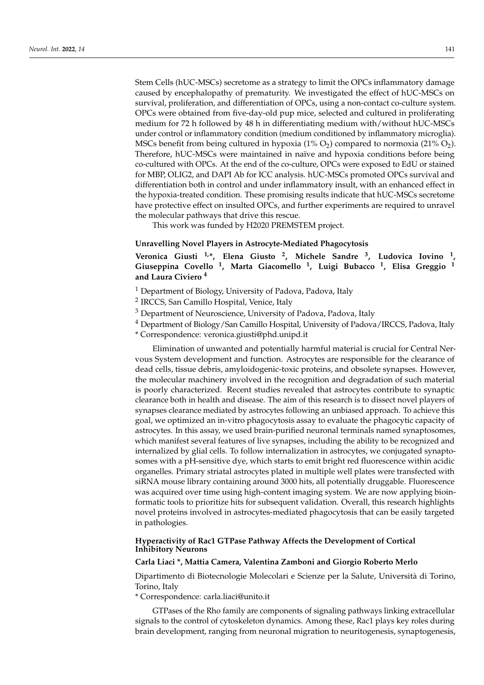Stem Cells (hUC-MSCs) secretome as a strategy to limit the OPCs inflammatory damage caused by encephalopathy of prematurity. We investigated the effect of hUC-MSCs on survival, proliferation, and differentiation of OPCs, using a non-contact co-culture system. OPCs were obtained from five-day-old pup mice, selected and cultured in proliferating medium for 72 h followed by 48 h in differentiating medium with/without hUC-MSCs under control or inflammatory condition (medium conditioned by inflammatory microglia). MSCs benefit from being cultured in hypoxia  $(1\% O_2)$  compared to normoxia  $(21\% O_2)$ . Therefore, hUC-MSCs were maintained in naïve and hypoxia conditions before being co-cultured with OPCs. At the end of the co-culture, OPCs were exposed to EdU or stained for MBP, OLIG2, and DAPI Ab for ICC analysis. hUC-MSCs promoted OPCs survival and differentiation both in control and under inflammatory insult, with an enhanced effect in the hypoxia-treated condition. These promising results indicate that hUC-MSCs secretome have protective effect on insulted OPCs, and further experiments are required to unravel the molecular pathways that drive this rescue.

This work was funded by H2020 PREMSTEM project.

#### **Unravelling Novel Players in Astrocyte-Mediated Phagocytosis**

**Veronica Giusti 1,\*, Elena Giusto <sup>2</sup> , Michele Sandre <sup>3</sup> , Ludovica Iovino <sup>1</sup> , Giuseppina Covello <sup>1</sup> , Marta Giacomello <sup>1</sup> , Luigi Bubacco <sup>1</sup> , Elisa Greggio <sup>1</sup> and Laura Civiero <sup>4</sup>**

- <sup>1</sup> Department of Biology, University of Padova, Padova, Italy
- <sup>2</sup> IRCCS, San Camillo Hospital, Venice, Italy
- <sup>3</sup> Department of Neuroscience, University of Padova, Padova, Italy
- <sup>4</sup> Department of Biology/San Camillo Hospital, University of Padova/IRCCS, Padova, Italy
- \* Correspondence: veronica.giusti@phd.unipd.it

Elimination of unwanted and potentially harmful material is crucial for Central Nervous System development and function. Astrocytes are responsible for the clearance of dead cells, tissue debris, amyloidogenic-toxic proteins, and obsolete synapses. However, the molecular machinery involved in the recognition and degradation of such material is poorly characterized. Recent studies revealed that astrocytes contribute to synaptic clearance both in health and disease. The aim of this research is to dissect novel players of synapses clearance mediated by astrocytes following an unbiased approach. To achieve this goal, we optimized an in-vitro phagocytosis assay to evaluate the phagocytic capacity of astrocytes. In this assay, we used brain-purified neuronal terminals named synaptosomes, which manifest several features of live synapses, including the ability to be recognized and internalized by glial cells. To follow internalization in astrocytes, we conjugated synaptosomes with a pH-sensitive dye, which starts to emit bright red fluorescence within acidic organelles. Primary striatal astrocytes plated in multiple well plates were transfected with siRNA mouse library containing around 3000 hits, all potentially druggable. Fluorescence was acquired over time using high-content imaging system. We are now applying bioinformatic tools to prioritize hits for subsequent validation. Overall, this research highlights novel proteins involved in astrocytes-mediated phagocytosis that can be easily targeted in pathologies.

### **Hyperactivity of Rac1 GTPase Pathway Affects the Development of Cortical Inhibitory Neurons**

#### **Carla Liaci \*, Mattia Camera, Valentina Zamboni and Giorgio Roberto Merlo**

Dipartimento di Biotecnologie Molecolari e Scienze per la Salute, Università di Torino, Torino, Italy

\* Correspondence: carla.liaci@unito.it

GTPases of the Rho family are components of signaling pathways linking extracellular signals to the control of cytoskeleton dynamics. Among these, Rac1 plays key roles during brain development, ranging from neuronal migration to neuritogenesis, synaptogenesis,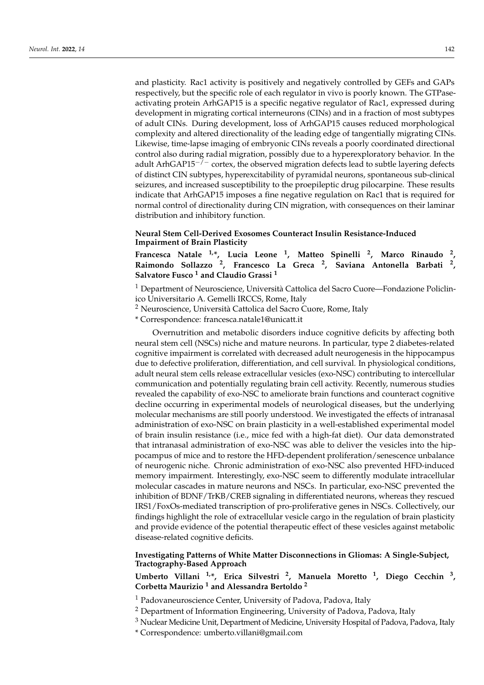and plasticity. Rac1 activity is positively and negatively controlled by GEFs and GAPs respectively, but the specific role of each regulator in vivo is poorly known. The GTPaseactivating protein ArhGAP15 is a specific negative regulator of Rac1, expressed during development in migrating cortical interneurons (CINs) and in a fraction of most subtypes of adult CINs. During development, loss of ArhGAP15 causes reduced morphological complexity and altered directionality of the leading edge of tangentially migrating CINs. Likewise, time-lapse imaging of embryonic CINs reveals a poorly coordinated directional control also during radial migration, possibly due to a hyperexploratory behavior. In the adult ArhGAP15<sup>-/-</sup> cortex, the observed migration defects lead to subtle layering defects of distinct CIN subtypes, hyperexcitability of pyramidal neurons, spontaneous sub-clinical seizures, and increased susceptibility to the proepileptic drug pilocarpine. These results indicate that ArhGAP15 imposes a fine negative regulation on Rac1 that is required for normal control of directionality during CIN migration, with consequences on their laminar distribution and inhibitory function.

#### **Neural Stem Cell-Derived Exosomes Counteract Insulin Resistance-Induced Impairment of Brain Plasticity**

**Francesca Natale 1,\*, Lucia Leone <sup>1</sup> , Matteo Spinelli <sup>2</sup> , Marco Rinaudo <sup>2</sup> , Raimondo Sollazzo <sup>2</sup> , Francesco La Greca <sup>2</sup> , Saviana Antonella Barbati <sup>2</sup> , Salvatore Fusco <sup>1</sup> and Claudio Grassi <sup>1</sup>**

<sup>1</sup> Department of Neuroscience, Università Cattolica del Sacro Cuore—Fondazione Policlinico Universitario A. Gemelli IRCCS, Rome, Italy

<sup>2</sup> Neuroscience, Università Cattolica del Sacro Cuore, Rome, Italy

\* Correspondence: francesca.natale1@unicatt.it

Overnutrition and metabolic disorders induce cognitive deficits by affecting both neural stem cell (NSCs) niche and mature neurons. In particular, type 2 diabetes-related cognitive impairment is correlated with decreased adult neurogenesis in the hippocampus due to defective proliferation, differentiation, and cell survival. In physiological conditions, adult neural stem cells release extracellular vesicles (exo-NSC) contributing to intercellular communication and potentially regulating brain cell activity. Recently, numerous studies revealed the capability of exo-NSC to ameliorate brain functions and counteract cognitive decline occurring in experimental models of neurological diseases, but the underlying molecular mechanisms are still poorly understood. We investigated the effects of intranasal administration of exo-NSC on brain plasticity in a well-established experimental model of brain insulin resistance (i.e., mice fed with a high-fat diet). Our data demonstrated that intranasal administration of exo-NSC was able to deliver the vesicles into the hippocampus of mice and to restore the HFD-dependent proliferation/senescence unbalance of neurogenic niche. Chronic administration of exo-NSC also prevented HFD-induced memory impairment. Interestingly, exo-NSC seem to differently modulate intracellular molecular cascades in mature neurons and NSCs. In particular, exo-NSC prevented the inhibition of BDNF/TrKB/CREB signaling in differentiated neurons, whereas they rescued IRS1/FoxOs-mediated transcription of pro-proliferative genes in NSCs. Collectively, our findings highlight the role of extracellular vesicle cargo in the regulation of brain plasticity and provide evidence of the potential therapeutic effect of these vesicles against metabolic disease-related cognitive deficits.

### **Investigating Patterns of White Matter Disconnections in Gliomas: A Single-Subject, Tractography-Based Approach**

**Umberto Villani 1,\*, Erica Silvestri <sup>2</sup> , Manuela Moretto <sup>1</sup> , Diego Cecchin <sup>3</sup> , Corbetta Maurizio <sup>1</sup> and Alessandra Bertoldo <sup>2</sup>**

- <sup>1</sup> Padovaneuroscience Center, University of Padova, Padova, Italy
- <sup>2</sup> Department of Information Engineering, University of Padova, Padova, Italy
- <sup>3</sup> Nuclear Medicine Unit, Department of Medicine, University Hospital of Padova, Padova, Italy
	- \* Correspondence: umberto.villani@gmail.com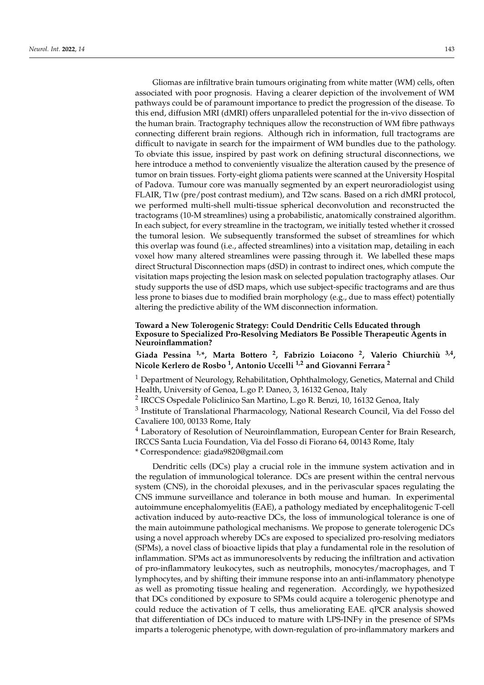Gliomas are infiltrative brain tumours originating from white matter (WM) cells, often associated with poor prognosis. Having a clearer depiction of the involvement of WM pathways could be of paramount importance to predict the progression of the disease. To this end, diffusion MRI (dMRI) offers unparalleled potential for the in-vivo dissection of the human brain. Tractography techniques allow the reconstruction of WM fibre pathways connecting different brain regions. Although rich in information, full tractograms are difficult to navigate in search for the impairment of WM bundles due to the pathology. To obviate this issue, inspired by past work on defining structural disconnections, we here introduce a method to conveniently visualize the alteration caused by the presence of tumor on brain tissues. Forty-eight glioma patients were scanned at the University Hospital of Padova. Tumour core was manually segmented by an expert neuroradiologist using FLAIR, T1w (pre/post contrast medium), and T2w scans. Based on a rich dMRI protocol, we performed multi-shell multi-tissue spherical deconvolution and reconstructed the tractograms (10-M streamlines) using a probabilistic, anatomically constrained algorithm. In each subject, for every streamline in the tractogram, we initially tested whether it crossed the tumoral lesion. We subsequently transformed the subset of streamlines for which this overlap was found (i.e., affected streamlines) into a visitation map, detailing in each voxel how many altered streamlines were passing through it. We labelled these maps direct Structural Disconnection maps (dSD) in contrast to indirect ones, which compute the visitation maps projecting the lesion mask on selected population tractography atlases. Our study supports the use of dSD maps, which use subject-specific tractograms and are thus less prone to biases due to modified brain morphology (e.g., due to mass effect) potentially altering the predictive ability of the WM disconnection information.

#### **Toward a New Tolerogenic Strategy: Could Dendritic Cells Educated through Exposure to Specialized Pro-Resolving Mediators Be Possible Therapeutic Agents in Neuroinflammation?**

**Giada Pessina 1,\*, Marta Bottero <sup>2</sup> , Fabrizio Loiacono <sup>2</sup> , Valerio Chiurchiù 3,4 , Nicole Kerlero de Rosbo <sup>1</sup> , Antonio Uccelli 1,2 and Giovanni Ferrara <sup>2</sup>**

 $1$  Department of Neurology, Rehabilitation, Ophthalmology, Genetics, Maternal and Child Health, University of Genoa, L.go P. Daneo, 3, 16132 Genoa, Italy

<sup>2</sup> IRCCS Ospedale Policlinico San Martino, L.go R. Benzi, 10, 16132 Genoa, Italy

 $^3$  Institute of Translational Pharmacology, National Research Council, Via del Fosso del Cavaliere 100, 00133 Rome, Italy

<sup>4</sup> Laboratory of Resolution of Neuroinflammation, European Center for Brain Research, IRCCS Santa Lucia Foundation, Via del Fosso di Fiorano 64, 00143 Rome, Italy \* Correspondence: giada9820@gmail.com

Dendritic cells (DCs) play a crucial role in the immune system activation and in the regulation of immunological tolerance. DCs are present within the central nervous system (CNS), in the choroidal plexuses, and in the perivascular spaces regulating the CNS immune surveillance and tolerance in both mouse and human. In experimental autoimmune encephalomyelitis (EAE), a pathology mediated by encephalitogenic T-cell activation induced by auto-reactive DCs, the loss of immunological tolerance is one of the main autoimmune pathological mechanisms. We propose to generate tolerogenic DCs using a novel approach whereby DCs are exposed to specialized pro-resolving mediators (SPMs), a novel class of bioactive lipids that play a fundamental role in the resolution of inflammation. SPMs act as immunoresolvents by reducing the infiltration and activation of pro-inflammatory leukocytes, such as neutrophils, monocytes/macrophages, and T lymphocytes, and by shifting their immune response into an anti-inflammatory phenotype as well as promoting tissue healing and regeneration. Accordingly, we hypothesized that DCs conditioned by exposure to SPMs could acquire a tolerogenic phenotype and could reduce the activation of T cells, thus ameliorating EAE. qPCR analysis showed that differentiation of DCs induced to mature with LPS-INF $\gamma$  in the presence of SPMs imparts a tolerogenic phenotype, with down-regulation of pro-inflammatory markers and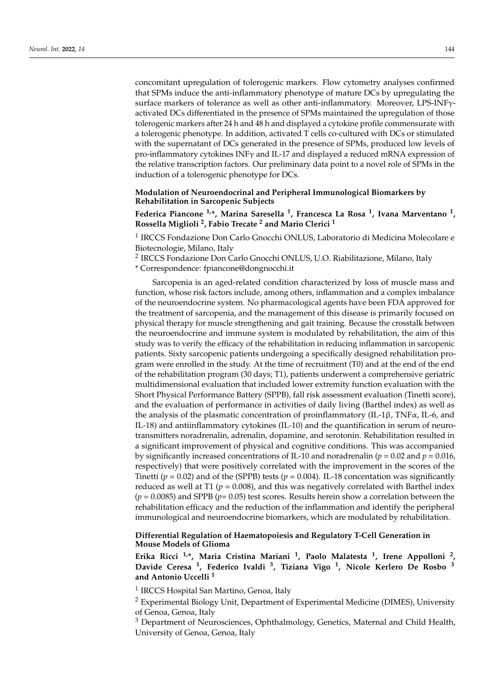concomitant upregulation of tolerogenic markers. Flow cytometry analyses confirmed that SPMs induce the anti-inflammatory phenotype of mature DCs by upregulating the surface markers of tolerance as well as other anti-inflammatory. Moreover, LPS-INFγactivated DCs differentiated in the presence of SPMs maintained the upregulation of those tolerogenic markers after 24 h and 48 h and displayed a cytokine profile commensurate with a tolerogenic phenotype. In addition, activated T cells co-cultured with DCs or stimulated with the supernatant of DCs generated in the presence of SPMs, produced low levels of pro-inflammatory cytokines INFγ and IL-17 and displayed a reduced mRNA expression of the relative transcription factors. Our preliminary data point to a novel role of SPMs in the induction of a tolerogenic phenotype for DCs.

### **Modulation of Neuroendocrinal and Peripheral Immunological Biomarkers by Rehabilitation in Sarcopenic Subjects**

# **Federica Piancone 1,\*, Marina Saresella <sup>1</sup> , Francesca La Rosa <sup>1</sup> , Ivana Marventano <sup>1</sup> , Rossella Miglioli <sup>2</sup> , Fabio Trecate <sup>2</sup> and Mario Clerici <sup>1</sup>**

<sup>1</sup> IRCCS Fondazione Don Carlo Gnocchi ONLUS, Laboratorio di Medicina Molecolare e Biotecnologie, Milano, Italy

<sup>2</sup> IRCCS Fondazione Don Carlo Gnocchi ONLUS, U.O. Riabilitazione, Milano, Italy

\* Correspondence: fpiancone@dongnocchi.it

Sarcopenia is an aged-related condition characterized by loss of muscle mass and function, whose risk factors include, among others, inflammation and a complex imbalance of the neuroendocrine system. No pharmacological agents have been FDA approved for the treatment of sarcopenia, and the management of this disease is primarily focused on physical therapy for muscle strengthening and gait training. Because the crosstalk between the neuroendocrine and immune system is modulated by rehabilitation, the aim of this study was to verify the efficacy of the rehabilitation in reducing inflammation in sarcopenic patients. Sixty sarcopenic patients undergoing a specifically designed rehabilitation program were enrolled in the study. At the time of recruitment (T0) and at the end of the end of the rehabilitation program (30 days; T1), patients underwent a comprehensive geriatric multidimensional evaluation that included lower extremity function evaluation with the Short Physical Performance Battery (SPPB), fall risk assessment evaluation (Tinetti score), and the evaluation of performance in activities of daily living (Barthel index) as well as the analysis of the plasmatic concentration of proinflammatory (IL-1β, TNF $\alpha$ , IL-6, and IL-18) and antiinflammatory cytokines (IL-10) and the quantification in serum of neurotransmitters noradrenalin, adrenalin, dopamine, and serotonin. Rehabilitation resulted in a significant improvement of physical and cognitive conditions. This was accompanied by significantly increased concentrations of IL-10 and noradrenalin ( $p = 0.02$  and  $p = 0.016$ , respectively) that were positively correlated with the improvement in the scores of the Tinetti ( $p = 0.02$ ) and of the (SPPB) tests ( $p = 0.004$ ). IL-18 concentation was significantly reduced as well at T1 ( $p = 0.008$ ), and this was negatively correlated with Barthel index (*p* = 0.0085) and SPPB (*p*= 0.05) test scores. Results herein show a correlation between the rehabilitation efficacy and the reduction of the inflammation and identify the peripheral immunological and neuroendocrine biomarkers, which are modulated by rehabilitation.

#### **Differential Regulation of Haematopoiesis and Regulatory T-Cell Generation in Mouse Models of Glioma**

**Erika Ricci 1,\*, Maria Cristina Mariani <sup>1</sup> , Paolo Malatesta <sup>1</sup> , Irene Appolloni <sup>2</sup> , Davide Ceresa <sup>1</sup> , Federico Ivaldi <sup>3</sup> , Tiziana Vigo <sup>1</sup> , Nicole Kerlero De Rosbo <sup>3</sup> and Antonio Uccelli <sup>1</sup>**

<sup>1</sup> IRCCS Hospital San Martino, Genoa, Italy

<sup>2</sup> Experimental Biology Unit, Department of Experimental Medicine (DIMES), University of Genoa, Genoa, Italy

<sup>3</sup> Department of Neurosciences, Ophthalmology, Genetics, Maternal and Child Health, University of Genoa, Genoa, Italy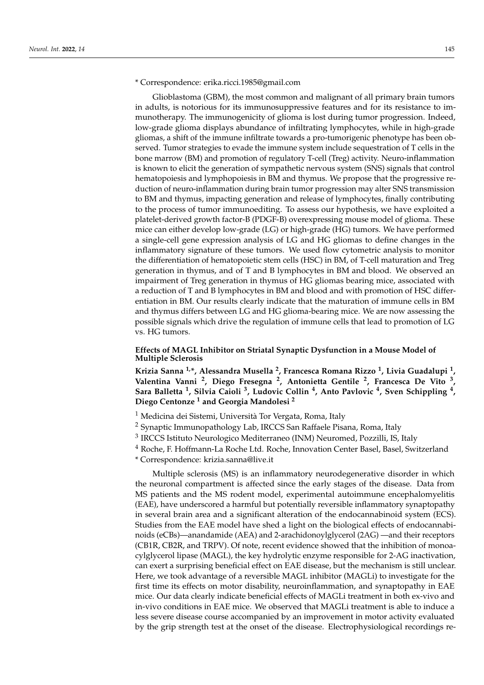Glioblastoma (GBM), the most common and malignant of all primary brain tumors in adults, is notorious for its immunosuppressive features and for its resistance to immunotherapy. The immunogenicity of glioma is lost during tumor progression. Indeed, low-grade glioma displays abundance of infiltrating lymphocytes, while in high-grade gliomas, a shift of the immune infiltrate towards a pro-tumorigenic phenotype has been observed. Tumor strategies to evade the immune system include sequestration of T cells in the bone marrow (BM) and promotion of regulatory T-cell (Treg) activity. Neuro-inflammation is known to elicit the generation of sympathetic nervous system (SNS) signals that control hematopoiesis and lymphopoiesis in BM and thymus. We propose that the progressive reduction of neuro-inflammation during brain tumor progression may alter SNS transmission to BM and thymus, impacting generation and release of lymphocytes, finally contributing to the process of tumor immunoediting. To assess our hypothesis, we have exploited a platelet-derived growth factor-B (PDGF-B) overexpressing mouse model of glioma. These mice can either develop low-grade (LG) or high-grade (HG) tumors. We have performed a single-cell gene expression analysis of LG and HG gliomas to define changes in the inflammatory signature of these tumors. We used flow cytometric analysis to monitor the differentiation of hematopoietic stem cells (HSC) in BM, of T-cell maturation and Treg generation in thymus, and of T and B lymphocytes in BM and blood. We observed an impairment of Treg generation in thymus of HG gliomas bearing mice, associated with a reduction of T and B lymphocytes in BM and blood and with promotion of HSC differentiation in BM. Our results clearly indicate that the maturation of immune cells in BM and thymus differs between LG and HG glioma-bearing mice. We are now assessing the possible signals which drive the regulation of immune cells that lead to promotion of LG vs. HG tumors.

### **Effects of MAGL Inhibitor on Striatal Synaptic Dysfunction in a Mouse Model of Multiple Sclerosis**

**Krizia Sanna 1,\*, Alessandra Musella <sup>2</sup> , Francesca Romana Rizzo <sup>1</sup> , Livia Guadalupi <sup>1</sup> , Valentina Vanni <sup>2</sup> , Diego Fresegna <sup>2</sup> , Antonietta Gentile <sup>2</sup> , Francesca De Vito <sup>3</sup> , Sara Balletta <sup>1</sup> , Silvia Caioli <sup>3</sup> , Ludovic Collin <sup>4</sup> , Anto Pavlovic <sup>4</sup> , Sven Schippling <sup>4</sup> , Diego Centonze <sup>1</sup> and Georgia Mandolesi <sup>2</sup>**

- <sup>1</sup> Medicina dei Sistemi, Università Tor Vergata, Roma, Italy
- <sup>2</sup> Synaptic Immunopathology Lab, IRCCS San Raffaele Pisana, Roma, Italy
- <sup>3</sup> IRCCS Istituto Neurologico Mediterraneo (INM) Neuromed, Pozzilli, IS, Italy
- <sup>4</sup> Roche, F. Hoffmann-La Roche Ltd. Roche, Innovation Center Basel, Basel, Switzerland

\* Correspondence: krizia.sanna@live.it

Multiple sclerosis (MS) is an inflammatory neurodegenerative disorder in which the neuronal compartment is affected since the early stages of the disease. Data from MS patients and the MS rodent model, experimental autoimmune encephalomyelitis (EAE), have underscored a harmful but potentially reversible inflammatory synaptopathy in several brain area and a significant alteration of the endocannabinoid system (ECS). Studies from the EAE model have shed a light on the biological effects of endocannabinoids (eCBs)—anandamide (AEA) and 2-arachidonoylglycerol (2AG) —and their receptors (CB1R, CB2R, and TRPV). Of note, recent evidence showed that the inhibition of monoacylglycerol lipase (MAGL), the key hydrolytic enzyme responsible for 2-AG inactivation, can exert a surprising beneficial effect on EAE disease, but the mechanism is still unclear. Here, we took advantage of a reversible MAGL inhibitor (MAGLi) to investigate for the first time its effects on motor disability, neuroinflammation, and synaptopathy in EAE mice. Our data clearly indicate beneficial effects of MAGLi treatment in both ex-vivo and in-vivo conditions in EAE mice. We observed that MAGLi treatment is able to induce a less severe disease course accompanied by an improvement in motor activity evaluated by the grip strength test at the onset of the disease. Electrophysiological recordings re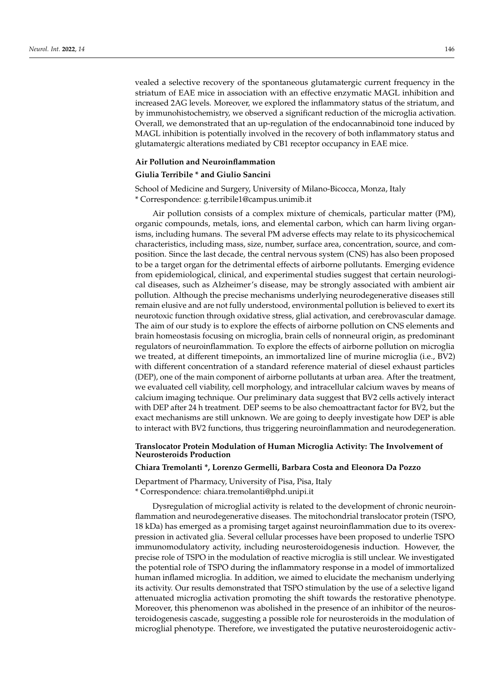vealed a selective recovery of the spontaneous glutamatergic current frequency in the striatum of EAE mice in association with an effective enzymatic MAGL inhibition and increased 2AG levels. Moreover, we explored the inflammatory status of the striatum, and by immunohistochemistry, we observed a significant reduction of the microglia activation. Overall, we demonstrated that an up-regulation of the endocannabinoid tone induced by MAGL inhibition is potentially involved in the recovery of both inflammatory status and glutamatergic alterations mediated by CB1 receptor occupancy in EAE mice.

#### **Air Pollution and Neuroinflammation**

#### **Giulia Terribile \* and Giulio Sancini**

School of Medicine and Surgery, University of Milano-Bicocca, Monza, Italy \* Correspondence: g.terribile1@campus.unimib.it

Air pollution consists of a complex mixture of chemicals, particular matter (PM), organic compounds, metals, ions, and elemental carbon, which can harm living organisms, including humans. The several PM adverse effects may relate to its physicochemical characteristics, including mass, size, number, surface area, concentration, source, and composition. Since the last decade, the central nervous system (CNS) has also been proposed to be a target organ for the detrimental effects of airborne pollutants. Emerging evidence from epidemiological, clinical, and experimental studies suggest that certain neurological diseases, such as Alzheimer's disease, may be strongly associated with ambient air pollution. Although the precise mechanisms underlying neurodegenerative diseases still remain elusive and are not fully understood, environmental pollution is believed to exert its neurotoxic function through oxidative stress, glial activation, and cerebrovascular damage. The aim of our study is to explore the effects of airborne pollution on CNS elements and brain homeostasis focusing on microglia, brain cells of nonneural origin, as predominant regulators of neuroinflammation. To explore the effects of airborne pollution on microglia we treated, at different timepoints, an immortalized line of murine microglia (i.e., BV2) with different concentration of a standard reference material of diesel exhaust particles (DEP), one of the main component of airborne pollutants at urban area. After the treatment, we evaluated cell viability, cell morphology, and intracellular calcium waves by means of calcium imaging technique. Our preliminary data suggest that BV2 cells actively interact with DEP after 24 h treatment. DEP seems to be also chemoattractant factor for BV2, but the exact mechanisms are still unknown. We are going to deeply investigate how DEP is able to interact with BV2 functions, thus triggering neuroinflammation and neurodegeneration.

### **Translocator Protein Modulation of Human Microglia Activity: The Involvement of Neurosteroids Production**

### **Chiara Tremolanti \*, Lorenzo Germelli, Barbara Costa and Eleonora Da Pozzo**

Department of Pharmacy, University of Pisa, Pisa, Italy \* Correspondence: chiara.tremolanti@phd.unipi.it

Dysregulation of microglial activity is related to the development of chronic neuroinflammation and neurodegenerative diseases. The mitochondrial translocator protein (TSPO, 18 kDa) has emerged as a promising target against neuroinflammation due to its overexpression in activated glia. Several cellular processes have been proposed to underlie TSPO immunomodulatory activity, including neurosteroidogenesis induction. However, the precise role of TSPO in the modulation of reactive microglia is still unclear. We investigated the potential role of TSPO during the inflammatory response in a model of immortalized human inflamed microglia. In addition, we aimed to elucidate the mechanism underlying its activity. Our results demonstrated that TSPO stimulation by the use of a selective ligand attenuated microglia activation promoting the shift towards the restorative phenotype. Moreover, this phenomenon was abolished in the presence of an inhibitor of the neurosteroidogenesis cascade, suggesting a possible role for neurosteroids in the modulation of microglial phenotype. Therefore, we investigated the putative neurosteroidogenic activ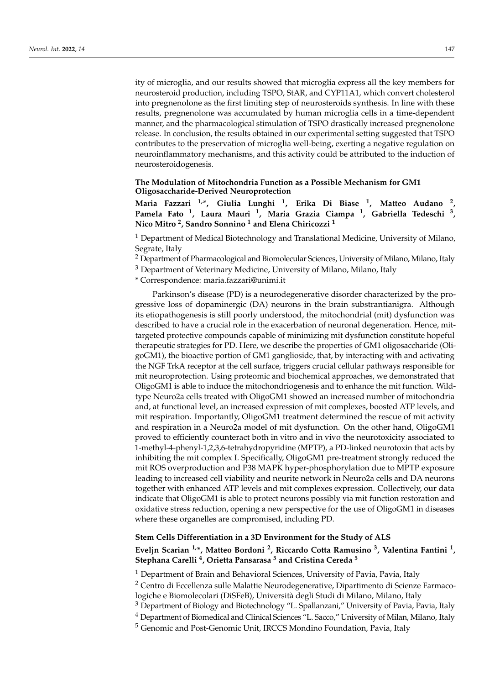ity of microglia, and our results showed that microglia express all the key members for neurosteroid production, including TSPO, StAR, and CYP11A1, which convert cholesterol into pregnenolone as the first limiting step of neurosteroids synthesis. In line with these results, pregnenolone was accumulated by human microglia cells in a time-dependent manner, and the pharmacological stimulation of TSPO drastically increased pregnenolone release. In conclusion, the results obtained in our experimental setting suggested that TSPO contributes to the preservation of microglia well-being, exerting a negative regulation on neuroinflammatory mechanisms, and this activity could be attributed to the induction of neurosteroidogenesis.

### **The Modulation of Mitochondria Function as a Possible Mechanism for GM1 Oligosaccharide-Derived Neuroprotection**

**Maria Fazzari 1,\*, Giulia Lunghi <sup>1</sup> , Erika Di Biase <sup>1</sup> , Matteo Audano <sup>2</sup> , Pamela Fato <sup>1</sup> , Laura Mauri <sup>1</sup> , Maria Grazia Ciampa <sup>1</sup> , Gabriella Tedeschi <sup>3</sup> , Nico Mitro <sup>2</sup> , Sandro Sonnino <sup>1</sup> and Elena Chiricozzi <sup>1</sup>**

<sup>1</sup> Department of Medical Biotechnology and Translational Medicine, University of Milano, Segrate, Italy

<sup>2</sup> Department of Pharmacological and Biomolecular Sciences, University of Milano, Milano, Italy

 $3$  Department of Veterinary Medicine, University of Milano, Milano, Italy

\* Correspondence: maria.fazzari@unimi.it

Parkinson's disease (PD) is a neurodegenerative disorder characterized by the progressive loss of dopaminergic (DA) neurons in the brain substrantianigra. Although its etiopathogenesis is still poorly understood, the mitochondrial (mit) dysfunction was described to have a crucial role in the exacerbation of neuronal degeneration. Hence, mittargeted protective compounds capable of minimizing mit dysfunction constitute hopeful therapeutic strategies for PD. Here, we describe the properties of GM1 oligosaccharide (OligoGM1), the bioactive portion of GM1 ganglioside, that, by interacting with and activating the NGF TrkA receptor at the cell surface, triggers crucial cellular pathways responsible for mit neuroprotection. Using proteomic and biochemical approaches, we demonstrated that OligoGM1 is able to induce the mitochondriogenesis and to enhance the mit function. Wildtype Neuro2a cells treated with OligoGM1 showed an increased number of mitochondria and, at functional level, an increased expression of mit complexes, boosted ATP levels, and mit respiration. Importantly, OligoGM1 treatment determined the rescue of mit activity and respiration in a Neuro2a model of mit dysfunction. On the other hand, OligoGM1 proved to efficiently counteract both in vitro and in vivo the neurotoxicity associated to 1-methyl-4-phenyl-1,2,3,6-tetrahydropyridine (MPTP), a PD-linked neurotoxin that acts by inhibiting the mit complex I. Specifically, OligoGM1 pre-treatment strongly reduced the mit ROS overproduction and P38 MAPK hyper-phosphorylation due to MPTP exposure leading to increased cell viability and neurite network in Neuro2a cells and DA neurons together with enhanced ATP levels and mit complexes expression. Collectively, our data indicate that OligoGM1 is able to protect neurons possibly via mit function restoration and oxidative stress reduction, opening a new perspective for the use of OligoGM1 in diseases where these organelles are compromised, including PD.

#### **Stem Cells Differentiation in a 3D Environment for the Study of ALS**

**Eveljn Scarian 1,\*, Matteo Bordoni <sup>2</sup> , Riccardo Cotta Ramusino <sup>3</sup> , Valentina Fantini <sup>1</sup> , Stephana Carelli <sup>4</sup> , Orietta Pansarasa <sup>5</sup> and Cristina Cereda <sup>5</sup>**

<sup>1</sup> Department of Brain and Behavioral Sciences, University of Pavia, Pavia, Italy

<sup>2</sup> Centro di Eccellenza sulle Malattie Neurodegenerative, Dipartimento di Scienze Farmacologiche e Biomolecolari (DiSFeB), Università degli Studi di Milano, Milano, Italy

<sup>3</sup> Department of Biology and Biotechnology "L. Spallanzani," University of Pavia, Pavia, Italy

<sup>4</sup> Department of Biomedical and Clinical Sciences "L. Sacco," University of Milan, Milano, Italy

<sup>5</sup> Genomic and Post-Genomic Unit, IRCCS Mondino Foundation, Pavia, Italy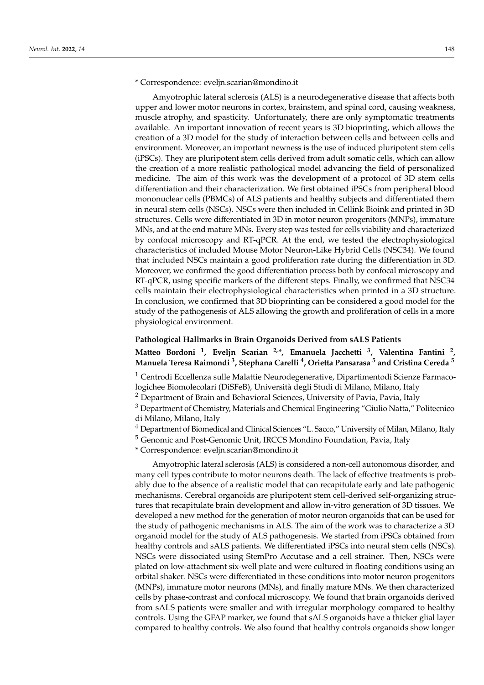#### \* Correspondence: eveljn.scarian@mondino.it

Amyotrophic lateral sclerosis (ALS) is a neurodegenerative disease that affects both upper and lower motor neurons in cortex, brainstem, and spinal cord, causing weakness, muscle atrophy, and spasticity. Unfortunately, there are only symptomatic treatments available. An important innovation of recent years is 3D bioprinting, which allows the creation of a 3D model for the study of interaction between cells and between cells and environment. Moreover, an important newness is the use of induced pluripotent stem cells (iPSCs). They are pluripotent stem cells derived from adult somatic cells, which can allow the creation of a more realistic pathological model advancing the field of personalized medicine. The aim of this work was the development of a protocol of 3D stem cells differentiation and their characterization. We first obtained iPSCs from peripheral blood mononuclear cells (PBMCs) of ALS patients and healthy subjects and differentiated them in neural stem cells (NSCs). NSCs were then included in Cellink Bioink and printed in 3D structures. Cells were differentiated in 3D in motor neuron progenitors (MNPs), immature MNs, and at the end mature MNs. Every step was tested for cells viability and characterized by confocal microscopy and RT-qPCR. At the end, we tested the electrophysiological characteristics of included Mouse Motor Neuron-Like Hybrid Cells (NSC34). We found that included NSCs maintain a good proliferation rate during the differentiation in 3D. Moreover, we confirmed the good differentiation process both by confocal microscopy and RT-qPCR, using specific markers of the different steps. Finally, we confirmed that NSC34 cells maintain their electrophysiological characteristics when printed in a 3D structure. In conclusion, we confirmed that 3D bioprinting can be considered a good model for the study of the pathogenesis of ALS allowing the growth and proliferation of cells in a more physiological environment.

#### **Pathological Hallmarks in Brain Organoids Derived from sALS Patients**

# **Matteo Bordoni <sup>1</sup> , Eveljn Scarian 2,\*, Emanuela Jacchetti <sup>3</sup> , Valentina Fantini <sup>2</sup> , Manuela Teresa Raimondi <sup>3</sup> , Stephana Carelli <sup>4</sup> , Orietta Pansarasa <sup>5</sup> and Cristina Cereda <sup>5</sup>**

<sup>1</sup> Centrodi Eccellenza sulle Malattie Neurodegenerative, Dipartimentodi Scienze Farmacologichee Biomolecolari (DiSFeB), Università degli Studi di Milano, Milano, Italy

<sup>2</sup> Department of Brain and Behavioral Sciences, University of Pavia, Pavia, Italy

<sup>3</sup> Department of Chemistry, Materials and Chemical Engineering "Giulio Natta," Politecnico di Milano, Milano, Italy

<sup>4</sup> Department of Biomedical and Clinical Sciences "L. Sacco," University of Milan, Milano, Italy

<sup>5</sup> Genomic and Post-Genomic Unit, IRCCS Mondino Foundation, Pavia, Italy

\* Correspondence: eveljn.scarian@mondino.it

Amyotrophic lateral sclerosis (ALS) is considered a non-cell autonomous disorder, and many cell types contribute to motor neurons death. The lack of effective treatments is probably due to the absence of a realistic model that can recapitulate early and late pathogenic mechanisms. Cerebral organoids are pluripotent stem cell-derived self-organizing structures that recapitulate brain development and allow in-vitro generation of 3D tissues. We developed a new method for the generation of motor neuron organoids that can be used for the study of pathogenic mechanisms in ALS. The aim of the work was to characterize a 3D organoid model for the study of ALS pathogenesis. We started from iPSCs obtained from healthy controls and sALS patients. We differentiated iPSCs into neural stem cells (NSCs). NSCs were dissociated using StemPro Accutase and a cell strainer. Then, NSCs were plated on low-attachment six-well plate and were cultured in floating conditions using an orbital shaker. NSCs were differentiated in these conditions into motor neuron progenitors (MNPs), immature motor neurons (MNs), and finally mature MNs. We then characterized cells by phase-contrast and confocal microscopy. We found that brain organoids derived from sALS patients were smaller and with irregular morphology compared to healthy controls. Using the GFAP marker, we found that sALS organoids have a thicker glial layer compared to healthy controls. We also found that healthy controls organoids show longer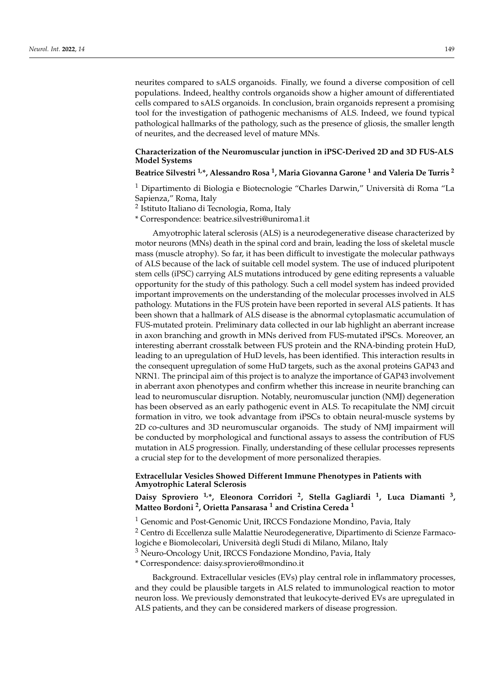neurites compared to sALS organoids. Finally, we found a diverse composition of cell populations. Indeed, healthy controls organoids show a higher amount of differentiated cells compared to sALS organoids. In conclusion, brain organoids represent a promising tool for the investigation of pathogenic mechanisms of ALS. Indeed, we found typical pathological hallmarks of the pathology, such as the presence of gliosis, the smaller length of neurites, and the decreased level of mature MNs.

### **Characterization of the Neuromuscular junction in iPSC-Derived 2D and 3D FUS-ALS Model Systems**

### **Beatrice Silvestri 1,\*, Alessandro Rosa <sup>1</sup> , Maria Giovanna Garone <sup>1</sup> and Valeria De Turris <sup>2</sup>**

<sup>1</sup> Dipartimento di Biologia e Biotecnologie "Charles Darwin," Università di Roma "La Sapienza," Roma, Italy

- <sup>2</sup> Istituto Italiano di Tecnologia, Roma, Italy
- \* Correspondence: beatrice.silvestri@uniroma1.it

Amyotrophic lateral sclerosis (ALS) is a neurodegenerative disease characterized by motor neurons (MNs) death in the spinal cord and brain, leading the loss of skeletal muscle mass (muscle atrophy). So far, it has been difficult to investigate the molecular pathways of ALS because of the lack of suitable cell model system. The use of induced pluripotent stem cells (iPSC) carrying ALS mutations introduced by gene editing represents a valuable opportunity for the study of this pathology. Such a cell model system has indeed provided important improvements on the understanding of the molecular processes involved in ALS pathology. Mutations in the FUS protein have been reported in several ALS patients. It has been shown that a hallmark of ALS disease is the abnormal cytoplasmatic accumulation of FUS-mutated protein. Preliminary data collected in our lab highlight an aberrant increase in axon branching and growth in MNs derived from FUS-mutated iPSCs. Moreover, an interesting aberrant crosstalk between FUS protein and the RNA-binding protein HuD, leading to an upregulation of HuD levels, has been identified. This interaction results in the consequent upregulation of some HuD targets, such as the axonal proteins GAP43 and NRN1. The principal aim of this project is to analyze the importance of GAP43 involvement in aberrant axon phenotypes and confirm whether this increase in neurite branching can lead to neuromuscular disruption. Notably, neuromuscular junction (NMJ) degeneration has been observed as an early pathogenic event in ALS. To recapitulate the NMJ circuit formation in vitro, we took advantage from iPSCs to obtain neural-muscle systems by 2D co-cultures and 3D neuromuscular organoids. The study of NMJ impairment will be conducted by morphological and functional assays to assess the contribution of FUS mutation in ALS progression. Finally, understanding of these cellular processes represents a crucial step for to the development of more personalized therapies.

### **Extracellular Vesicles Showed Different Immune Phenotypes in Patients with Amyotrophic Lateral Sclerosis**

# **Daisy Sproviero 1,\*, Eleonora Corridori <sup>2</sup> , Stella Gagliardi <sup>1</sup> , Luca Diamanti <sup>3</sup> , Matteo Bordoni <sup>2</sup> , Orietta Pansarasa <sup>1</sup> and Cristina Cereda <sup>1</sup>**

<sup>1</sup> Genomic and Post-Genomic Unit, IRCCS Fondazione Mondino, Pavia, Italy

<sup>2</sup> Centro di Eccellenza sulle Malattie Neurodegenerative, Dipartimento di Scienze Farmacologiche e Biomolecolari, Università degli Studi di Milano, Milano, Italy

<sup>3</sup> Neuro-Oncology Unit, IRCCS Fondazione Mondino, Pavia, Italy

\* Correspondence: daisy.sproviero@mondino.it

Background. Extracellular vesicles (EVs) play central role in inflammatory processes, and they could be plausible targets in ALS related to immunological reaction to motor neuron loss. We previously demonstrated that leukocyte-derived EVs are upregulated in ALS patients, and they can be considered markers of disease progression.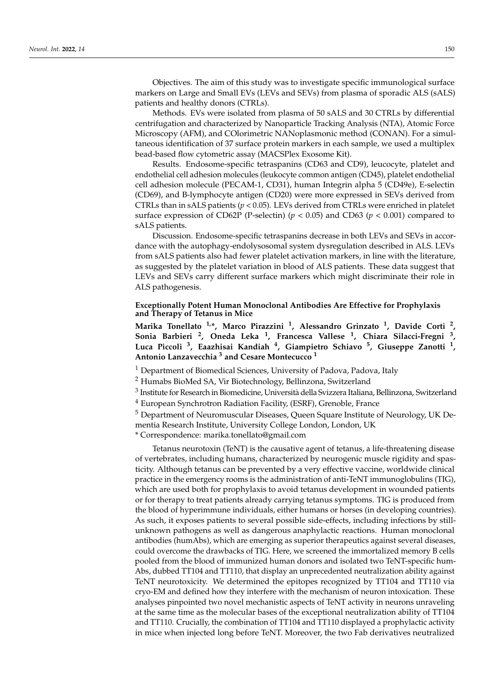Objectives. The aim of this study was to investigate specific immunological surface markers on Large and Small EVs (LEVs and SEVs) from plasma of sporadic ALS (sALS) patients and healthy donors (CTRLs).

Methods. EVs were isolated from plasma of 50 sALS and 30 CTRLs by differential centrifugation and characterized by Nanoparticle Tracking Analysis (NTA), Atomic Force Microscopy (AFM), and COlorimetric NANoplasmonic method (CONAN). For a simultaneous identification of 37 surface protein markers in each sample, we used a multiplex bead-based flow cytometric assay (MACSPlex Exosome Kit).

Results. Endosome-specific tetraspanins (CD63 and CD9), leucocyte, platelet and endothelial cell adhesion molecules (leukocyte common antigen (CD45), platelet endothelial cell adhesion molecule (PECAM-1, CD31), human Integrin alpha 5 (CD49e), E-selectin (CD69), and B-lymphocyte antigen (CD20) were more expressed in SEVs derived from CTRLs than in sALS patients (*p* < 0.05). LEVs derived from CTRLs were enriched in platelet surface expression of CD62P (P-selectin) ( $p < 0.05$ ) and CD63 ( $p < 0.001$ ) compared to sALS patients.

Discussion. Endosome-specific tetraspanins decrease in both LEVs and SEVs in accordance with the autophagy-endolysosomal system dysregulation described in ALS. LEVs from sALS patients also had fewer platelet activation markers, in line with the literature, as suggested by the platelet variation in blood of ALS patients. These data suggest that LEVs and SEVs carry different surface markers which might discriminate their role in ALS pathogenesis.

#### **Exceptionally Potent Human Monoclonal Antibodies Are Effective for Prophylaxis and Therapy of Tetanus in Mice**

**Marika Tonellato 1,\*, Marco Pirazzini <sup>1</sup> , Alessandro Grinzato <sup>1</sup> , Davide Corti <sup>2</sup> , Sonia Barbieri <sup>2</sup> , Oneda Leka <sup>1</sup> , Francesca Vallese <sup>1</sup> , Chiara Silacci-Fregni <sup>3</sup> , Luca Piccoli <sup>3</sup> , Eaazhisai Kandiah <sup>4</sup> , Giampietro Schiavo <sup>5</sup> , Giuseppe Zanotti <sup>1</sup> , Antonio Lanzavecchia <sup>3</sup> and Cesare Montecucco <sup>1</sup>**

<sup>1</sup> Department of Biomedical Sciences, University of Padova, Padova, Italy

<sup>2</sup> Humabs BioMed SA, Vir Biotechnology, Bellinzona, Switzerland

 $^3$  Institute for Research in Biomedicine, Università della Svizzera Italiana, Bellinzona, Switzerland

<sup>4</sup> European Synchrotron Radiation Facility, (ESRF), Grenoble, France

<sup>5</sup> Department of Neuromuscular Diseases, Queen Square Institute of Neurology, UK Dementia Research Institute, University College London, London, UK

\* Correspondence: marika.tonellato@gmail.com

Tetanus neurotoxin (TeNT) is the causative agent of tetanus, a life-threatening disease of vertebrates, including humans, characterized by neurogenic muscle rigidity and spasticity. Although tetanus can be prevented by a very effective vaccine, worldwide clinical practice in the emergency rooms is the administration of anti-TeNT immunoglobulins (TIG), which are used both for prophylaxis to avoid tetanus development in wounded patients or for therapy to treat patients already carrying tetanus symptoms. TIG is produced from the blood of hyperimmune individuals, either humans or horses (in developing countries). As such, it exposes patients to several possible side-effects, including infections by stillunknown pathogens as well as dangerous anaphylactic reactions. Human monoclonal antibodies (humAbs), which are emerging as superior therapeutics against several diseases, could overcome the drawbacks of TIG. Here, we screened the immortalized memory B cells pooled from the blood of immunized human donors and isolated two TeNT-specific hum-Abs, dubbed TT104 and TT110, that display an unprecedented neutralization ability against TeNT neurotoxicity. We determined the epitopes recognized by TT104 and TT110 via cryo-EM and defined how they interfere with the mechanism of neuron intoxication. These analyses pinpointed two novel mechanistic aspects of TeNT activity in neurons unraveling at the same time as the molecular bases of the exceptional neutralization ability of TT104 and TT110. Crucially, the combination of TT104 and TT110 displayed a prophylactic activity in mice when injected long before TeNT. Moreover, the two Fab derivatives neutralized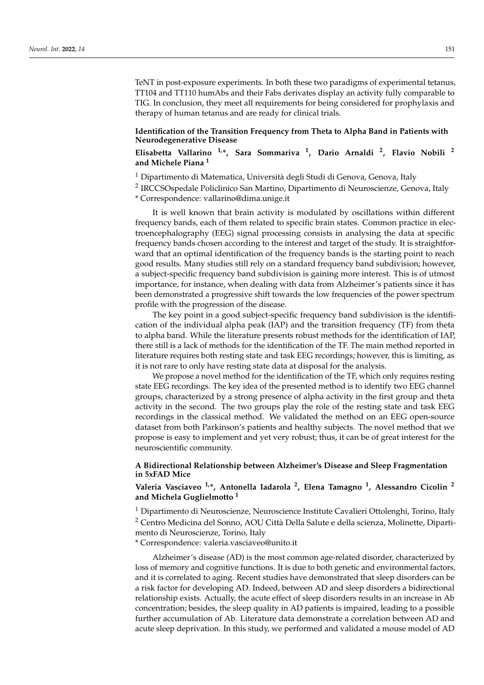TeNT in post-exposure experiments. In both these two paradigms of experimental tetanus, TT104 and TT110 humAbs and their Fabs derivates display an activity fully comparable to TIG. In conclusion, they meet all requirements for being considered for prophylaxis and therapy of human tetanus and are ready for clinical trials.

#### **Identification of the Transition Frequency from Theta to Alpha Band in Patients with Neurodegenerative Disease**

# **Elisabetta Vallarino 1,\*, Sara Sommariva <sup>1</sup> , Dario Arnaldi <sup>2</sup> , Flavio Nobili <sup>2</sup> and Michele Piana <sup>1</sup>**

- <sup>1</sup> Dipartimento di Matematica, Università degli Studi di Genova, Genova, Italy
- <sup>2</sup> IRCCSOspedale Policlinico San Martino, Dipartimento di Neuroscienze, Genova, Italy

\* Correspondence: vallarino@dima.unige.it

It is well known that brain activity is modulated by oscillations within different frequency bands, each of them related to specific brain states. Common practice in electroencephalography (EEG) signal processing consists in analysing the data at specific frequency bands chosen according to the interest and target of the study. It is straightforward that an optimal identification of the frequency bands is the starting point to reach good results. Many studies still rely on a standard frequency band subdivision; however, a subject-specific frequency band subdivision is gaining more interest. This is of utmost importance, for instance, when dealing with data from Alzheimer's patients since it has been demonstrated a progressive shift towards the low frequencies of the power spectrum profile with the progression of the disease.

The key point in a good subject-specific frequency band subdivision is the identification of the individual alpha peak (IAP) and the transition frequency (TF) from theta to alpha band. While the literature presents robust methods for the identification of IAP, there still is a lack of methods for the identification of the TF. The main method reported in literature requires both resting state and task EEG recordings; however, this is limiting, as it is not rare to only have resting state data at disposal for the analysis.

We propose a novel method for the identification of the TF, which only requires resting state EEG recordings. The key idea of the presented method is to identify two EEG channel groups, characterized by a strong presence of alpha activity in the first group and theta activity in the second. The two groups play the role of the resting state and task EEG recordings in the classical method. We validated the method on an EEG open-source dataset from both Parkinson's patients and healthy subjects. The novel method that we propose is easy to implement and yet very robust; thus, it can be of great interest for the neuroscientific community.

### **A Bidirectional Relationship between Alzheimer's Disease and Sleep Fragmentation in 5xFAD Mice**

### **Valeria Vasciaveo 1,\*, Antonella Iadarola <sup>2</sup> , Elena Tamagno <sup>1</sup> , Alessandro Cicolin <sup>2</sup> and Michela Guglielmotto <sup>1</sup>**

<sup>1</sup> Dipartimento di Neuroscienze, Neuroscience Institute Cavalieri Ottolenghi, Torino, Italy <sup>2</sup> Centro Medicina del Sonno, AOU Città Della Salute e della scienza, Molinette, Dipartimento di Neuroscienze, Torino, Italy

\* Correspondence: valeria.vasciaveo@unito.it

Alzheimer's disease (AD) is the most common age-related disorder, characterized by loss of memory and cognitive functions. It is due to both genetic and environmental factors, and it is correlated to aging. Recent studies have demonstrated that sleep disorders can be a risk factor for developing AD. Indeed, between AD and sleep disorders a bidirectional relationship exists. Actually, the acute effect of sleep disorders results in an increase in Ab concentration; besides, the sleep quality in AD patients is impaired, leading to a possible further accumulation of Ab. Literature data demonstrate a correlation between AD and acute sleep deprivation. In this study, we performed and validated a mouse model of AD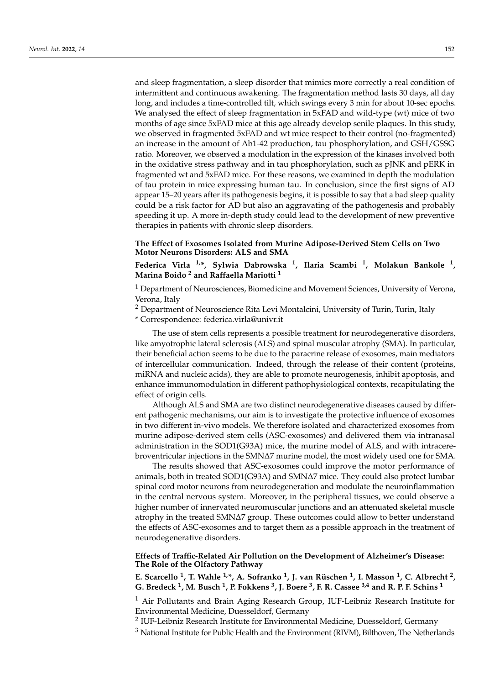and sleep fragmentation, a sleep disorder that mimics more correctly a real condition of intermittent and continuous awakening. The fragmentation method lasts 30 days, all day long, and includes a time-controlled tilt, which swings every 3 min for about 10-sec epochs. We analysed the effect of sleep fragmentation in 5xFAD and wild-type (wt) mice of two months of age since 5xFAD mice at this age already develop senile plaques. In this study, we observed in fragmented 5xFAD and wt mice respect to their control (no-fragmented) an increase in the amount of Ab1-42 production, tau phosphorylation, and GSH/GSSG ratio. Moreover, we observed a modulation in the expression of the kinases involved both in the oxidative stress pathway and in tau phosphorylation, such as pJNK and pERK in fragmented wt and 5xFAD mice. For these reasons, we examined in depth the modulation of tau protein in mice expressing human tau. In conclusion, since the first signs of AD appear 15–20 years after its pathogenesis begins, it is possible to say that a bad sleep quality could be a risk factor for AD but also an aggravating of the pathogenesis and probably speeding it up. A more in-depth study could lead to the development of new preventive therapies in patients with chronic sleep disorders.

**The Effect of Exosomes Isolated from Murine Adipose-Derived Stem Cells on Two Motor Neurons Disorders: ALS and SMA**

**Federica Virla 1,\*, Sylwia Dabrowska <sup>1</sup> , Ilaria Scambi <sup>1</sup> , Molakun Bankole <sup>1</sup> , Marina Boido <sup>2</sup> and Raffaella Mariotti <sup>1</sup>**

<sup>1</sup> Department of Neurosciences, Biomedicine and Movement Sciences, University of Verona, Verona, Italy

<sup>2</sup> Department of Neuroscience Rita Levi Montalcini, University of Turin, Turin, Italy

\* Correspondence: federica.virla@univr.it

The use of stem cells represents a possible treatment for neurodegenerative disorders, like amyotrophic lateral sclerosis (ALS) and spinal muscular atrophy (SMA). In particular, their beneficial action seems to be due to the paracrine release of exosomes, main mediators of intercellular communication. Indeed, through the release of their content (proteins, miRNA and nucleic acids), they are able to promote neurogenesis, inhibit apoptosis, and enhance immunomodulation in different pathophysiological contexts, recapitulating the effect of origin cells.

Although ALS and SMA are two distinct neurodegenerative diseases caused by different pathogenic mechanisms, our aim is to investigate the protective influence of exosomes in two different in-vivo models. We therefore isolated and characterized exosomes from murine adipose-derived stem cells (ASC-exosomes) and delivered them via intranasal administration in the SOD1(G93A) mice, the murine model of ALS, and with intracerebroventricular injections in the SMN∆7 murine model, the most widely used one for SMA.

The results showed that ASC-exosomes could improve the motor performance of animals, both in treated SOD1(G93A) and SMN∆7 mice. They could also protect lumbar spinal cord motor neurons from neurodegeneration and modulate the neuroinflammation in the central nervous system. Moreover, in the peripheral tissues, we could observe a higher number of innervated neuromuscular junctions and an attenuated skeletal muscle atrophy in the treated SMN∆7 group. These outcomes could allow to better understand the effects of ASC-exosomes and to target them as a possible approach in the treatment of neurodegenerative disorders.

**Effects of Traffic-Related Air Pollution on the Development of Alzheimer's Disease: The Role of the Olfactory Pathway**

**E. Scarcello <sup>1</sup> , T. Wahle 1,\*, A. Sofranko <sup>1</sup> , J. van Rüschen <sup>1</sup> , I. Masson <sup>1</sup> , C. Albrecht <sup>2</sup> , G. Bredeck <sup>1</sup> , M. Busch <sup>1</sup> , P. Fokkens <sup>3</sup> , J. Boere <sup>3</sup> , F. R. Cassee 3,4 and R. P. F. Schins <sup>1</sup>**

 $1$  Air Pollutants and Brain Aging Research Group, IUF-Leibniz Research Institute for Environmental Medicine, Duesseldorf, Germany

 $^2$  IUF-Leibniz Research Institute for Environmental Medicine, Duesseldorf, Germany

<sup>3</sup> National Institute for Public Health and the Environment (RIVM), Bilthoven, The Netherlands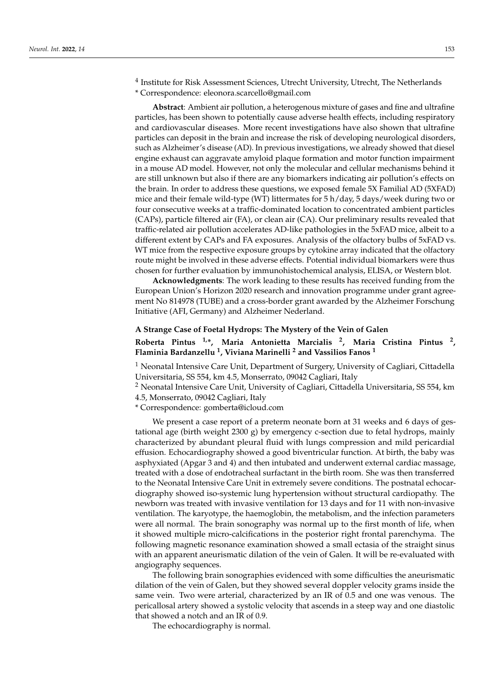<sup>4</sup> Institute for Risk Assessment Sciences, Utrecht University, Utrecht, The Netherlands \* Correspondence: eleonora.scarcello@gmail.com

**Abstract**: Ambient air pollution, a heterogenous mixture of gases and fine and ultrafine particles, has been shown to potentially cause adverse health effects, including respiratory and cardiovascular diseases. More recent investigations have also shown that ultrafine particles can deposit in the brain and increase the risk of developing neurological disorders, such as Alzheimer's disease (AD). In previous investigations, we already showed that diesel engine exhaust can aggravate amyloid plaque formation and motor function impairment in a mouse AD model. However, not only the molecular and cellular mechanisms behind it are still unknown but also if there are any biomarkers indicating air pollution's effects on the brain. In order to address these questions, we exposed female 5X Familial AD (5XFAD) mice and their female wild-type (WT) littermates for 5 h/day, 5 days/week during two or four consecutive weeks at a traffic-dominated location to concentrated ambient particles (CAPs), particle filtered air (FA), or clean air (CA). Our preliminary results revealed that traffic-related air pollution accelerates AD-like pathologies in the 5xFAD mice, albeit to a different extent by CAPs and FA exposures. Analysis of the olfactory bulbs of 5xFAD vs. WT mice from the respective exposure groups by cytokine array indicated that the olfactory route might be involved in these adverse effects. Potential individual biomarkers were thus chosen for further evaluation by immunohistochemical analysis, ELISA, or Western blot.

**Acknowledgments**: The work leading to these results has received funding from the European Union's Horizon 2020 research and innovation programme under grant agreement No 814978 (TUBE) and a cross-border grant awarded by the Alzheimer Forschung Initiative (AFI, Germany) and Alzheimer Nederland.

# **A Strange Case of Foetal Hydrops: The Mystery of the Vein of Galen Roberta Pintus 1,\*, Maria Antonietta Marcialis <sup>2</sup> , Maria Cristina Pintus <sup>2</sup> , Flaminia Bardanzellu <sup>1</sup> , Viviana Marinelli <sup>2</sup> and Vassilios Fanos <sup>1</sup>**

<sup>1</sup> Neonatal Intensive Care Unit, Department of Surgery, University of Cagliari, Cittadella Universitaria, SS 554, km 4.5, Monserrato, 09042 Cagliari, Italy

<sup>2</sup> Neonatal Intensive Care Unit, University of Cagliari, Cittadella Universitaria, SS 554, km 4.5, Monserrato, 09042 Cagliari, Italy

\* Correspondence: gomberta@icloud.com

We present a case report of a preterm neonate born at 31 weeks and 6 days of gestational age (birth weight 2300 g) by emergency c-section due to fetal hydrops, mainly characterized by abundant pleural fluid with lungs compression and mild pericardial effusion. Echocardiography showed a good biventricular function. At birth, the baby was asphyxiated (Apgar 3 and 4) and then intubated and underwent external cardiac massage, treated with a dose of endotracheal surfactant in the birth room. She was then transferred to the Neonatal Intensive Care Unit in extremely severe conditions. The postnatal echocardiography showed iso-systemic lung hypertension without structural cardiopathy. The newborn was treated with invasive ventilation for 13 days and for 11 with non-invasive ventilation. The karyotype, the haemoglobin, the metabolism, and the infection parameters were all normal. The brain sonography was normal up to the first month of life, when it showed multiple micro-calcifications in the posterior right frontal parenchyma. The following magnetic resonance examination showed a small ectasia of the straight sinus with an apparent aneurismatic dilation of the vein of Galen. It will be re-evaluated with angiography sequences.

The following brain sonographies evidenced with some difficulties the aneurismatic dilation of the vein of Galen, but they showed several doppler velocity grams inside the same vein. Two were arterial, characterized by an IR of 0.5 and one was venous. The pericallosal artery showed a systolic velocity that ascends in a steep way and one diastolic that showed a notch and an IR of 0.9.

The echocardiography is normal.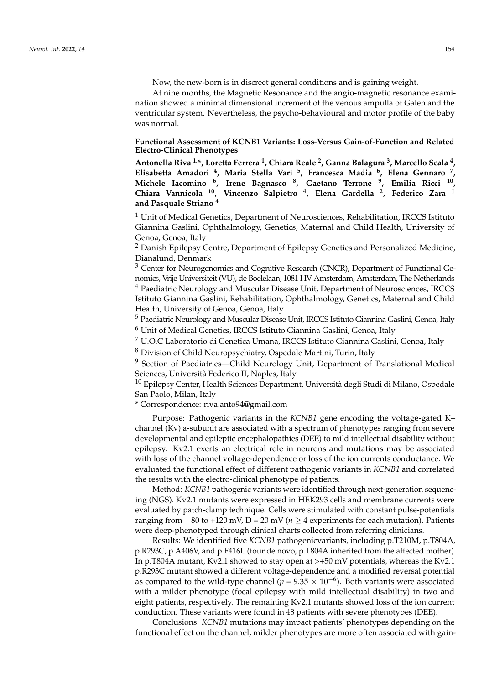Now, the new-born is in discreet general conditions and is gaining weight.

At nine months, the Magnetic Resonance and the angio-magnetic resonance examination showed a minimal dimensional increment of the venous ampulla of Galen and the ventricular system. Nevertheless, the psycho-behavioural and motor profile of the baby was normal.

#### **Functional Assessment of KCNB1 Variants: Loss-Versus Gain-of-Function and Related Electro-Clinical Phenotypes**

**Antonella Riva 1,\*, Loretta Ferrera <sup>1</sup> , Chiara Reale <sup>2</sup> , Ganna Balagura <sup>3</sup> , Marcello Scala <sup>4</sup> , Elisabetta Amadori <sup>4</sup> , Maria Stella Vari <sup>5</sup> , Francesca Madia <sup>6</sup> , Elena Gennaro <sup>7</sup> , Michele Iacomino <sup>6</sup> , Irene Bagnasco <sup>8</sup> , Gaetano Terrone <sup>9</sup> , Emilia Ricci <sup>10</sup> , Chiara Vannicola <sup>10</sup>, Vincenzo Salpietro <sup>4</sup> , Elena Gardella <sup>2</sup> , Federico Zara <sup>1</sup> and Pasquale Striano <sup>4</sup>**

 $1$  Unit of Medical Genetics, Department of Neurosciences, Rehabilitation, IRCCS Istituto Giannina Gaslini, Ophthalmology, Genetics, Maternal and Child Health, University of Genoa, Genoa, Italy

<sup>2</sup> Danish Epilepsy Centre, Department of Epilepsy Genetics and Personalized Medicine, Dianalund, Denmark

<sup>3</sup> Center for Neurogenomics and Cognitive Research (CNCR), Department of Functional Genomics, Vrije Universiteit (VU), de Boelelaan, 1081 HV Amsterdam, Amsterdam, The Netherlands <sup>4</sup> Paediatric Neurology and Muscular Disease Unit, Department of Neurosciences, IRCCS Istituto Giannina Gaslini, Rehabilitation, Ophthalmology, Genetics, Maternal and Child Health, University of Genoa, Genoa, Italy

<sup>5</sup> Paediatric Neurology and Muscular Disease Unit, IRCCS Istituto Giannina Gaslini, Genoa, Italy <sup>6</sup> Unit of Medical Genetics, IRCCS Istituto Giannina Gaslini, Genoa, Italy

<sup>7</sup> U.O.C Laboratorio di Genetica Umana, IRCCS Istituto Giannina Gaslini, Genoa, Italy

<sup>8</sup> Division of Child Neuropsychiatry, Ospedale Martini, Turin, Italy

<sup>9</sup> Section of Paediatrics—Child Neurology Unit, Department of Translational Medical Sciences, Università Federico II, Naples, Italy

<sup>10</sup> Epilepsy Center, Health Sciences Department, Università degli Studi di Milano, Ospedale San Paolo, Milan, Italy

\* Correspondence: riva.anto94@gmail.com

Purpose: Pathogenic variants in the *KCNB1* gene encoding the voltage-gated K+ channel (Kv) a-subunit are associated with a spectrum of phenotypes ranging from severe developmental and epileptic encephalopathies (DEE) to mild intellectual disability without epilepsy. Kv2.1 exerts an electrical role in neurons and mutations may be associated with loss of the channel voltage-dependence or loss of the ion currents conductance. We evaluated the functional effect of different pathogenic variants in *KCNB1* and correlated the results with the electro-clinical phenotype of patients.

Method: *KCNB1* pathogenic variants were identified through next-generation sequencing (NGS). Kv2.1 mutants were expressed in HEK293 cells and membrane currents were evaluated by patch-clamp technique. Cells were stimulated with constant pulse-potentials ranging from  $-80$  to +120 mV, D = 20 mV ( $n \ge 4$  experiments for each mutation). Patients were deep-phenotyped through clinical charts collected from referring clinicians.

Results: We identified five *KCNB1* pathogenicvariants, including p.T210M, p.T804A, p.R293C, p.A406V, and p.F416L (four de novo, p.T804A inherited from the affected mother). In p.T804A mutant, Kv2.1 showed to stay open at >+50 mV potentials, whereas the Kv2.1 p.R293C mutant showed a different voltage-dependence and a modified reversal potential as compared to the wild-type channel ( $p = 9.35 \times 10^{-6}$ ). Both variants were associated with a milder phenotype (focal epilepsy with mild intellectual disability) in two and eight patients, respectively. The remaining Kv2.1 mutants showed loss of the ion current conduction. These variants were found in 48 patients with severe phenotypes (DEE).

Conclusions: *KCNB1* mutations may impact patients' phenotypes depending on the functional effect on the channel; milder phenotypes are more often associated with gain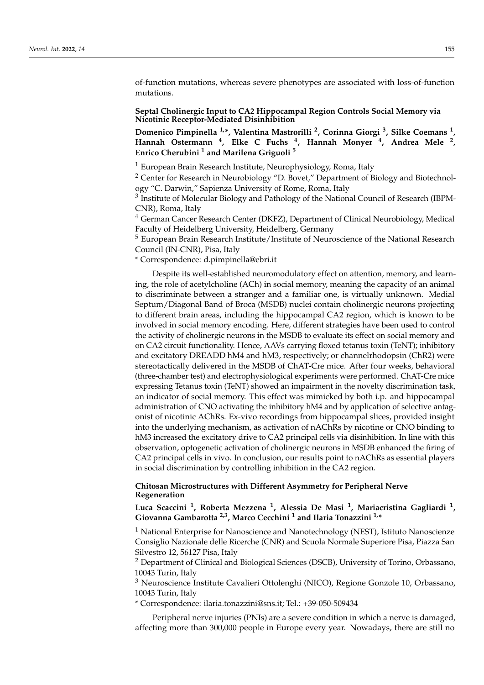of-function mutations, whereas severe phenotypes are associated with loss-of-function mutations.

#### **Septal Cholinergic Input to CA2 Hippocampal Region Controls Social Memory via Nicotinic Receptor-Mediated Disinhibition**

**Domenico Pimpinella 1,\*, Valentina Mastrorilli <sup>2</sup> , Corinna Giorgi <sup>3</sup> , Silke Coemans <sup>1</sup> , Hannah Ostermann <sup>4</sup> , Elke C Fuchs <sup>4</sup> , Hannah Monyer <sup>4</sup> , Andrea Mele <sup>2</sup> , Enrico Cherubini <sup>1</sup> and Marilena Griguoli <sup>5</sup>**

<sup>1</sup> European Brain Research Institute, Neurophysiology, Roma, Italy

<sup>2</sup> Center for Research in Neurobiology "D. Bovet," Department of Biology and Biotechnology "C. Darwin," Sapienza University of Rome, Roma, Italy

 $^3$  Institute of Molecular Biology and Pathology of the National Council of Research (IBPM-CNR), Roma, Italy

<sup>4</sup> German Cancer Research Center (DKFZ), Department of Clinical Neurobiology, Medical Faculty of Heidelberg University, Heidelberg, Germany

<sup>5</sup> European Brain Research Institute/Institute of Neuroscience of the National Research Council (IN-CNR), Pisa, Italy

\* Correspondence: d.pimpinella@ebri.it

Despite its well-established neuromodulatory effect on attention, memory, and learning, the role of acetylcholine (ACh) in social memory, meaning the capacity of an animal to discriminate between a stranger and a familiar one, is virtually unknown. Medial Septum/Diagonal Band of Broca (MSDB) nuclei contain cholinergic neurons projecting to different brain areas, including the hippocampal CA2 region, which is known to be involved in social memory encoding. Here, different strategies have been used to control the activity of cholinergic neurons in the MSDB to evaluate its effect on social memory and on CA2 circuit functionality. Hence, AAVs carrying floxed tetanus toxin (TeNT); inhibitory and excitatory DREADD hM4 and hM3, respectively; or channelrhodopsin (ChR2) were stereotactically delivered in the MSDB of ChAT-Cre mice. After four weeks, behavioral (three-chamber test) and electrophysiological experiments were performed. ChAT-Cre mice expressing Tetanus toxin (TeNT) showed an impairment in the novelty discrimination task, an indicator of social memory. This effect was mimicked by both i.p. and hippocampal administration of CNO activating the inhibitory hM4 and by application of selective antagonist of nicotinic AChRs. Ex-vivo recordings from hippocampal slices, provided insight into the underlying mechanism, as activation of nAChRs by nicotine or CNO binding to hM3 increased the excitatory drive to CA2 principal cells via disinhibition. In line with this observation, optogenetic activation of cholinergic neurons in MSDB enhanced the firing of CA2 principal cells in vivo. In conclusion, our results point to nAChRs as essential players in social discrimination by controlling inhibition in the CA2 region.

### **Chitosan Microstructures with Different Asymmetry for Peripheral Nerve Regeneration**

**Luca Scaccini <sup>1</sup> , Roberta Mezzena <sup>1</sup> , Alessia De Masi <sup>1</sup> , Mariacristina Gagliardi <sup>1</sup> , Giovanna Gambarotta 2,3, Marco Cecchini <sup>1</sup> and Ilaria Tonazzini 1,\***

<sup>1</sup> National Enterprise for Nanoscience and Nanotechnology (NEST), Istituto Nanoscienze Consiglio Nazionale delle Ricerche (CNR) and Scuola Normale Superiore Pisa, Piazza San Silvestro 12, 56127 Pisa, Italy

<sup>2</sup> Department of Clinical and Biological Sciences (DSCB), University of Torino, Orbassano, 10043 Turin, Italy

<sup>3</sup> Neuroscience Institute Cavalieri Ottolenghi (NICO), Regione Gonzole 10, Orbassano, 10043 Turin, Italy

\* Correspondence: ilaria.tonazzini@sns.it; Tel.: +39-050-509434

Peripheral nerve injuries (PNIs) are a severe condition in which a nerve is damaged, affecting more than 300,000 people in Europe every year. Nowadays, there are still no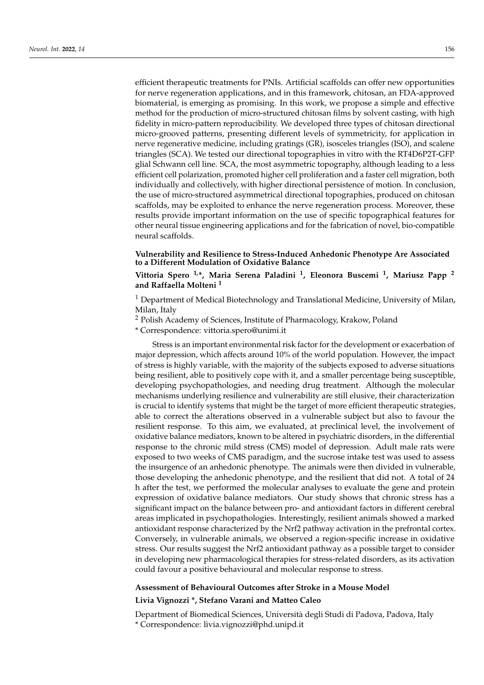efficient therapeutic treatments for PNIs. Artificial scaffolds can offer new opportunities for nerve regeneration applications, and in this framework, chitosan, an FDA-approved biomaterial, is emerging as promising. In this work, we propose a simple and effective method for the production of micro-structured chitosan films by solvent casting, with high fidelity in micro-pattern reproducibility. We developed three types of chitosan directional micro-grooved patterns, presenting different levels of symmetricity, for application in nerve regenerative medicine, including gratings (GR), isosceles triangles (ISO), and scalene triangles (SCA). We tested our directional topographies in vitro with the RT4D6P2T-GFP glial Schwann cell line. SCA, the most asymmetric topography, although leading to a less efficient cell polarization, promoted higher cell proliferation and a faster cell migration, both individually and collectively, with higher directional persistence of motion. In conclusion, the use of micro-structured asymmetrical directional topographies, produced on chitosan scaffolds, may be exploited to enhance the nerve regeneration process. Moreover, these results provide important information on the use of specific topographical features for other neural tissue engineering applications and for the fabrication of novel, bio-compatible neural scaffolds.

### **Vulnerability and Resilience to Stress-Induced Anhedonic Phenotype Are Associated to a Different Modulation of Oxidative Balance**

# **Vittoria Spero 1,\*, Maria Serena Paladini <sup>1</sup> , Eleonora Buscemi <sup>1</sup> , Mariusz Papp <sup>2</sup> and Raffaella Molteni <sup>1</sup>**

 $1$  Department of Medical Biotechnology and Translational Medicine, University of Milan, Milan, Italy

<sup>2</sup> Polish Academy of Sciences, Institute of Pharmacology, Krakow, Poland

\* Correspondence: vittoria.spero@unimi.it

Stress is an important environmental risk factor for the development or exacerbation of major depression, which affects around 10% of the world population. However, the impact of stress is highly variable, with the majority of the subjects exposed to adverse situations being resilient, able to positively cope with it, and a smaller percentage being susceptible, developing psychopathologies, and needing drug treatment. Although the molecular mechanisms underlying resilience and vulnerability are still elusive, their characterization is crucial to identify systems that might be the target of more efficient therapeutic strategies, able to correct the alterations observed in a vulnerable subject but also to favour the resilient response. To this aim, we evaluated, at preclinical level, the involvement of oxidative balance mediators, known to be altered in psychiatric disorders, in the differential response to the chronic mild stress (CMS) model of depression. Adult male rats were exposed to two weeks of CMS paradigm, and the sucrose intake test was used to assess the insurgence of an anhedonic phenotype. The animals were then divided in vulnerable, those developing the anhedonic phenotype, and the resilient that did not. A total of 24 h after the test, we performed the molecular analyses to evaluate the gene and protein expression of oxidative balance mediators. Our study shows that chronic stress has a significant impact on the balance between pro- and antioxidant factors in different cerebral areas implicated in psychopathologies. Interestingly, resilient animals showed a marked antioxidant response characterized by the Nrf2 pathway activation in the prefrontal cortex. Conversely, in vulnerable animals, we observed a region-specific increase in oxidative stress. Our results suggest the Nrf2 antioxidant pathway as a possible target to consider in developing new pharmacological therapies for stress-related disorders, as its activation could favour a positive behavioural and molecular response to stress.

# **Assessment of Behavioural Outcomes after Stroke in a Mouse Model Livia Vignozzi \*, Stefano Varani and Matteo Caleo**

Department of Biomedical Sciences, Università degli Studi di Padova, Padova, Italy \* Correspondence: livia.vignozzi@phd.unipd.it